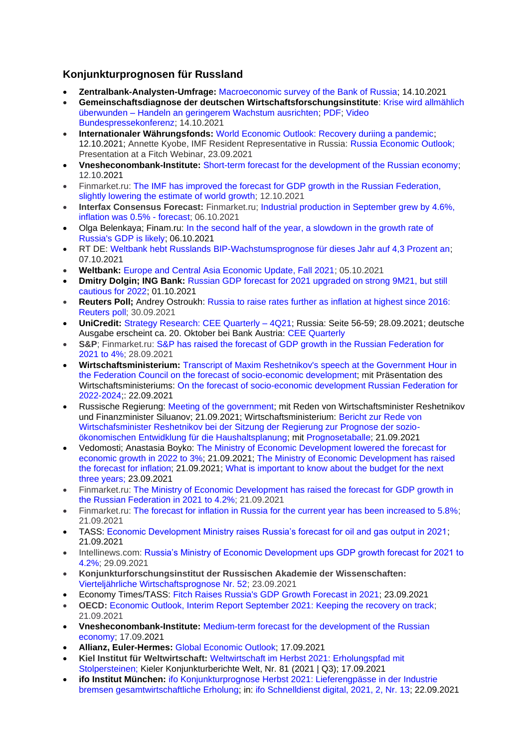# **Konjunkturprognosen für Russland**

- **Zentralbank-Analysten-Umfrage:** [Macroeconomic survey of the Bank of Russia;](http://cbr.ru/statistics/ddkp/mo_br/) 14.10.2021
- **Gemeinschaftsdiagnose der deutschen Wirtschaftsforschungsinstitute**: [Krise wird allmählich](https://gemeinschaftsdiagnose.de/2021/10/14/krise-wird-allmaehlich-ueberwunden-handeln-an-geringerem-wachstum-ausrichten/)  überwunden – [Handeln an geringerem Wachstum ausrichten;](https://gemeinschaftsdiagnose.de/2021/10/14/krise-wird-allmaehlich-ueberwunden-handeln-an-geringerem-wachstum-ausrichten/) [PDF;](https://gemeinschaftsdiagnose.de/wp-content/uploads/2021/10/GDH2021_Druckfahne_2_Gesamtdokument.pdf) [Video](https://www.phoenix.de/sendungen/ereignisse/phoenix-vor-ort/ua-live-gemeinschaftsdiagnose-herbst-2021-der-wirtschaftsinstitute-a-2276165.html)  [Bundespressekonferenz;](https://www.phoenix.de/sendungen/ereignisse/phoenix-vor-ort/ua-live-gemeinschaftsdiagnose-herbst-2021-der-wirtschaftsinstitute-a-2276165.html) 14.10.2021
- **Internationaler Währungsfonds:** [World Economic Outlook: Recovery duriing a pandemic;](https://www.imf.org/en/Publications/WEO/Issues/2021/10/12/world-economic-outlook-october-2021) 12.10.2021; Annette Kyobe, IMF Resident Representative in Russia: [Russia Economic Outlook;](https://www.imf.org/-/media/Files/Countries/ResRep/RUS/English/russia-outlook-short-fitch-sep23-2021.ashx) Presentation at a Fitch Webinar, 23.09.2021
- **Vnesheconombank-Institute:** [Short-term forecast for the development of the Russian economy;](http://inveb.ru/ru/products/product-02/701-kratkosrochnyj-prognoz-razvitiya-rossijskoj-ekonomiki) 12.10.2021
- Finmarket.ru: [The IMF has improved the forecast for GDP growth in the Russian Federation,](http://www.finmarket.ru/main/news/5566463)  [slightly lowering the estimate of world growth;](http://www.finmarket.ru/main/news/5566463) 12.10.2021
- **Interfax Consensus Forecast:** Finmarket.ru; [Industrial production in September grew by 4.6%,](http://www.finmarket.ru/news/5562623)  [inflation was 0.5% -](http://www.finmarket.ru/news/5562623) forecast; 06.10.2021
- Olga Belenkaya; Finam.ru: [In the second half of the year, a slowdown in the growth rate of](https://www.finam.ru/analysis/forecasts/vo-2-polugodii-veroyatno-zamedlenie-tempov-rosta-vvp-rossii-20211006-18413/)  [Russia's GDP is likely;](https://www.finam.ru/analysis/forecasts/vo-2-polugodii-veroyatno-zamedlenie-tempov-rosta-vvp-rossii-20211006-18413/) 06.10.2021
- RT DE: [Weltbank hebt Russlands BIP-Wachstumsprognose für dieses Jahr auf 4,3 Prozent an;](https://de.rt.com/russland/125333-weltbank-hebt-russlands-bip-wachstumsprognose-an/) 07.10.2021
- **Weltbank:** [Europe and Central Asia Economic Update, Fall 2021;](https://openknowledge.worldbank.org/handle/10986/36296) 05.10.2021
- **Dmitry Dolgin; ING Bank:** [Russian GDP forecast for 2021 upgraded on strong 9M21, but still](https://think.ing.com/snaps/russian-gdp-forecast-for-2021-upgraded-on-strong-9m21-but-still-cautious-for-2022/)  [cautious for 2022;](https://think.ing.com/snaps/russian-gdp-forecast-for-2021-upgraded-on-strong-9m21-but-still-cautious-for-2022/) 01.10.2021
- **Reuters Poll;** Andrey Ostroukh: [Russia to raise rates further as inflation at highest since 2016:](https://www.reuters.com/article/russia-economy-poll/russia-to-raise-rates-further-as-inflation-at-highest-since-2016-reuters-poll-idUSKBN2GQ1FQ)  [Reuters poll;](https://www.reuters.com/article/russia-economy-poll/russia-to-raise-rates-further-as-inflation-at-highest-since-2016-reuters-poll-idUSKBN2GQ1FQ) 30.09.2021
- **UniCredit:** [Strategy Research:](https://www.unicreditresearch.eu/) [CEE Quarterly –](https://www.research.unicredit.eu/DocsKey/emergingmarkets_docs_2021_181230.ashx?EXT=pdf&KEY=l6KjPzSYBBGzROuioxedUNdVqq1wFeRoJRIvbGu4hUoKSAHz3HkdWA==&T=1&T=1) [4Q21;](https://www.research.unicredit.eu/DocsKey/emergingmarkets_docs_2021_181230.ashx?EXT=pdf&KEY=l6KjPzSYBBGzROuioxedUNdVqq1wFeRoJRIvbGu4hUoKSAHz3HkdWA==&T=1&T=1) Russia: Seite 56-59; 28.09.2021; deutsche Ausgabe erscheint ca. 20. Oktober bei Bank Austria: [CEE Quarterly](https://www.bankaustria.at/wirtschaft-cee-quarterly.jsp)
- **S&P**; Finmarket.ru: [S&P has raised the forecast of GDP growth in the Russian Federation for](http://www.finmarket.ru/main/article/5557303)  [2021 to 4%;](http://www.finmarket.ru/main/article/5557303) 28.09.2021
- **Wirtschaftsministerium:** [Transcript of Maxim Reshetnikov's speech at the Government](https://www.economy.gov.ru/material/news/stenogramma_vystupleniya_maksima_reshetnikova_na_pravitelstvennom_chase_v_sovete_federacii_po_prognozu_socialno_ekonomicheskogo_razvitiya.html) Hour in [the Federation Council on the forecast of socio-economic development;](https://www.economy.gov.ru/material/news/stenogramma_vystupleniya_maksima_reshetnikova_na_pravitelstvennom_chase_v_sovete_federacii_po_prognozu_socialno_ekonomicheskogo_razvitiya.html) mit Präsentation des Wirtschaftsministeriums: [On the forecast of socio-economic development Russian Federation for](https://economy.gov.ru/material/file/8c1e53c6f39bbf8c6588991326e32968/o_prognoze_socialno_ekonomicheskogo_razvitiya_rf_2022-2024.pdf)  [2022-2024;](https://economy.gov.ru/material/file/8c1e53c6f39bbf8c6588991326e32968/o_prognoze_socialno_ekonomicheskogo_razvitiya_rf_2022-2024.pdf): 22.09.2021
- Russische Regierung: [Meeting of the government;](http://government.ru/news/43307/) mit Reden von Wirtschaftsminister Reshetnikov und Finanzminister Siluanov; 21.09.2021; Wirtschaftsministerium: [Bericht zur Rede von](https://economy.gov.ru/material/news/maksim_reshetnikov_v_prognoze_sushchestvenno_uluchsheny_parametry_vazhnye_s_tochki_zreniya_sostavleniya_byudzheta.html)  [Wirtschafsminister Reshetnikov bei der Sitzung der Regierung zur Prognose der sozio](https://economy.gov.ru/material/news/maksim_reshetnikov_v_prognoze_sushchestvenno_uluchsheny_parametry_vazhnye_s_tochki_zreniya_sostavleniya_byudzheta.html)[ökonomischen Entwidklung für die Haushaltsplanung;](https://economy.gov.ru/material/news/maksim_reshetnikov_v_prognoze_sushchestvenno_uluchsheny_parametry_vazhnye_s_tochki_zreniya_sostavleniya_byudzheta.html) mit [Prognosetaballe;](https://economy.gov.ru/material/file/759ddaea4e17b1b0c4b191cb9b23d092/21092021_2.png) 21.09.2021
- Vedomosti; Anastasia Boyko: [The Ministry of Economic Development lowered the forecast for](https://www.vedomosti.ru/economics/articles/2021/09/21/887575-minekonomrazvitiya-ponizilo-prognoz-po-rostu-ekonomiki)  [economic growth in 2022 to 3%;](https://www.vedomosti.ru/economics/articles/2021/09/21/887575-minekonomrazvitiya-ponizilo-prognoz-po-rostu-ekonomiki) 21.09.2021; [The Ministry of Economic Development has raised](https://www.vedomosti.ru/economics/articles/2021/09/21/887663-minekonomrazvitiya-prognoz)  [the forecast for inflation;](https://www.vedomosti.ru/economics/articles/2021/09/21/887663-minekonomrazvitiya-prognoz) 21.09.2021; [What is important to know about the budget for the next](https://www.vedomosti.ru/economics/articles/2021/09/22/887825-znat-byudzhete)  [three years;](https://www.vedomosti.ru/economics/articles/2021/09/22/887825-znat-byudzhete) 23.09.2021
- Finmarket.ru: [The Ministry of Economic Development has raised the forecast for GDP growth in](http://www.finmarket.ru/news/5552877)  [the Russian Federation in 2021 to 4.2%;](http://www.finmarket.ru/news/5552877) 21.09.2021
- Finmarket.ru: [The forecast for inflation in Russia for the current year has been increased to 5.8%;](http://www.finmarket.ru/news/5552870) 21.09.2021
- TASS: [Economic Development Ministry raises Russia's forecast for oil and gas output in 2021;](https://tass.com/economy/1340571) 21.09.2021
- Intellinews.com: [Russia's Ministry of Economic Development ups GDP growth forecast for 2021 to](https://www.intellinews.com/russia-s-ministry-of-economic-development-ups-gdp-growth-forecast-for-2021-to-4-2-222066/)  [4.2%;](https://www.intellinews.com/russia-s-ministry-of-economic-development-ups-gdp-growth-forecast-for-2021-to-4-2-222066/) 29.09.2021
- **Konjunkturforschungsinstitut der Russischen Akademie der Wissenschaften:** [Vierteljährliche Wirtschaftsprognose Nr. 52;](https://ecfor.ru/publication/kvartalnyj-prognoz-ekonomiki-vypusk-52/) 23.09.2021
- Economy Times/TASS: [Fitch Raises Russia's GDP Growth Forecast in 2021;](http://economytimes.ru/novosti/fitch-povysilo-prognoz-rosta-vvp-rossii-v-2021-godu) 23.09.2021
- **OECD:** [Economic Outlook, Interim Report September 2021: Keeping the recovery on track;](https://www.oecd.org/economic-outlook/) 21.09.2021
- **Vnesheconombank-Institute:** [Medium-term forecast for the development of the Russian](http://inveb.ru/ru/products/product-02/675-srednesrochnyj-prognoz-razvitiya-rossijskoj-ekonomiki-2)  [economy;](http://inveb.ru/ru/products/product-02/675-srednesrochnyj-prognoz-razvitiya-rossijskoj-ekonomiki-2) 17.09.2021
- **Allianz, Euler-Hermes:** [Global Economic Outlook;](https://www.allianz.com/en/economic_research/publications/specials_fmo/2021_09_17_GlobalEconomicOutlook.html) 17.09.2021
- **Kiel Institut für Weltwirtschaft:** [Weltwirtschaft im Herbst 2021: Erholungspfad mit](https://www.ifw-kiel.de/de/publikationen/kieler-konjunkturberichte/2021/weltwirtschaft-im-herbst-2021-erholungspfad-mit-stolpersteinen-0/)  [Stolpersteinen;](https://www.ifw-kiel.de/de/publikationen/kieler-konjunkturberichte/2021/weltwirtschaft-im-herbst-2021-erholungspfad-mit-stolpersteinen-0/) Kieler Konjunkturberichte Welt, Nr. 81 (2021 | Q3); 17.09.2021
- **ifo Institut München:** [ifo Konjunkturprognose Herbst 2021: Lieferengpässe in der Industrie](https://www.ifo.de/node/65147)  [bremsen gesamtwirtschaftliche Erholung;](https://www.ifo.de/node/65147) in: [ifo Schnelldienst digital, 2021, 2, Nr. 13;](https://www.ifo.de/publikationen/2021/aufsatz-zeitschrift/ifo-konjunkturprognose-herbst-2021-lieferengpaesse-der) 22.09.2021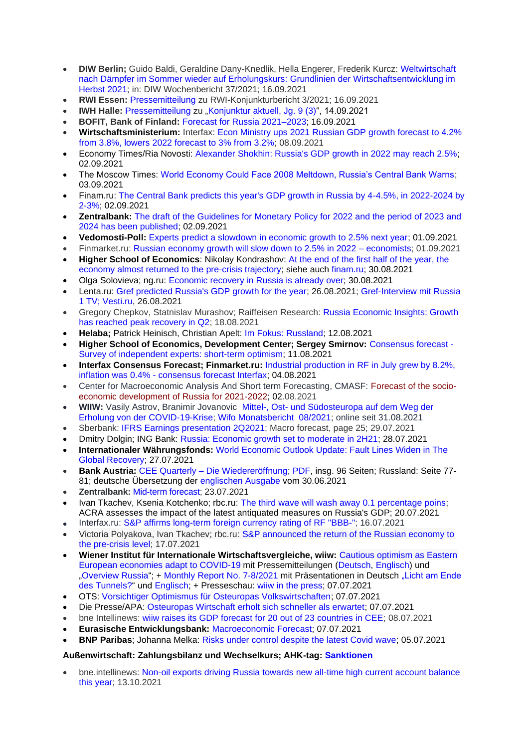- **DIW Berlin;** [Guido Baldi, Geraldine Dany-Knedlik, Hella Engerer, Frederik Kurcz: Weltwirtschaft](https://www.diw.de/de/diw_01.c.824954.de/publikationen/wochenberichte/2021_37_1/weltwirtschaft_nach_daempfer_im_sommer_wieder_auf_erholungskurs__grundlinien_der_wirtschaftsentwicklung_im_herbst_2021.html)  nach Dämpfer im [Sommer wieder auf Erholungskurs: Grundlinien der Wirtschaftsentwicklung im](https://www.diw.de/de/diw_01.c.824954.de/publikationen/wochenberichte/2021_37_1/weltwirtschaft_nach_daempfer_im_sommer_wieder_auf_erholungskurs__grundlinien_der_wirtschaftsentwicklung_im_herbst_2021.html)  [Herbst 2021; in: DIW Wochenbericht 37/2021; 16.09.2021](https://www.diw.de/de/diw_01.c.824954.de/publikationen/wochenberichte/2021_37_1/weltwirtschaft_nach_daempfer_im_sommer_wieder_auf_erholungskurs__grundlinien_der_wirtschaftsentwicklung_im_herbst_2021.html)
- **RWI Essen:** [Pressemitteilung](https://www.rwi-essen.de/presse/mitteilung/450/) zu RWI-Konjunkturbericht 3/2021; 16.09.2021
- **IWH Halle: [Pressemitteilung](https://www.iwh-halle.de/publikationen/detail/konjunktur-aktuell-produktionsengpaesse-verzoegern-erholung/) zu ["Konjunktur aktuell, Jg. 9 \(3\)"](https://www.iwh-halle.de/fileadmin/user_upload/publications/konjunktur_aktuell/Konjunktur-aktuell_2021-3.pdf), 14.09.2021**
- **BOFIT, Bank of Finland:** [Forecast for Russia 2021–2023;](https://www.bofit.fi/en/bofit/latest/news/2021/bofit-forecasts-for-russia-and-china-2021-2023-2/) 16.09.2021
- **Wirtschaftsministerium:** Interfax: [Econ Ministry ups 2021 Russian GDP growth forecast to 4.2%](https://interfax.com/newsroom/top-stories/72633/)  [from 3.8%, lowers 2022 forecast to 3% from 3.2%;](https://interfax.com/newsroom/top-stories/72633/) 08.09.2021
- Economy Times/Ria Novosti: [Alexander Shokhin: Russia's GDP growth in 2022 may reach 2.5%;](http://economytimes.ru/novosti/aleksandr-shohin-rost-vvp-rossii-v-2022-godu-mozhet-sostavit-25) 02.09.2021
- The Moscow Times: [World Economy Could Face 2008 Meltdown, Russia's Central Bank Warns;](https://www.themoscowtimes.com/2021/09/03/world-economy-could-face-2008-meltdown-russias-central-bank-warns-a74962) 03.09.2021
- Finam.ru: [The Central Bank predicts this year's GDP growth in Russia by 4-4.5%, in 2022-2024 by](https://www.finam.ru/analysis/newsitem/cb-prognoziruet-v-etom-godu-rost-vvp-rossii-na-4-4-5-v-2022-2024-godax-po-2-3-20210902-151122/)  [2-3%;](https://www.finam.ru/analysis/newsitem/cb-prognoziruet-v-etom-godu-rost-vvp-rossii-na-4-4-5-v-2022-2024-godax-po-2-3-20210902-151122/) 02.09.2021
- **Zentralbank:** [The draft of the Guidelines for Monetary Policy for 2022 and the period of 2023 and](http://cbr.ru/press/event/?id=12174)  [2024 has been published;](http://cbr.ru/press/event/?id=12174) 02.09.2021
- **Vedomosti-Poll:** [Experts predict a slowdown in economic growth to 2.5% next year;](https://www.vedomosti.ru/economics/articles/2021/08/31/884573-eksperti-zamedlenie) 01.09.2021
- Finmarket.ru: [Russian economy growth will slow down to 2.5% in 2022 –](http://www.finmarket.ru/main/article/5539726) economists; 01.09.2021
- **Higher School of Economics**: Nikolay Kondrashov: [At the end of the first half of the year, the](http://www.hse.ru/pubs/share/direct/document/500353888.pdf)  [economy almost returned to the pre-crisis trajectory;](http://www.hse.ru/pubs/share/direct/document/500353888.pdf) siehe auch [finam.ru;](https://www.finam.ru/analysis/forecasts/ekonomika-pochti-vernulas-na-dokrizisnuyu-traektoriyu-20210830-193752/) 30.08.2021
- Olga Solovieva; ng.ru: [Economic](https://www.ng.ru/economics/2021-08-30/4_8238_economics.html) recovery in Russia is already over; 30.08.2021
- Lenta.ru: [Gref predicted Russia's GDP growth for the year;](https://lenta.ru/news/2021/08/26/rost/) 26.08.2021; [Gref-Interview mit Russia](https://www.vesti.ru/finance/article/2605549)  [1 TV; Vesti.ru,](https://www.vesti.ru/finance/article/2605549) 26.08.2021
- Gregory Chepkov, Statnislav Murashov; Raiffeisen Research: [Russia Economic Insights: Growth](https://www.raiffeisenresearch.com/servlet/NoAuthLibraryServlet?action=viewDocument&encrypt=18abae6e-098c-47c5-8ed8-39aa1cb74128&mime=HTML&id=replaceme@bluematrix.com)  [has reached peak recovery in Q2;](https://www.raiffeisenresearch.com/servlet/NoAuthLibraryServlet?action=viewDocument&encrypt=18abae6e-098c-47c5-8ed8-39aa1cb74128&mime=HTML&id=replaceme@bluematrix.com) 18.08.2021
- **Helaba;** Patrick Heinisch, Christian Apelt: [Im Fokus: Russland;](https://www.helaba.de/blueprint/servlet/resource/blob/docs/561392/cfaeab69245f14c03a33a9931fae0b86/laender-20210812-data.pdf) 12.08.2021
- **Higher School of Economics, Development Center; Sergey Smirnov:** [Consensus forecast -](https://www.hse.ru/pubs/share/direct/document/494927477.pdf) [Survey of independent experts: short-term optimism;](https://www.hse.ru/pubs/share/direct/document/494927477.pdf) 11.08.2021
- **Interfax Consensus Forecast; Finmarket.ru:** [Industrial production in RF in July grew by 8.2%,](http://www.finmarket.ru/news/5522875)  inflation was 0.4% - [consensus forecast Interfax;](http://www.finmarket.ru/news/5522875) 04.08.2021
- Center for Macroeconomic Analysis And Short term Forecasting, CMASF: [Forecast of the socio](http://www.forecast.ru/Forecast/Fore072021.pdf)[economic development of Russia for 2021-2022;](http://www.forecast.ru/Forecast/Fore072021.pdf) 02.08.2021
- **WIIW:** Vasily Astrov, Branimir Jovanovic Mittel-, Ost- [und Südosteuropa auf dem Weg der](https://www.wifo.ac.at/jart/prj3/wifo/resources/person_dokument/person_dokument.jart?publikationsid=67455&mime_type=application/pdf)  [Erholung von der COVID-19-Krise;](https://www.wifo.ac.at/jart/prj3/wifo/resources/person_dokument/person_dokument.jart?publikationsid=67455&mime_type=application/pdf) [Wifo Monatsbericht 08/2021;](https://www.wifo.ac.at/publikationen/wifo-monatsberichte) online seit 31.08.2021
- Sberbank: [IFRS Earnings presentation](https://www.sberbank.com/common/img/uploaded/files/info/ifrs2021/7/pr/ifrs_resentation_2q21_30062021_en.pdf) 2Q2021; Macro forecast, page 25; 29.07.2021
- Dmitry Dolgin; ING Bank: [Russia: Economic growth set to moderate in 2H21;](https://think.ing.com/articles/russia-economic-growth-set-to-moderate-in-2h21/) 28.07.2021
- **Internationaler Währungsfonds:** [World Economic Outlook Update: Fault Lines Widen in The](https://www.imf.org/en/Publications/WEO/Issues/2021/07/27/world-economic-outlook-update-july-2021)  [Global Recovery;](https://www.imf.org/en/Publications/WEO/Issues/2021/07/27/world-economic-outlook-update-july-2021) 27.07.2021
- **Bank Austria:** CEE Quarterly [Die Wiedereröffnung;](https://www.bankaustria.at/wirtschaft-cee-quarterly.jsp) [PDF,](https://www.bankaustria.at/files/cee_quaterly_072021_de.pdf) insg. 96 Seiten; Russland: Seite 77- 81; deutsche Übersetzung der [englischen Ausgabe](https://www.research.unicredit.eu/DocsKey/emergingmarkets_docs_2021_180566.ashx?EXT=pdf&KEY=l6KjPzSYBBGzROuioxedUNdVqq1wFeRoSIN084bMP6FuoAhlg8moqA==&T=1) vom 30.06.2021
- **Zentralbank:** [Mid-term forecast;](https://www.cbr.ru/Collection/Collection/File/35489/forecast_210723_e.pdf) 23.07.2021
- Ivan Tkachev, Ksenia Kotchenko; rbc.ru: [The third wave will wash away 0.1 percentage poins;](https://www.rbc.ru/newspaper/2021/07/20/60f5888f9a794798c0a11a79) ACRA assesses the impact of the latest antiquated measures on Russia's GDP; 20.07.2021
- Interfax.ru: [S&P affirms long-term foreign currency rating of RF "BBB-";](https://www.interfax.ru/business/778345) 16.07.2021
- Victoria Polyakova, Ivan Tkachev; rbc.ru: S&P announced the return of the Russian economy to [the pre-crisis level;](https://www.rbc.ru/economics/17/07/2021/60f1efe29a794739edd5f2f4?utm_source=yxnews&utm_medium=desktop) 17.07.2021
- **Wiener Institut für Internationale Wirtschaftsvergleiche, wiiw:** [Cautious optimism as Eastern](https://wiiw.ac.at/cautious-optimism-as-eastern-european-economies-adapt-to-covid-19-n-515.html)  [European economies adapt to COVID-19](https://wiiw.ac.at/cautious-optimism-as-eastern-european-economies-adapt-to-covid-19-n-515.html) mit Pressemitteilungen [\(Deutsch,](https://wiiw.ac.at/press-release-cautious-optimism-as-eastern-european-economies-adapt-to-covid-19-german-pnd-96.pdf) [Englisch\)](https://wiiw.ac.at/press-release-cautious-optimism-as-eastern-european-economies-adapt-to-covid-19-english-pnd-96.pdf) und ["Overview Russia"](https://wiiw.ac.at/russia-overview-ce-10.html); + [Monthly Report No. 7-8/2021](https://wiiw.ac.at/monthly-report-no-7-8-2021-p-5839.html) mit Präsentationen in Deutsch ["Licht am Ende](https://wiiw.ac.at/licht-am-ende-des-tunnels-press-conference-presentation-in-german-dlp-5867.pdf)  [des Tunnels?"](https://wiiw.ac.at/licht-am-ende-des-tunnels-press-conference-presentation-in-german-dlp-5867.pdf) und [Englisch;](https://wiiw.ac.at/light-at-the-end-of-the-tunnel-press-conference-presentation-in-english-dlp-5868.pdf) + Presseschau: [wiiw in the press;](https://wiiw.ac.at/wiiw-in-the-press.html) 07.07.2021
- OTS: [Vorsichtiger Optimismus für Osteuropas Volkswirtschaften;](https://www.ots.at/presseaussendung/OTS_20210707_OTS0053/vorsichtiger-optimismus-fuer-osteuropas-volkswirtschaften-anhang) 07.07.2021
- Die Presse/APA: [Osteuropas Wirtschaft erholt sich schneller als erwartet;](https://www.diepresse.com/6004797/osteuropas-wirtschaft-erholt-sich-schneller-als-erwartet) 07.07.2021
- bne Intellinews: [wiiw raises its GDP forecast for 20 out of 23 countries in CEE;](https://www.intellinews.com/wiiw-raises-its-gdp-forecast-for-20-out-of-23-countries-in-cee-215062/?source=serbia) 08.07.2021
- **Eurasische Entwicklungsbank:** [Macroeconomic Forecast;](https://eabr.org/analytics/ceg-quarterly-reviews/makroekonomicheskiy-prognoz-eabr-vozvrashchenie-inflyatsii-nadolgo-li-i-stoit-li-boyatsya-/) 07.07.2021
- **BNP Paribas**; Johanna Melka: [Risks under control despite the latest Covid wave;](https://economic-research.bnpparibas.com/Views/SearchByCountryView.aspx?Lang=en-US&Zone=ARS&Page=Page1) 05.07.2021

### **Außenwirtschaft: Zahlungsbilanz und Wechselkurs; AHK-tag: [Sanktionen](https://russland.ahk.de/recht/sanktionen#c272192)**

• bne.intellinews: [Non-oil exports driving Russia towards new all-time high current account balance](https://bne.eu/non-oil-exports-driving-russia-towards-new-all-time-high-current-account-balance-this-year-223450/)  [this year;](https://bne.eu/non-oil-exports-driving-russia-towards-new-all-time-high-current-account-balance-this-year-223450/) 13.10.2021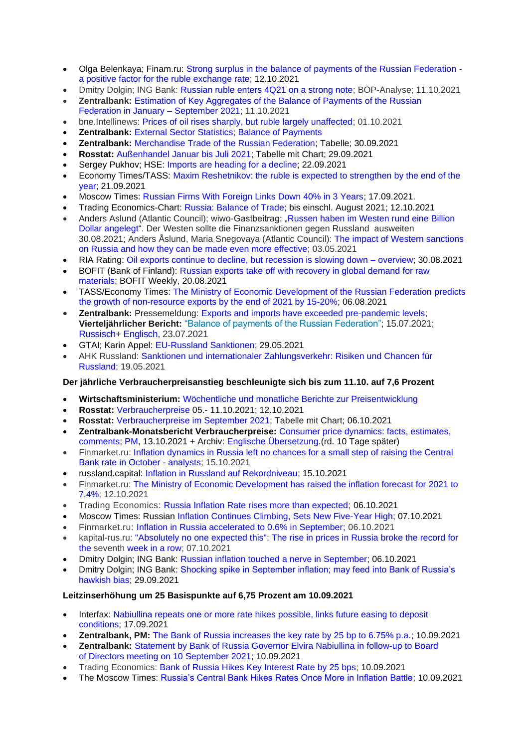- Olga Belenkaya; Finam.ru: [Strong surplus in the balance of payments of the Russian Federation](https://www.finam.ru/analysis/forecasts/silnyiy-proficit-platezhnogo-balansa-rf-pozitivnyiy-faktor-dlya-kursa-rublya-20211012-154120/)  [a positive factor for the ruble exchange rate;](https://www.finam.ru/analysis/forecasts/silnyiy-proficit-platezhnogo-balansa-rf-pozitivnyiy-faktor-dlya-kursa-rublya-20211012-154120/) 12.10.2021
- Dmitry Dolgin; ING Bank: [Russian ruble enters 4Q21 on a strong note;](https://think.ing.com/articles/russian-ruble-enters-4q21-on-a-strong-note/) BOP-Analyse; 11.10.2021
- **Zentralbank:** [Estimation of Key Aggregates of the Balance of Payments of the Russian](http://cbr.ru/eng/statistics/macro_itm/svs/bop-eval/)  [Federation in January –](http://cbr.ru/eng/statistics/macro_itm/svs/bop-eval/) September 2021; 11.10.2021
- bne.Intellinews: [Prices of oil rises sharply, but ruble largely unaffected;](https://www.bne.eu/prices-of-oil-rises-sharply-but-ruble-largely-unaffected-222375/) 01.10.2021
- **Zentralbank:** [External Sector Statistics; Balance of Payments](http://cbr.ru/eng/statistics/macro_itm/svs/)
- **Zentralbank:** [Merchandise Trade of the Russian Federation;](https://www.cbr.ru/vfs/eng/statistics/credit_statistics/trade/trade_e.xls) Tabelle; 30.09.2021
- **Rosstat:** [Außenhandel Januar bis Juli 2021;](https://rosstat.gov.ru/storage/mediabank/177-29-09-2021.html) Tabelle mit Chart; 29.09.2021
- Sergey Pukhov; HSE: [Imports are heading for a decline;](https://dcenter.hse.ru/newkgb) 22.09.2021
- Economy Times/TASS: [Maxim Reshetnikov: the ruble is expected to strengthen by the end of the](http://economytimes.ru/novosti/maksim-reshetnikov-k-koncu-goda-ozhidaetsya-ukreplenie-rublya)  [year;](http://economytimes.ru/novosti/maksim-reshetnikov-k-koncu-goda-ozhidaetsya-ukreplenie-rublya) 21.09.2021
- Moscow Times: [Russian Firms With Foreign Links Down 40% in 3 Years;](https://www.themoscowtimes.com/2021/09/17/russian-firms-with-foreign-links-down-40-in-3-years-a75073) 17.09.2021.
- Trading Economics-Chart: [Russia: Balance of Trade;](https://tradingeconomics.com/russia/balance-of-trade) bis einschl. August 2021; 12.10.2021
- Anders Aslund (Atlantic Council); wiwo-Gastbeitrag: "Russen haben im Westen rund eine Billion [Dollar angelegt"](https://www.wiwo.de/politik/konjunktur/putins-russland-russen-haben-im-westen-rund-eine-billion-dollar-angelegt/27551920.html). Der Westen sollte die Finanzsanktionen gegen Russland ausweiten 30.08.2021; [Anders Åslund,](https://www.atlanticcouncil.org/expert/anders-aslund/) [Maria Snegovaya](https://www.atlanticcouncil.org/?post_type=expert&p=315389) (Atlantic Council): [The impact of Western sanctions](https://www.atlanticcouncil.org/in-depth-research-reports/report/the-impact-of-western-sanctions-on-russia/)  [on Russia and how they can be made even more effective;](https://www.atlanticcouncil.org/in-depth-research-reports/report/the-impact-of-western-sanctions-on-russia/) 03.05.2021
- RIA Rating: [Oil exports continue to decline, but recession is slowing down –](https://riarating.ru/industry_newsletters/20210830/630207312.html) overview; 30.08.2021
- BOFIT (Bank of Finland): [Russian exports take off with recovery in global demand for raw](https://www.bofit.fi/en/monitoring/weekly/2021/vw202133_2/)  [materials;](https://www.bofit.fi/en/monitoring/weekly/2021/vw202133_2/) BOFIT Weekly, 20.08.2021
- TASS/Economy Times: [The Ministry of Economic Development of the Russian Federation predicts](https://economytimes.ru/novosti/minekonomrazvitiya-rf-prognoziruet-rost-nesyrevogo-eksporta-po-itogam-2021-goda-na-15-20)  [the growth of non-resource exports by the end of 2021 by 15-20%;](https://economytimes.ru/novosti/minekonomrazvitiya-rf-prognoziruet-rost-nesyrevogo-eksporta-po-itogam-2021-goda-na-15-20) 06.08.2021
- **Zentralbank:** Pressemeldung: [Exports and imports have exceeded pre-pandemic levels;](http://cbr.ru/press/event/?id=11052) **Vierteljährlicher Bericht:** ["Balance of payments of the Russian Federation";](http://cbr.ru/Collection/Collection/File/35478/Balance_of_Payments_2021-02_8.pdf) 15.07.2021; [Russisch+](http://www.cbr.ru/dkp/analytic/) [Englisch,](http://www.cbr.ru/eng/dkp/analytic/) 23.07.2021
- GTAI; Karin Appel: [EU-Russland Sanktionen;](https://www.gtai.de/gtai-de/trade/zoll/special/russland/gtai-special-russland-sanktionen-65188) 29.05.2021
- AHK Russland: [Sanktionen und internationaler Zahlungsverkehr: Risiken und Chancen für](https://russland.ahk.de/infothek/news/detail/sanktionen-und-internationaler-zahlungsverkehr-risiken-und-chancen-fuer-russland)  [Russland;](https://russland.ahk.de/infothek/news/detail/sanktionen-und-internationaler-zahlungsverkehr-risiken-und-chancen-fuer-russland) 19.05.2021

## **Der jährliche Verbraucherpreisanstieg beschleunigte sich bis zum 11.10. auf 7,6 Prozent**

- **Wirtschaftsministerium:** [Wöchentliche und monatliche Berichte zur Preisentwicklung](https://economy.gov.ru/material/directions/makroec/ekonomicheskie_obzory/)
- **Rosstat:** [Verbraucherpreise](https://rosstat.gov.ru/storage/mediabank/184_13-10-2021.htm) 05.- 11.10.2021; 12.10.2021
- **Rosstat:** [Verbraucherpreise im September 2021;](https://rosstat.gov.ru/storage/mediabank/181_06-10-2021.html) Tabelle mit Chart; 06.10.2021
- **Zentralbank-Monatsbericht Verbraucherpreise:** [Consumer price dynamics: facts, estimates,](http://cbr.ru/analytics/dkp/dinamic/)  [comments;](http://cbr.ru/analytics/dkp/dinamic/) [PM,](https://www.cbr.ru/eng/press/event/?id=12324) 13.10.2021 + Archiv: [Englische Übersetzung.\(](http://cbr.ru/eng/analytics/dkp/dinamic/)rd. 10 Tage später)
- Finmarket.ru: [Inflation dynamics in Russia left no chances for a small step of raising the Central](http://www.finmarket.ru/news/5569444)  [Bank rate in October -](http://www.finmarket.ru/news/5569444) analysts; 15.10.2021
- russland.capital: [Inflation in Russland auf Rekordniveau;](https://www.russland.capital/inflation-in-russland-auf-rekordniveau) 15.10.2021
- Finmarket.ru: [The Ministry of Economic Development has raised the inflation forecast for 2021 to](http://www.finmarket.ru/main/article/5566098)  [7.4%;](http://www.finmarket.ru/main/article/5566098) 12.10.2021
- Trading Economics: [Russia Inflation Rate rises more than expected;](https://tradingeconomics.com/russia/inflation-cpi) 06.10.2021
- Moscow Times: Russian [Inflation Continues Climbing, Sets New Five-Year High;](https://www.themoscowtimes.com/2021/10/07/russian-inflation-continues-climbing-sets-new-five-year-high-a75235) 07.10.2021
- Finmarket.ru: [Inflation in Russia accelerated to 0.6% in September;](http://www.finmarket.ru/main/article/5562993) 06.10.2021
- kapital-rus.ru: ["Absolutely no one expected this": The rise in prices in Russia broke the record for](https://kapital-rus.ru/articles/article/takogo_ne_jdal_absolutno_nikto_rost_cen_v_rossii_pobil_rekord_sedmuu_nedelu/)  the seventh [week in a row;](https://kapital-rus.ru/articles/article/takogo_ne_jdal_absolutno_nikto_rost_cen_v_rossii_pobil_rekord_sedmuu_nedelu/) 07.10.2021
- Dmitry Dolgin; ING Bank: [Russian inflation touched a nerve in September;](https://think.ing.com/articles/russian-inflation-touched-a-nerve-in-september/) 06.10.2021
- Dmitry Dolgin; ING Ban[k: Shocking spike in September inflation; may feed into Bank of Russia's](https://think.ing.com/articles/key-events-in-emea-next-week-240921/#a2)  [hawkish bias;](https://think.ing.com/articles/key-events-in-emea-next-week-240921/#a2) 29.09.2021

## **Leitzinserhöhung um 25 Basispunkte auf 6,75 Prozent am 10.09.2021**

- Interfax: [Nabiullina repeats one or more rate hikes possible, links future easing to deposit](https://interfax.com/newsroom/top-stories/72704/)  [conditions;](https://interfax.com/newsroom/top-stories/72704/) 17.09.2021
- **Zentralbank, PM:** [The Bank of Russia increases the key rate by 25 bp to 6.75% p.a.;](https://www.cbr.ru/eng/press/pr/?file=10092021_133000Key_eng.htm) 10.09.2021
- **Zentralbank:** Statement by Bank of [Russia Governor Elvira Nabiullina in](https://www.cbr.ru/eng/press/event/?id=12202) follow-up to Board of [Directors meeting on 10 September 2021;](https://www.cbr.ru/eng/press/event/?id=12202) 10.09.2021
- Trading Economics: [Bank of Russia Hikes Key Interest Rate by 25 bps;](https://tradingeconomics.com/russia/interest-rate) 10.09.2021
- The Moscow Times: [Russia's Central Bank Hikes Rates Once More in Inflation Battle;](https://www.themoscowtimes.com/2021/09/10/russias-central-bank-hikes-rates-once-more-in-inflation-battle-a75022) 10.09.2021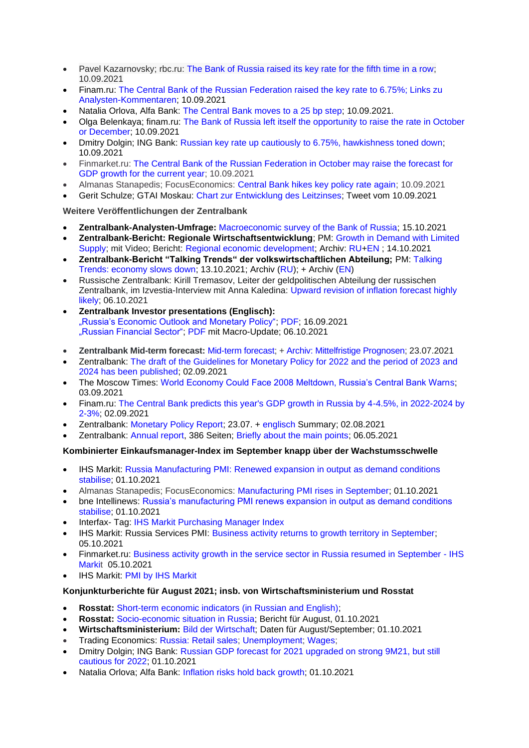- Pavel Kazarnovsky; rbc.ru: [The Bank of Russia raised its key rate for the fifth time in a row;](https://www.rbc.ru/finances/10/09/2021/613b1ef49a7947443f2519e6) 10.09.2021
- Finam.ru: [The Central Bank of the Russian Federation raised the key rate to 6.75%; Links zu](https://www.finam.ru/analysis/newsitem/cb-rf-povysil-klyuchevuyu-stavku-do-6-75-20210910-133033/)  [Analysten-Kommentaren;](https://www.finam.ru/analysis/newsitem/cb-rf-povysil-klyuchevuyu-stavku-do-6-75-20210910-133033/) 10.09.2021
- Natalia Orlova, Alfa Bank: [The Central Bank moves to a 25 bp step;](https://www.finam.ru/analysis/marketnews/cb-perexodit-na-shag-25-b-p-20210910-17400/) 10.09.2021.
- Olga Belenkaya; finam.ru: [The Bank of Russia left itself the opportunity to raise the rate in October](https://www.finam.ru/analysis/marketnews/bank-rossii-ostavil-sebe-vozmozhnost-dlya-povysheniya-stavki-v-oktyabre-ili-dekabre-20210910-15000/)  [or December;](https://www.finam.ru/analysis/marketnews/bank-rossii-ostavil-sebe-vozmozhnost-dlya-povysheniya-stavki-v-oktyabre-ili-dekabre-20210910-15000/) 10.09.2021
- Dmitry Dolgin; ING Bank: [Russian key rate up cautiously to 6.75%, hawkishness toned down;](https://think.ing.com/snaps/russia-key-rate-up-cautiously-hawkishness-toned-down/) 10.09.2021
- Finmarket.ru: [The Central Bank of the Russian Federation in October may raise the forecast for](http://www.finmarket.ru/news/5546836)  [GDP growth for the current year;](http://www.finmarket.ru/news/5546836) 10.09.2021
- Almanas Stanapedis; FocusEconomics: [Central Bank hikes key policy rate again;](https://www.focus-economics.com/countries/russia/news/monetary-policy/central-bank-hikes-key-policy-rate-again-in-september) 10.09.2021
- Gerit Schulze; GTAI Moskau: [Chart zur Entwicklung des Leitzinses;](https://pbs.twimg.com/media/E-7TDuTXMAEyM3O?format=jpg&name=small) Tweet vom 10.09.2021

## **Weitere Veröffentlichungen der Zentralbank**

- **Zentralbank-Analysten-Umfrage:** [Macroeconomic survey of the Bank of Russia;](http://cbr.ru/statistics/ddkp/mo_br/) 15.10.2021
- **Zentralbank-Bericht: Regionale Wirtschaftsentwicklung**; PM: [Growth in Demand with Limited](http://cbr.ru/press/event/?id=12323)  [Supply;](http://cbr.ru/press/event/?id=12323) mit Video; Bericht: [Regional economic development;](http://cbr.ru/Collection/Collection/File/38982/report_14102021.pdf) Archiv: [RU+](https://cbr.ru/analytics/dkp/#a_118418)[EN](https://www.cbr.ru/eng/analytics/dkp/#a_118420) ; 14.10.2021
- **Zentralbank-Bericht "Talking Trends" der volkswirtschaftlichen Abteilung;** PM: [Talking](https://www.cbr.ru/eng/press/event/?id=12321)  [Trends: economy slows down;](https://www.cbr.ru/eng/press/event/?id=12321) 13.10.2021; Archiv [\(RU\)](https://cbr.ru/ec_research/mb/); + Archiv [\(EN\)](https://www.cbr.ru/eng/ec_research/mb/)
- Russische Zentralbank: Kirill Tremasov, Leiter der geldpolitischen Abteilung der russischen Zentralbank, im Izvestia-Interview mit Anna Kaledina: Upward revision of inflation forecast highly [likely;](https://cbr.ru/press/event/?id=12294) 06.10.2021
- **Zentralbank Investor presentations (Englisch):** ["Russia's Economic Outlook and Monetary Policy";](https://www.cbr.ru/eng/about_br/irp/) [PDF;](https://www.cbr.ru/Collection/Collection/File/36631/2021_september_e.pdf) 16.09.2021 ["Russian Financial Sector";](https://www.cbr.ru/eng/about_br/irp/) [PDF](https://www.cbr.ru/Collection/Collection/File/36952/cbr_ir_2021-9.pdf) mit Macro-Update; 06.10.2021
- **Zentralbank Mid-term forecast:** [Mid-term forecast;](https://www.cbr.ru/Collection/Collection/File/35489/forecast_210723_e.pdf) [+ Archiv: Mittelfristige Prognosen;](https://www.cbr.ru/about_br/publ/ddkp/#a_118755) 23.07.2021
- Zentralbank: [The draft of the Guidelines for Monetary Policy for 2022 and the period of 2023](http://cbr.ru/press/event/?id=12174) and [2024 has been published;](http://cbr.ru/press/event/?id=12174) 02.09.2021
- The Moscow Times: [World Economy Could Face 2008 Meltdown, Russia's Central Bank Warns;](https://www.themoscowtimes.com/2021/09/03/world-economy-could-face-2008-meltdown-russias-central-bank-warns-a74962) 03.09.2021
- Finam.ru: [The Central Bank predicts this year's GDP growth in Russia by 4-4.5%, in 2022-2024 by](https://www.finam.ru/analysis/newsitem/cb-prognoziruet-v-etom-godu-rost-vvp-rossii-na-4-4-5-v-2022-2024-godax-po-2-3-20210902-151122/)  [2-3%;](https://www.finam.ru/analysis/newsitem/cb-prognoziruet-v-etom-godu-rost-vvp-rossii-na-4-4-5-v-2022-2024-godax-po-2-3-20210902-151122/) 02.09.2021
- Zentralbank: [Monetary Policy Report;](https://www.cbr.ru/about_br/publ/ddkp/#a_118755) 23.07. + [englisch](https://www.cbr.ru/eng/about_br/publ/ddkp/) Summary; 02.08.2021
- Zentralbank: [Annual report,](http://www.cbr.ru/Collection/Collection/File/32268/ar_2020.pdf) 386 Seiten; [Briefly about the main points;](http://www.cbr.ru/about_br/publ/annrep2020short/) 06.05.2021

## **Kombinierter Einkaufsmanager-Index im September knapp über der Wachstumsschwelle**

- IHS Markit: [Russia Manufacturing PMI: Renewed expansion in output as demand conditions](https://www.markiteconomics.com/Public/Home/PressRelease/1e63646aa35e43bcbff34fc254f2b99f)  [stabilise;](https://www.markiteconomics.com/Public/Home/PressRelease/1e63646aa35e43bcbff34fc254f2b99f) 01.10.2021
- Almanas Stanapedis; FocusEconomics: [Manufacturing PMI rises in September;](https://www.focus-economics.com/countries/russia/news/pmi/manufacturing-pmi-rises-in-september-1) 01.10.2021
- bne Intellinews: [Russia's manufacturing PMI renews expansion in output as demand conditions](https://www.intellinews.com/russia-s-manufacturing-pmi-renews-expansion-in-output-as-demand-conditions-stabilise-222370/?source=russia)  [stabilise;](https://www.intellinews.com/russia-s-manufacturing-pmi-renews-expansion-in-output-as-demand-conditions-stabilise-222370/?source=russia) 01.10.2021
- Interfax- Tag: [IHS Markit Purchasing Manager Index](https://www.interfax.ru/tags/IHS+Markit)
- IHS Markit: Russia Services PMI: [Business activity returns to growth territory in September;](https://www.markiteconomics.com/Public/Home/PressRelease/6753d7f88f0648c1a2079d2dc6bd3744) 05.10.2021
- Finmarket.ru: [Business activity growth in the service sector in Russia resumed in September -](http://www.finmarket.ru/news/5561608) IHS [Markit](http://www.finmarket.ru/news/5561608) 05.10.2021
- **IHS Markit: [PMI by IHS Markit](https://ihsmarkit.com/products/pmi.html)**

## **Konjunkturberichte für August 2021; insb. von Wirtschaftsministerium und Rosstat**

- **Rosstat: Short-term economic indicators (in Russian and English):**
- **Rosstat:** [Socio-economic situation in Russia;](https://rosstat.gov.ru/compendium/document/50801) Bericht für August, 01.10.2021
- **Wirtschaftsministerium:** [Bild der Wirtschaft;](https://economy.gov.ru/material/directions/makroec/ekonomicheskie_obzory/) Daten für August/September; 01.10.2021
- Trading Economics: [Russia: Retail sales;](https://tradingeconomics.com/russia/retail-sales-annual) [Unemployment;](https://tradingeconomics.com/russia/unemployment-rate) [Wages;](https://tradingeconomics.com/russia/wage-growth)
- Dmitry Dolgin; ING Bank: [Russian GDP forecast for 2021 upgraded on strong 9M21, but still](https://think.ing.com/snaps/russian-gdp-forecast-for-2021-upgraded-on-strong-9m21-but-still-cautious-for-2022/)  [cautious for 2022;](https://think.ing.com/snaps/russian-gdp-forecast-for-2021-upgraded-on-strong-9m21-but-still-cautious-for-2022/) 01.10.2021
- Natalia Orlova; Alfa Bank: [Inflation risks hold back growth;](https://www.finam.ru/analysis/forecasts/inflyacionnye-riski-sderzhivayut-rost-20211004-163519/) 01.10.2021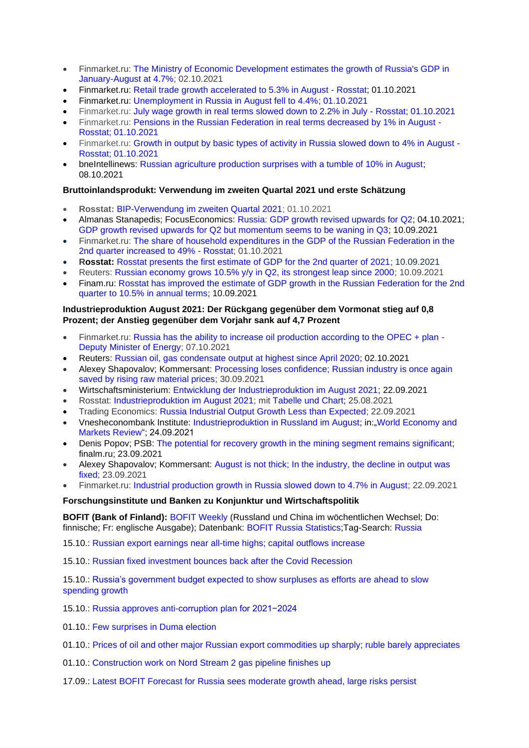- Finmarket.ru: [The Ministry of Economic Development estimates the growth of Russia's GDP in](http://www.finmarket.ru/news/5560483)  [January-August at 4.7%;](http://www.finmarket.ru/news/5560483) 02.10.2021
- Finmarket.ru: [Retail trade growth accelerated to 5.3% in August -](http://www.finmarket.ru/news/5560327) Rosstat; 01.10.2021
- Finmarket.ru: [Unemployment in Russia in August fell to 4.4%;](http://www.finmarket.ru/news/5560357) 01.10.2021
- Finmarket.ru: [July wage growth in real terms slowed down to 2.2% in July -](http://www.finmarket.ru/news/5560340) Rosstat; 01.10.2021
- Finmarket.ru: [Pensions in the Russian Federation in real terms decreased by 1% in August -](http://www.finmarket.ru/news/5560345) [Rosstat;](http://www.finmarket.ru/news/5560345) 01.10.2021
- Finmarket.ru: [Growth in output by basic types of activity in Russia slowed down to 4% in August -](http://www.finmarket.ru/news/5560307) [Rosstat;](http://www.finmarket.ru/news/5560307) 01.10.2021
- bneIntellinews: [Russian agriculture production surprises with a tumble of 10% in August;](https://www.intellinews.com/russian-agriculture-production-surprises-with-a-tumble-of-10-in-august-222981/) 08.10.2021

## **Bruttoinlandsprodukt: Verwendung im zweiten Quartal 2021 und erste Schätzung**

- **Rosstat:** [BIP-Verwendung im zweiten Quartal 2021;](https://rosstat.gov.ru/storage/mediabank/180_01-10-2021.htm) 01.10.2021
- Almanas Stanapedis; FocusEconomics: [Russia: GDP growth revised upwards for Q2;](https://www.focus-economics.com/countries/russia/news/gdp/gdp-growth-revised-upwards-for-q2) 04.10.2021; [GDP growth revised upwards for Q2 but momentum seems to be waning in Q3;](https://www.focus-economics.com/countries/russia/news/gdp/gdp-growth-revised-upwards-for-q2-but-momentum-seems-to-be-waning-in-q3) 10.09.2021
- Finmarket.ru: [The share of household expenditures in the GDP of the Russian Federation in the](http://www.finmarket.ru/news/5560358)  [2nd quarter increased to 49% -](http://www.finmarket.ru/news/5560358) Rosstat; 01.10.2021
- **Rosstat:** [Rosstat presents the first estimate of GDP for the 2nd quarter of 2021;](https://rosstat.gov.ru/folder/313/document/134085) 10.09.2021
- Reuters: [Russian economy grows 10.5% y/y in Q2, its strongest leap since 2000;](https://www.reuters.com/article/russia-economy-gdp/russian-economy-grows-10-5-y-y-in-q2-its-strongest-leap-since-2000-idUSR4N2PJ028) 10.09.2021
- Finam.ru: [Rosstat has improved the estimate of GDP growth in the Russian Federation for the 2nd](https://www.finam.ru/analysis/newsitem/rosstat-uluchshil-ocenku-rosta-vvp-rf-za-2-kvartal-do-10-5-v-godovom-vyrazhenii-20210910-191351/)  [quarter to 10.5% in annual terms;](https://www.finam.ru/analysis/newsitem/rosstat-uluchshil-ocenku-rosta-vvp-rf-za-2-kvartal-do-10-5-v-godovom-vyrazhenii-20210910-191351/) 10.09.2021

## **Industrieproduktion August 2021: Der Rückgang gegenüber dem Vormonat stieg auf 0,8 Prozent; der Anstieg gegenüber dem Vorjahr sank auf 4,7 Prozent**

- Finmarket.ru: [Russia has the ability to increase oil production according to the OPEC + plan -](http://www.finmarket.ru/news/5563559) [Deputy Minister of Energy;](http://www.finmarket.ru/news/5563559) 07.10.2021
- Reuters: [Russian oil, gas condensate output at highest since April 2020;](https://www.reuters.com/business/energy/russian-oil-gas-condensate-output-highest-since-april-2020-2021-10-02/) 02.10.2021
- Alexey Shapovalov; Kommersant: [Processing loses confidence; Russian industry is once again](https://www.kommersant.ru/doc/5008639)  [saved by rising raw material prices;](https://www.kommersant.ru/doc/5008639) 30.09.2021
- Wirtschaftsministerium: [Entwicklung der Industrieproduktion im August 2021;](https://economy.gov.ru/material/directions/makroec/ekonomicheskie_obzory/) 22.09.2021
- Rosstat: [Industrieproduktion im August 2021;](https://rosstat.gov.ru/folder/313/document/135340) mit [Tabelle und Chart;](https://rosstat.gov.ru/storage/mediabank/170_22-09-2021.html) 25.08.2021
- Trading Economics: [Russia Industrial Output Growth Less than Expected;](https://tradingeconomics.com/russia/industrial-production) 22.09.2021
- Vnesheconombank Institute: [Industrieproduktion in Russland im August;](http://inveb.ru/ru/articles-menu/693-obzor-mirovoj-ekonomiki-i-rynkov-17-23-sentyabrya-2021) in:"World Economy and [Markets Review"](http://inveb.ru/ru/articles-menu); 24.09.2021
- Denis Popov; PSB: [The potential for recovery growth in the mining segment remains significant;](https://www.finam.ru/analysis/marketnews/potencial-vosstanovitelnogo-rosta-v-dobyvayushem-segmente-ostaetsya-sushestvennym-20210923-19350/) finalm.ru; 23.09.2021
- Alexey Shapovalov; Kommersant: [August is not thick; In the industry, the decline in output was](https://www.kommersant.ru/doc/4997841)  [fixed;](https://www.kommersant.ru/doc/4997841) 23.09.2021
- Finmarket.ru: [Industrial production growth in Russia slowed down to 4.7% in August;](http://www.finmarket.ru/main/article/5554173) 22.09.2021

## **Forschungsinstitute und Banken zu Konjunktur und Wirtschaftspolitik**

**BOFIT (Bank of Finland):** [BOFIT Weekly](https://www.bofit.fi/en/monitoring/weekly/) (Russland und China im wöchentlichen Wechsel; Do: finnische; Fr: englische Ausgabe); Datenbank: [BOFIT Russia Statistics;](https://www.bofit.fi/en/monitoring/statistics/russia-statistics/)Tag-Search: [Russia](https://www.bofit.fi/en/tag-search/?tag=Russia)

15.10.: [Russian export earnings near all-time highs; capital outflows increase](https://www.bofit.fi/en/monitoring/weekly/2021/vw202141_1/)

15.10.: [Russian fixed investment bounces back after the Covid Recession](https://www.bofit.fi/en/monitoring/weekly/2021/vw202141_2/)

15.10.: [Russia's government budget expected to show surpluses as efforts are ahead to slow](https://www.bofit.fi/en/monitoring/weekly/2021/vw202141_3/)  [spending growth](https://www.bofit.fi/en/monitoring/weekly/2021/vw202141_3/)

15.10.: [Russia approves anti-corruption plan for 2021−2024](https://www.bofit.fi/en/monitoring/weekly/2021/vw202141_4/)

- 01.10. [Few surprises in Duma election](https://www.bofit.fi/en/monitoring/weekly/2021/vw202139_1/)
- 01.10.: [Prices of oil and other major Russian export commodities up sharply; ruble barely appreciates](https://www.bofit.fi/en/monitoring/weekly/2021/vw202139_2/)
- 01.10.: [Construction work on Nord Stream 2 gas pipeline finishes up](https://www.bofit.fi/en/monitoring/weekly/2021/vw202139_3/)
- 17.09.: [Latest BOFIT Forecast for Russia sees moderate growth ahead, large risks persist](https://www.bofit.fi/en/monitoring/weekly/2021/vw202137_1/)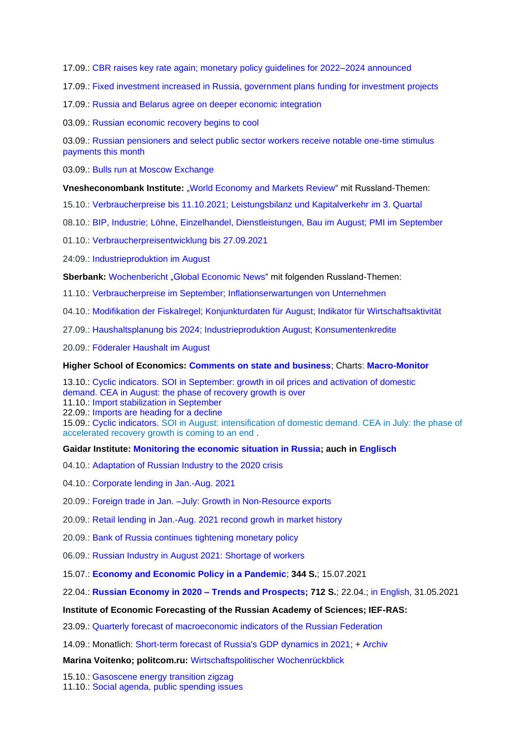17.09.: [CBR raises key rate again; monetary policy guidelines for 2022–2024 announced](https://www.bofit.fi/en/monitoring/weekly/2021/vw202137_2/)

17.09.: [Fixed investment increased in Russia, government plans funding for investment projects](https://www.bofit.fi/en/monitoring/weekly/2021/vw202137_3/)

17.09.: [Russia and Belarus agree on deeper economic integration](https://www.bofit.fi/en/monitoring/weekly/2021/vw202137_4/)

03.09.: [Russian economic recovery begins to cool](https://www.bofit.fi/en/monitoring/weekly/2021/vw202135_1/)

03.09.: Russian pensioners and select public sector workers receive notable one-time stimulus [payments this month](https://www.bofit.fi/en/monitoring/weekly/2021/vw202135_2/)

03.09.: [Bulls run at Moscow Exchange](https://www.bofit.fi/en/monitoring/weekly/2021/vw202135_3/)

**Vnesheconombank Institute:** ["World Economy and Markets Review"](http://inveb.ru/ru/articles-menu) mit Russland-Themen:

15.10.: [Verbraucherpreise bis 11.10.2021; Leistungsbilanz und Kapitalverkehr im 3. Quartal](http://inveb.ru/ru/articles-menu/703-obzor-mirovoj-ekonomiki-i-rynkov-7-14-oktyabrya-2021)

08.10.: [BIP, Industrie; Löhne, Einzelhandel, Dienstleistungen, Bau im August; PMI im September](http://inveb.ru/ru/articles-menu/698-obzor-mirovoj-ekonomiki-i-rynkov-1-6-oktyabrya-2021)

01.10.: [Verbraucherpreisentwicklung bis 27.09.2021](http://inveb.ru/ru/articles-menu/696-obzor-mirovoj-ekonomiki-i-rynkov-24-30-sentyabrya-2021)

24:09.: [Industrieproduktion im August](http://inveb.ru/ru/articles-menu/693-obzor-mirovoj-ekonomiki-i-rynkov-17-23-sentyabrya-2021)

Sberbank: [Wochenbericht](https://www.sberbank.com/ru/analytics/news) "Global Economic News" mit folgenden Russland-Themen:

11.10.: [Verbraucherpreise im September; Inflationserwartungen von Unternehmen](https://www.sberbank.com/ru/analytics/news/article?newsID=94282572-8859-40a2-aa6e-395929f7dd00&blockID=11004083®ionID=77&lang=ru&type=NEWS)

04.10.: [Modifikation der Fiskalregel; Konjunkturdaten für August; Indikator für Wirtschaftsaktivität](https://www.sberbank.com/ru/analytics/news/article?newsID=f055bdd5-4350-4bd5-af92-9b209bfcd930&blockID=11004083®ionID=77&lang=ru&type=NEWS)

27.09.: [Haushaltsplanung bis 2024; Industrieproduktion August; Konsumentenkredite](https://www.sberbank.com/ru/analytics/news/article?newsID=2d994539-459d-43dd-b8fc-2cfd6de3b00e&blockID=11004083®ionID=77&lang=ru&type=NEWS)

20.09.: [Föderaler Haushalt im August](https://www.sberbank.com/ru/analytics/news/article?newsID=eaf208c7-d2f8-4df7-97d5-9d67570f23bc&blockID=11004083®ionID=77&lang=ru&type=NEWS)

#### **Higher School of Economics: [Comments on state and business](https://dcenter.hse.ru/newkgb)**; Charts: **[Macro-Monitor](https://dcenter.hse.ru/macromonitor)**

13.10.: [Cyclic indicators.](http://www.hse.ru/pubs/share/direct/document/516737706.pdf) [SOI in September: growth in oil prices and activation of domestic](http://www.hse.ru/pubs/share/direct/document/516737706.pdf)  demand. [CEA in August: the phase of recovery growth is over](http://www.hse.ru/pubs/share/direct/document/516737706.pdf)

11.10.: [Import stabilization in September](http://www.hse.ru/pubs/share/direct/document/516279582.pdf)

22.09.: [Imports are heading for a decline](http://www.hse.ru/pubs/share/direct/document/508205568.pdf)

15.09.: [Cyclic indicators.](http://www.hse.ru/pubs/share/direct/document/506114600.pdf) [SOI in August: intensification of domestic demand.](http://www.hse.ru/pubs/share/direct/document/506114600.pdf) CEA in July: the phase of [accelerated recovery growth is coming to an end](http://www.hse.ru/pubs/share/direct/document/506114600.pdf) .

#### **Gaidar Institute: [Monitoring the economic situation in Russia;](https://www.iep.ru/ru/monitoring) auch in [Englisch](http://www.iep.ru/en/publications/category/1417.html)**

- 04.10.: [Adaptation of Russian Industry to the 2020 crisis](https://www.iep.ru/ru/monitoring/adaptatsiya-rossiyskoy-promyshlennosti-k-krizisu-2020-goda.html)
- 04.10.: [Corporate lending in Jan.-Aug. 2021](https://www.iep.ru/ru/monitoring/korporativnoe-kreditovanie-v-yanvare-avguste-2021-goda.html)

20.09.: [Foreign trade in Jan. –July: Growth in Non-Resource exports](https://www.iep.ru/ru/monitoring/vneshnyaya-torgovlya-v-yanvare-iyule-2021-goda-rost-nesyrevogo-eksporta.html)

- 20.09.: [Retail lending in Jan.-Aug. 2021 recond growh in market history](https://www.iep.ru/ru/monitoring/kreditovanie-fizicheskikh-lits-v-yanvare-avguste-2021-goda-rekordnyy-rost-v-istorii-rynka.html)
- 20.09.: [Bank of Russia continues tightening monetary policy](https://www.iep.ru/ru/monitoring/bank-rossii-prodolzhil-uzhestochenie-denezhno-kreditnoy-politiki.html)
- 06.09.: [Russian Industry in August 2021: Shortage of workers](https://www.iep.ru/ru/monitoring/rossiyskaya-promyshlennost-v-avguste-2021-goda-defitsit-rabotnikov.html)
- 15.07.: **[Economy and Economic Policy in a Pandemic](https://www.iep.ru/files/text/Gaidar_IEP_monographs/Ec_virus-text.pdf)**; **344 S.**; 15.07.2021

22.04.: **[Russian Economy in 2020 –](https://www.iep.ru/ru/publikatcii/publication/rossiyskaya-ekonomika-v-2020-godu-tendentsii-i-perspektivy-vypusk-42.html) Trends and Prospects; 712 S.**; 22.04.; [in English,](https://www.iep.ru/en/publications/category/1380.html) 31.05.2021

### **Institute of Economic Forecasting of the Russian Academy of Sciences; IEF-RAS:**

23.09.: [Quarterly forecast of macroeconomic indicators of the Russian Federation](https://ecfor.ru/nauchnye-izdaniya/kvartalnye-prognozy-makroekonomicheskih-pokazatelej-rf/)

14.09.: Monatlich: [Short-term forecast of Russia's GDP dynamics in 2021;](https://ecfor.ru/?from=novostibtn#newsanchor) + [Archiv](https://ecfor.ru/tempy-rosta-vvp-v-kratkosrochnoj-perspektive/)

**Marina Voitenko; politcom.ru:** [Wirtschaftspolitischer Wochenrückblick](http://politcom.ru/19979.html)

15.10.: [Gasoscene energy transition zigzag](http://politcom.ru/24340.html)

11.10.: [Social agenda, public spending](http://politcom.ru/24332.html) issues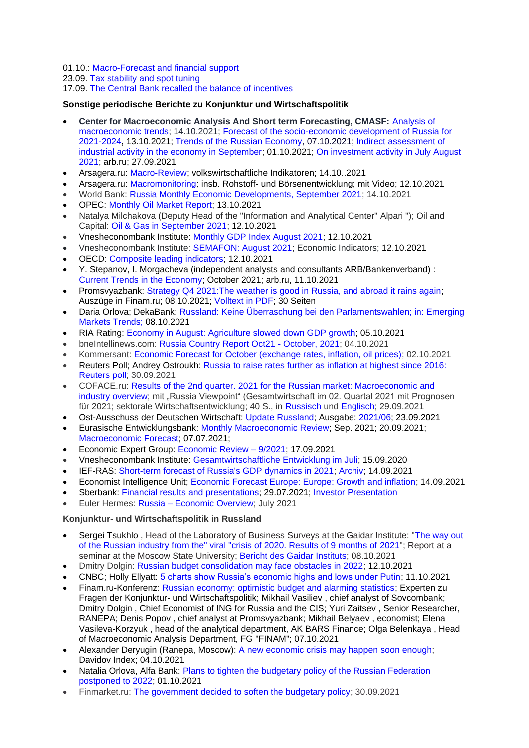## 01.10.: [Macro-Forecast and financial support](http://politcom.ru/24327.html)

## 23.09. [Tax stability and spot tuning](http://politcom.ru/24320.html)

## 17.09. [The Central Bank recalled the balance of incentives](http://politcom.ru/24315.html)

## **Sonstige periodische Berichte zu Konjunktur und Wirtschaftspolitik**

- **Center for Macroeconomic Analysis And Short term Forecasting, CMASF:** [Analysis of](http://www.forecast.ru/default.aspx)  [macroeconomic trends;](http://www.forecast.ru/default.aspx) 14.10.2021; [Forecast of the socio-economic development of Russia for](http://www.forecast.ru/default.aspx)  [2021-2024](http://www.forecast.ru/default.aspx)**,** 13.10.2021; [Trends of the Russian Economy,](http://www.forecast.ru/default.aspx) 07.10.2021; [Indirect assessment of](https://arb.ru/upload/iblock/c28/2021-10-01_%D0%BE_%D0%BA%D0%BE%D1%81%D0%B2%D0%B5%D0%BD%D0%BD%D0%BE%D0%B9_%D0%BE%D1%86%D0%B5%D0%BD%D0%BA%D0%B5.pdf)  [industrial activity in the economy in September;](https://arb.ru/upload/iblock/c28/2021-10-01_%D0%BE_%D0%BA%D0%BE%D1%81%D0%B2%D0%B5%D0%BD%D0%BD%D0%BE%D0%B9_%D0%BE%D1%86%D0%B5%D0%BD%D0%BA%D0%B5.pdf) 01.10.2021; [On investment activity in July August](https://arb.ru/banks/analitycs/ob_investaktivnosti_v_iyule_avguste-10504334/)  [2021;](https://arb.ru/banks/analitycs/ob_investaktivnosti_v_iyule_avguste-10504334/) arb.ru; 27.09.2021
- Arsagera.ru: [Macro-Review;](https://bf.arsagera.ru/makropokazateli/makroobzor_dannye_za_sentyabr_2021/) volkswirtschaftliche Indikatoren; 14.10..2021
- Arsagera.ru: [Macromonitoring;](https://bf.arsagera.ru/makropokazateli/makromonitoring_262_ot_12102021/) insb. Rohstoff- und Börsenentwicklung; mit Video; 12.10.2021
- World Bank: [Russia Monthly Economic Developments, September 2021;](https://www.worldbank.org/en/country/russia/brief/monthly-economic-developments) 14.10.2021
- OPEC: [Monthly Oil Market Report;](https://www.opec.org/opec_web/en/publications/338.htm) 13.10.2021
- Natalya Milchakova (Deputy Head of the "Information and Analytical Center" Alpari "); Oil and Capital: [Oil & Gas in September 2021;](https://oilcapital.ru/article/general/12-10-2021/neft-i-gaz-v-sentyabre-2021) 12.10.2021
- Vnesheconombank Institute: [Monthly GDP Index August 2021;](http://inveb.ru/ru/products/index-gdp) 12.10.2021
- Vnesheconombank Institute: [SEMAFON: August 2021;](http://inveb.ru/ru/products/product-03) Economic Indicators; 12.10.2021
- OECD: [Composite leading indicators;](https://www.oecd.org/sdd/leading-indicators/scheduleforcompositeleadingindicatorupdates.htm) 12.10.2021
- Y. Stepanov, I. Morgacheva (independent analysts and consultants ARB/Bankenverband) : [Current Trends in the Economy;](https://arb.ru/b2b/analitycs/arb/) October 2021; arb.ru, 11.10.2021
- Promsvyazbank: Strategy Q4 2021: The weather is good in Russia, and abroad it rains again; Auszüge in Finam.ru; 08.10.2021; [Volltext in PDF;](https://www.finam.ru/Files/u/nmacro/scenario_forecasts/202110/psb_strategy_102021.pdf) 30 Seiten
- Daria Orlova; DekaBank: [Russland: Keine Überraschung bei den Parlamentswahlen; in: Emerging](https://www.deka.de/site/dekade_deka-gruppe_site/get/documents/dekade/Publikationen/2021/Emerging%20Markets/20211008_Emerging_Markets_Trends.pdf)  [Markets Trends;](https://www.deka.de/site/dekade_deka-gruppe_site/get/documents/dekade/Publikationen/2021/Emerging%20Markets/20211008_Emerging_Markets_Trends.pdf) 08.10.2021
- RIA Rating: [Economy in August: Agriculture slowed down GDP growth;](https://riarating.ru/macroeconomics/20211005/630210160.html) 05.10.2021
- bneIntellinews.com: [Russia Country Report Oct21 -](https://www.intellinews.com/reports/russia-country-report-oct21-october-2021-78075/) October, 2021; 04.10.2021
- Kommersant: [Economic Forecast for October \(exchange rates, inflation, oil prices\);](https://www.kommersant.ru/doc/5011922) 02.10.2021
- Reuters Poll; Andrey Ostroukh: [Russia to raise rates further as inflation at highest since 2016:](https://www.reuters.com/article/russia-economy-poll/russia-to-raise-rates-further-as-inflation-at-highest-since-2016-reuters-poll-idUSKBN2GQ1FQ)  [Reuters poll;](https://www.reuters.com/article/russia-economy-poll/russia-to-raise-rates-further-as-inflation-at-highest-since-2016-reuters-poll-idUSKBN2GQ1FQ) 30.09.2021
- COFACE.ru: Results of the 2nd quarter. [2021 for the Russian market: Macroeconomic and](https://www.coface.ru/Novosti-i-Publikacii/Novosti/Itogi-2-kv.-2021-g.-dlya-rossijskogo-rynka-makroekonomicheskij-i-otraslevoj-obzor)  [industry overview;](https://www.coface.ru/Novosti-i-Publikacii/Novosti/Itogi-2-kv.-2021-g.-dlya-rossijskogo-rynka-makroekonomicheskij-i-otraslevoj-obzor) mit "Russia Viewpoint" (Gesamtwirtschaft im 02. Quartal 2021 mit Prognosen für 2021; sektorale Wirtschaftsentwicklung; 40 S., in [Russisch](https://www.coface.ru/content/download/197217/3279014/version/1/file/Coface+Russia+ViewPoint+2Q2021+RU.pdf) und [Englisch;](https://www.coface.ru/content/download/197218/3279017/version/1/file/Coface+Russia+ViewPoint+2Q2021+EN.pdf) 29.09.2021
- Ost-Ausschuss der Deutschen Wirtschaft: Update [Russland;](https://www.ost-ausschuss.de/de/oa-updates-zu-regionen) Ausgabe: [2021/06;](https://www.ost-ausschuss.de/sites/default/files/paragraphs/pdf/2021-09/06-2021_OA_Update_Russland.pdf) 23.09.2021
- Eurasische Entwicklungsbank: [Monthly Macroeconomic Review;](https://eabr.org/analytics/monthly-review/) Sep. 2021; 20.09.2021; [Macroeconomic Forecast;](https://eabr.org/analytics/ceg-quarterly-reviews/makroekonomicheskiy-prognoz-eabr-vozvrashchenie-inflyatsii-nadolgo-li-i-stoit-li-boyatsya-/) 07.07.2021;
- Economic Expert Group: [Economic Review –](http://www.eeg.ru/pages/186) 9/2021; 17.09.2021
- Vnesheconombank Institute: [Gesamtwirtschaftliche Entwicklung im Juli;](http://inveb.ru/ru/articles-menu/687-dinamika-osnovnykh-makropokazatelej-v-iyule-2021) 15.09.2020
- IEF-RAS: [Short-term forecast of Russia's GDP dynamics in 2021;](https://ecfor.ru/?from=novostibtn#newsanchor) [Archiv;](https://ecfor.ru/tempy-rosta-vvp-v-kratkosrochnoj-perspektive/) 14.09.2021
- Economist Intelligence Unit; [Economic Forecast Europe: Europe: Growth and inflation;](http://gfs.eiu.com/Archive.aspx?archiveType=Europe) 14.09.2021
- Sberbank: [Financial results and presentations;](https://www.sberbank.com/investor-relations/financial-results-and-presentations/ifrs) 29.07.2021; Investor [Presentation](https://www.sberbank.com/investor-relations/reports-and-publications/investor-presentation)
- Euler Hermes: Russia [Economic Overview;](https://www.eulerhermes.com/en_global/economic-research/country-reports/Russia.html#link_internal_3) July 2021

## **Konjunktur- und Wirtschaftspolitik in Russland**

- Sergei Tsukhlo, Head of the Laboratory of Business Surveys at the Gaidar Institute: "The way out [of the Russian industry from the" viral "crisis of 2020. Results of 9 months of](https://www.iep.ru/files/news/tsukhlo_07.10.2021.pdf) 2021"; Report at a seminar at the Moscow State University; [Bericht des Gaidar Instituts;](https://www.iep.ru/ru/sobytiya/sergey-tsukhlo-vystupil-na-seminare-po-ekonomike-i-energetiki-i-okruzhayushchey-sredy-v-mshe-mgu-im-m-v-lomonosova.html) 08.10.2021
- Dmitry Dolgin: [Russian budget consolidation may face obstacles in 2022;](https://think.ing.com/articles/russian-budget-consolidation-may-face-obstacles-in-2022/) 12.10.2021
- CNBC; Holly Ellyatt: [5 charts show Russia's economic highs and lows under Putin;](https://www.cnbc.com/2021/10/11/russias-economy-under-president-putin-in-charts.html) 11.10.2021
- Finam.ru-Konferenz: [Russian economy: optimistic budget and alarming statistics;](https://www.finam.ru/analysis/conf00001/rossiiyskaya-ekonomika-optimistichnyiy-byudzhet-i-trevozhnaya-statistika-20211007-13000/) Experten zu Fragen der Konjunktur- und Wirtschaftspolitik; [Mikhail Vasiliev](https://www.finam.ru/analysis/author00F5900001/) , chief analyst of Sovcombank; [Dmitry Dolgin](https://www.finam.ru/analysis/author00E65/) , Chief Economist of ING for Russia and the CIS; [Yuri Zaitsev](https://www.finam.ru/analysis/author00D95/) , Senior Researcher, RANEPA; [Denis Popov](https://www.finam.ru/analysis/author007F100001/) , chief analyst at Promsvyazbank; [Mikhail Belyaev](https://www.finam.ru/analysis/author00BC3/) , economist; [Elena](https://www.finam.ru/analysis/author00CFA/)  [Vasileva-Korzyuk](https://www.finam.ru/analysis/author00CFA/) , head of the analytical department, AK BARS Finance; [Olga Belenkaya](https://www.finam.ru/analysis/author000F3/) , Head of Macroeconomic Analysis Department, FG "FINAM"; 07.10.2021
- Alexander Deryugin (Ranepa, Moscow): [A new economic crisis may happen soon enough;](https://davydov.in/economics/aleksandr-deryugin-moskva-novyj-ekonomicheskogo-krizis-mozhet-sluchitsya-dostatochno-skoro/) Davidov Index; 04.10.2021
- Natalia Orlova, Alfa Bank: [Plans to tighten the budgetary policy of the Russian Federation](https://www.finam.ru/analysis/forecasts/plany-po-uzhestocheniyu-byudzhetnoiy-politiki-rf-pereneseny-na-2022-god-20211001-183522/)  [postponed to 2022;](https://www.finam.ru/analysis/forecasts/plany-po-uzhestocheniyu-byudzhetnoiy-politiki-rf-pereneseny-na-2022-god-20211001-183522/) 01.10.2021
- Finmarket.ru: [The government decided to soften the budgetary policy;](http://www.finmarket.ru/main/article/5558723) 30.09.2021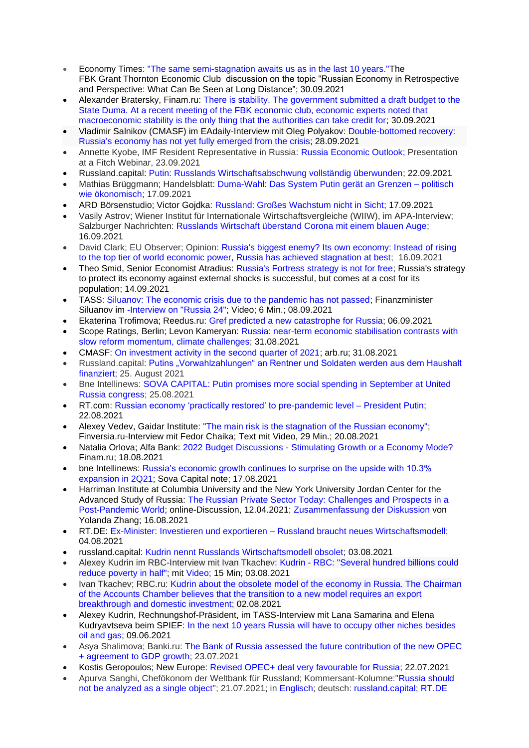- Economy Times: ["The same semi-stagnation awaits us as in the last 10 years."T](http://economytimes.ru/kurs-rulya/nas-ozhidaet-takaya-zhe-polustagnaciya-kak-i-v-poslednie-10-let)he FBK Grant Thornton Economic Club discussion on the topic "Russian Economy in Retrospective and Perspective: What Can Be Seen at Long Distance"; 30.09.2021
- Alexander Bratersky, Finam.ru: There is stability. The government submitted a draft budget to the [State Duma. At a recent meeting of the FBK economic club, economic experts noted that](https://www.finam.ru/analysis/newsitem/stabilnost-est-pravitelstvo-vneslo-proekt-byudzheta-v-gosdumu-20210930-195238/)  [macroeconomic stability is the only thing that the authorities can take credit for;](https://www.finam.ru/analysis/newsitem/stabilnost-est-pravitelstvo-vneslo-proekt-byudzheta-v-gosdumu-20210930-195238/) 30.09.2021
- Vladimir Salnikov (CMASF) im EAdaily-Interview mit Oleg Polyakov: [Double-bottomed recovery:](https://eadaily.com/ru/news/2021/09/28/vosstanovlenie-s-dvoynym-dnom-ekonomika-rossii-eshche-ne-do-konca-vyshla-iz-krizisa)  [Russia's economy has not yet fully emerged from](https://eadaily.com/ru/news/2021/09/28/vosstanovlenie-s-dvoynym-dnom-ekonomika-rossii-eshche-ne-do-konca-vyshla-iz-krizisa) the crisis; 28.09.2021
- Annette Kyobe, IMF Resident Representative in Russia: [Russia Economic Outlook;](https://www.imf.org/-/media/Files/Countries/ResRep/RUS/English/russia-outlook-short-fitch-sep23-2021.ashx) Presentation at a Fitch Webinar, 23.09.2021
- Russland.capital: [Putin: Russlands Wirtschaftsabschwung vollständig überwunden;](https://www.russland.capital/putin-russlands-wirtschaftsabschwung-vollstaendig-ueberwunden) 22.09.2021
- Mathias Brüggmann; Handelsblatt: [Duma-Wahl:](https://www.handelsblatt.com/politik/international/duma-wahl-das-system-putin-geraet-an-grenzen-politisch-wie-oekonomisch/27618498.html?share=twitter&ticket=ST-3566900-EiHxu7DPzCUL67UuDlov-ap2) Das System Putin gerät an Grenzen politisch wie [ökonomisch;](https://www.handelsblatt.com/politik/international/duma-wahl-das-system-putin-geraet-an-grenzen-politisch-wie-oekonomisch/27618498.html?share=twitter&ticket=ST-3566900-EiHxu7DPzCUL67UuDlov-ap2) 17.09.2021
- ARD Börsenstudio; Victor Gojdka: [Russland: Großes Wachstum nicht in Sicht;](https://www.tagesschau.de/wirtschaft/weltwirtschaft/russland-wahl-finanzinvestoren-101.html) 17.09.2021
- Vasily Astrov; Wiener Institut für Internationale Wirtschaftsvergleiche (WIIW), im APA-Interview; Salzburger Nachrichten: [Russlands Wirtschaft überstand Corona mit einem blauen Auge;](https://www.sn.at/wirtschaft/welt/russlands-wirtschaft-ueberstand-corona-mit-einem-blauen-auge-109540660) 16.09.2021
- David Clark; EU Observer; Opinion: [Russia's biggest enemy? Its own economy: Instead of rising](https://euobserver.com/opinion/152825)  [to the top tier of world economic power, Russia has achieved stagnation at best;](https://euobserver.com/opinion/152825) 16.09.2021
- Theo Smid, Senior Economist Atradius: [Russia's Fortress strategy is not for free;](https://atradius.de/publikation/economic-research-russia-fortress-strategy-is-not-for-free.html) Russia's strategy to protect its economy against external shocks is successful, but comes at a cost for its population; 14.09.2021
- TASS: Siluanov: The economic crisis due to the pandemic has not passed: Finanzminister Siluanov im [-Interview on "Russia 24";](https://www.youtube.com/watch?v=0lVjmhtTj6E) Video; 6 Min.; 08.09.2021
- Ekaterina Trofimova; Reedus.ru: [Gref predicted a new catastrophe for Russia;](https://www.ridus.ru/news/361562) 06.09.2021
- Scope Ratings, Berlin; Levon Kameryan: [Russia: near-term economic stabilisation contrasts with](https://www.scoperatings.com/ScopeRatingsApi/api/downloadstudy?id=2f481315-2e37-4015-8fb4-5cf193da2ddf)  [slow reform momentum, climate challenges;](https://www.scoperatings.com/ScopeRatingsApi/api/downloadstudy?id=2f481315-2e37-4015-8fb4-5cf193da2ddf) 31.08.2021
- CMASF: [On investment activity in the second quarter of 2021;](https://arb.ru/banks/analitycs/ob_investaktivnosti_vo_vtorom_kvartale_2021_g-10496762/) arb.ru; 31.08.2021
- Russland.capital: Putins "Vorwahlzahlungen" an Rentner und Soldaten werden aus dem Haushalt [finanziert; 25. August 2021](https://www.russland.capital/putins-vorwahlzahlungen-an-rentner-und-soldaten-werden-aus-dem-haushalt-finanziert)
- Bne Intellinews: [SOVA CAPITAL: Putin promises more social spending in September at United](https://bne.eu/sova-capital-putin-promises-more-social-spending-in-september-at-united-russia-congress-218983/)  [Russia congress;](https://bne.eu/sova-capital-putin-promises-more-social-spending-in-september-at-united-russia-congress-218983/) 25.08.2021
- RT.com: [Russian economy 'practically restored' to pre-pandemic level –](https://www.rt.com/business/532752-putin-russia-economy-pre-pandemic-level/) President Putin; 22.08.2021
- Alexey Vedev, Gaidar Institute: ["The main risk is the stagnation of the Russian economy";](https://www.finversia.ru/interview/aleksei-vedev-glavnyi-risk-eto-stagnatsiya-rossiiskoi-ekonomiki-100133) Finversia.ru-Interview mit Fedor Chaika; Text mit Video, 29 Min.; 20.08.2021
- Natalia Orlova; Alfa Bank: 2022 Budget Discussions [Stimulating Growth or a Economy Mode?](https://www.finam.ru/analysis/forecasts/diskussii-po-byudzhetu-2022-goda-stimulirovanie-rosta-ili-rezhim-ekonomii-20210818-165145/) Finam.ru; 18.08.2021
- bne Intellinews: [Russia's economic growth continues to surprise on the upside with 10.3%](https://www.intellinews.com/russia-s-economic-growth-continues-to-surprise-on-the-upside-with-10-3-expansion-in-2q21-218310/)  [expansion in 2Q21;](https://www.intellinews.com/russia-s-economic-growth-continues-to-surprise-on-the-upside-with-10-3-expansion-in-2q21-218310/) Sova Capital note; 17.08.2021
- [Harriman](https://harriman.columbia.edu/) Institute at Columbia University and the New York University [Jordan Center for the](http://jordanrussiacenter.org/)  [Advanced Study of Russia:](http://jordanrussiacenter.org/) [The Russian Private Sector Today: Challenges and Prospects in a](https://harriman.columbia.edu/event/the-russian-private-sector-today-challenges-and-prospects-in-a-post-pandemic-world/)  [Post-Pandemic World;](https://harriman.columbia.edu/event/the-russian-private-sector-today-challenges-and-prospects-in-a-post-pandemic-world/) online-Discussion, 12.04.2021; [Zusammenfassung der Diskussion](https://jordanrussiacenter.org/event-recaps/the-russian-private-sector-today-challenges-and-prospects-in-a-post-pandemic-world/#.YRv5RY4za1u) von Yolanda Zhang; 16.08.2021
- RT.DE: Ex-Minister: Investieren und exportieren [Russland braucht neues Wirtschaftsmodell;](https://de.rt.com/russland/121735-ex-finanzminister-russlands-wirtschaftsmodell-ist-veraltet/) 04.08.2021
- russland.capital: [Kudrin nennt Russlands Wirtschaftsmodell obsolet;](https://www.russland.capital/kudrin-nennt-russlands-wirtschaftsmodell-obsolet) 03.08.2021
- Alexey Kudrin im RBC-Interview mit Ivan Tkachev: Kudrin [RBC: "Several hundred billions could](https://www.rbc.ru/economics/02/08/2021/61070b8d9a79473e03d8f54a)  [reduce poverty in half";](https://www.rbc.ru/economics/02/08/2021/61070b8d9a79473e03d8f54a) mit [Video;](https://www.youtube.com/watch?v=4-J_eHGmvsc) 15 Min; 03.08.2021
- Ivan Tkachev; RBC.ru: [Kudrin about the obsolete model of the economy in Russia. The Chairman](https://www.rbc.ru/economics/02/08/2021/61070b8d9a79473e03d8f54a)  [of the Accounts Chamber believes that the transition to a new model requires an export](https://www.rbc.ru/economics/02/08/2021/61070b8d9a79473e03d8f54a)  [breakthrough and domestic investment;](https://www.rbc.ru/economics/02/08/2021/61070b8d9a79473e03d8f54a) 02.08.2021
- Alexey Kudrin, Rechnungshof-Präsident, im TASS-Interview mit Lana Samarina and Elena Kudryavtseva beim SPIEF: [In the next 10 years Russia will have to occupy other niches besides](https://tass.ru/interviews/11605981)  [oil and gas;](https://tass.ru/interviews/11605981) 09.06.2021
- Asya Shalimova; Banki.ru: [The Bank of Russia assessed the future contribution of the new OPEC](https://www.banki.ru/news/lenta/?id=10950339)  [+ agreement to GDP growth;](https://www.banki.ru/news/lenta/?id=10950339) 23.07.2021
- Kostis Geropoulos; New Europe: [Revised OPEC+ deal very favourable for Russia;](https://www.neweurope.eu/article/revised-opec-deal-very-favourable-for-russia/) 22.07.2021
- Apurva Sanghi, Chefökonom der Weltbank für Russland; Kommersant-Kolumne:["Russia should](https://www.kommersant.ru/doc/4910045)  [not be analyzed as a single object"](https://www.kommersant.ru/doc/4910045); 21.07.2021; in [Englisch;](https://www.worldbank.org/en/news/opinion/2021/07/29/half-a-decade-on-reflecting-on-russia-s-unsung-successes) deutsch: [russland.capital;](https://www.russland.capital/russland-sollte-nicht-als-eine-einheit-analysiert-werden) [RT.DE](https://de.rt.com/russland/121158-weltbank-chef-ueber-russlands-uebersehene-erfolge/)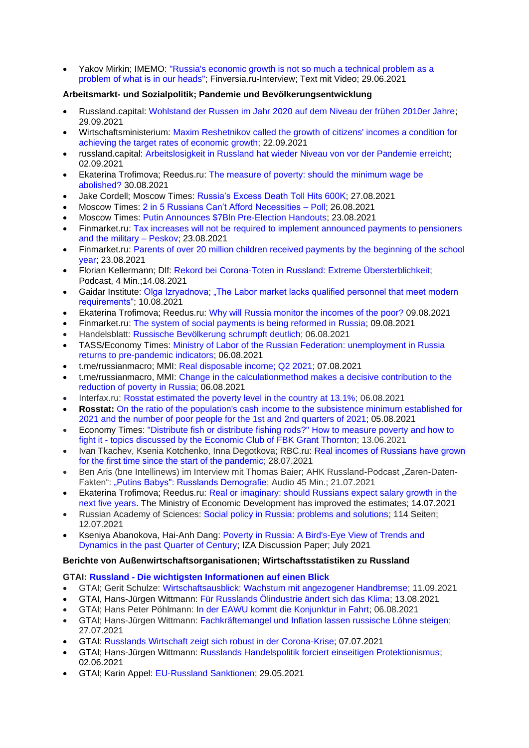• Yakov Mirkin; IMEMO: ["Russia's economic growth is not so much a technical problem as a](https://www.finversia.ru/interview/yakov-mirkin-ekonomicheskii-rost-rossii-eto-ne-stolko-tekhnicheskaya-zadacha-skolko-problema-togo-chto-u-nas-v-golovakh-97544)  [problem of what](https://www.finversia.ru/interview/yakov-mirkin-ekonomicheskii-rost-rossii-eto-ne-stolko-tekhnicheskaya-zadacha-skolko-problema-togo-chto-u-nas-v-golovakh-97544) is in our heads"; Finversia.ru-Interview; Text mit Video; 29.06.2021

## **Arbeitsmarkt- und Sozialpolitik; Pandemie und Bevölkerungsentwicklung**

- Russland.capital: [Wohlstand der Russen im Jahr 2020 auf dem Niveau der frühen 2010er Jahre;](https://www.russland.capital/wohlstand-der-russen-im-jahr-2020-auf-dem-niveau-der-fruehen-2010er-jahre) 29.09.2021
- Wirtschaftsministerium: [Maxim Reshetnikov called the growth of citizens' incomes a condition for](https://economy.gov.ru/material/news/maksim_reshetnikov_nazval_rost_dohodov_grazhdan_usloviem_dlya_dostizheniya_celevyh_tempov_ekonomicheskogo_rosta.html)  [achieving the target rates of economic growth;](https://economy.gov.ru/material/news/maksim_reshetnikov_nazval_rost_dohodov_grazhdan_usloviem_dlya_dostizheniya_celevyh_tempov_ekonomicheskogo_rosta.html) 22.09.2021
- russland.capital: [Arbeitslosigkeit in Russland hat wieder Niveau von vor der Pandemie erreicht;](https://www.russland.capital/arbeitslosigkeit-in-russland-hat-wieder-niveau-von-vor-der-pandemie-erreicht) 02.09.2021
- Ekaterina Trofimova; Reedus.ru: [The measure of poverty: should the minimum wage be](https://www.ridus.ru/news/361091)  [abolished?](https://www.ridus.ru/news/361091) 30.08.2021
- Jake Cordell; Moscow Times: [Russia's Excess Death Toll Hits 600K;](https://www.themoscowtimes.com/2021/08/27/russias-excess-death-toll-hits-600k-a74920) 27.08.2021
- Moscow Times: [2 in 5 Russians Can't Afford Necessities –](https://www.themoscowtimes.com/2021/08/25/2-in-5-russians-cant-afford-necessities-poll-a74888) Poll; 26.08.2021
- Moscow Times: [Putin Announces \\$7Bln Pre-Election Handouts;](https://www.themoscowtimes.com/2021/08/23/putin-announces-7bln-pre-election-handouts-a74868) 23.08.2021
- Finmarket.ru: [Tax increases will not be required to implement announced payments to pensioners](http://www.finmarket.ru/news/5533893)  [and the military –](http://www.finmarket.ru/news/5533893) Peskov; 23.08.2021
- Finmarket.ru: Parents of over 20 million children received payments by the beginning of the school [year;](http://www.finmarket.ru/news/5534164) 23.08.2021
- Florian Kellermann; Dlf: Rekord bei Corona-Toten in Russland: Extreme [Übersterblichkeit;](https://ondemand-mp3.dradio.de/file/dradio/2021/08/14/rekord_bei_corona_toten_in_russland_extreme_dlf_20210814_0650_5933f662.mp3) Podcast, 4 Min.;14.08.2021
- Gaidar Institute: [Olga Izryadnova; "The Labor market lacks qualified personnel that meet modern](https://www.iep.ru/ru/kommentarii/olga-izryadnova-na-rynke-truda-ne-khvataet-kvalifitsirovannykh-kadrov-otvechayushchikh-sovremennym-trebovaniyam.html)  [requirements";](https://www.iep.ru/ru/kommentarii/olga-izryadnova-na-rynke-truda-ne-khvataet-kvalifitsirovannykh-kadrov-otvechayushchikh-sovremennym-trebovaniyam.html) 10.08.2021
- Ekaterina Trofimova; Reedus.ru: [Why will Russia monitor the incomes of the poor?](https://www.ridus.ru/news/359779) 09.08.2021
- Finmarket.ru: [The system of social payments is being reformed in Russia;](http://www.finmarket.ru/main/article/5525294) 09.08.2021
- Handelsblatt: Russische [Bevölkerung](https://www.handelsblatt.com/dpa/konjunktur/wirtschaft-handel-und-finanzen-russische-bevoelkerung-schrumpft-deutlich/27492320.html?ticket=ST-7067320-QIjeZIb7l2JmQzFzmS09-ap4) schrumpft deutlich; 06.08.2021
- TASS/Economy Times: [Ministry of Labor of the Russian Federation: unemployment in Russia](https://economytimes.ru/novosti/mintrud-rf-bezrabotica-v-rossii-vozvrashchaetsya-k-dopandemicheskim-pokazatelyam)  [returns to pre-pandemic indicators;](https://economytimes.ru/novosti/mintrud-rf-bezrabotica-v-rossii-vozvrashchaetsya-k-dopandemicheskim-pokazatelyam) 06.08.2021
- t.me/russianmacro; MMI: [Real disposable income; Q2 2021;](https://t.me/russianmacro/11921) 07.08.2021
- t.me/russianmacro, MMI: [Change in the calculationmethod makes a decisive contribution to the](https://t.me/russianmacro/11917)  [reduction of poverty in Russia;](https://t.me/russianmacro/11917) 06.08.2021
- Interfax.ru: [Rosstat estimated the poverty level in the country at 13.1%;](https://www.interfax.ru/russia/782984) 06.08.2021
- **Rosstat:** [On the ratio of the population's cash income to the subsistence minimum established for](https://gks.ru/bgd/free/B04_03/IssWWW.exe/Stg/d02/143.htm)  [2021 and the number of poor people for the](https://gks.ru/bgd/free/B04_03/IssWWW.exe/Stg/d02/143.htm) 1st and 2nd quarters of 2021; 05.08.2021
- Economy Times: ["Distribute fish or distribute fishing rods?" How to measure poverty and how to](http://economytimes.ru/kurs-rulya/razdat-rybu-ili-razdat-udochki)  fight it - [topics discussed by the Economic Club of FBK Grant Thornton;](http://economytimes.ru/kurs-rulya/razdat-rybu-ili-razdat-udochki) 13.06.2021
- Ivan Tkachev, Ksenia Kotchenko, Inna Degotkova; RBC.ru: [Real incomes of Russians have grown](https://www.rbc.ru/economics/28/07/2021/6101796f9a79473c8ddf2c7f)  [for the first time since the start of the pandemic;](https://www.rbc.ru/economics/28/07/2021/6101796f9a79473c8ddf2c7f) 28.07.2021
- Ben Aris (bne Intellinews) im Interview mit Thomas Baier; AHK Russland-Podcast "Zaren-Daten-Fakten": ["Putins Babys": Russlands Demografie;](https://podcasts.google.com/feed/aHR0cHM6Ly9mZWVkcy5yZWRjaXJjbGUuY29tL2U5NmY1OTU3LTY2NzAtNDBkYS1hZTBkLWI4ODkyYTA1YmZkZQ/episode/ZWJmZmYxNzctMDUwYy00ZTI2LTk3ZDMtZDIxNDIxZTU5MmM5?sa=X&ved=0CAUQkfYCahcKEwi4x7a7tovyAhUAAAAAHQAAAAAQCg) Audio 45 Min.; 21.07.2021
- Ekaterina Trofimova; Reedus.ru: [Real or imaginary: should Russians expect salary growth in the](https://www.ridus.ru/news/358102)  [next five years.](https://www.ridus.ru/news/358102) The Ministry of Economic Development has improved the estimates; 14.07.2021
- Russian Academy of Sciences: [Social policy in Russia: problems and solutions;](https://ecfor.ru/publication/sotsialnaya-politika-v-rossii-problemy-i-resheniya/) 114 Seiten; 12.07.2021
- Kseniya Abanokova, [Hai-Anh Dang:](https://www.iza.org/person/3376) [Poverty in Russia: A Bird's-Eye View of Trends and](https://www.iza.org/en/publications/dp/14544/poverty-in-russia-a-birds-eye-view-of-trends-and-dynamics-in-the-past-quarter-of-century)  [Dynamics in the past Quarter of Century;](https://www.iza.org/en/publications/dp/14544/poverty-in-russia-a-birds-eye-view-of-trends-and-dynamics-in-the-past-quarter-of-century) IZA Discussion Paper; July 2021

## **Berichte von Außenwirtschaftsorganisationen; Wirtschaftsstatistiken zu Russland**

## **GTAI: Russland - [Die wichtigsten Informationen auf einen Blick](https://www.gtai.de/gtai-de/trade/weltkarte/europa/russland-118766)**

- GTAI; Gerit Schulze: [Wirtschaftsausblick: Wachstum mit angezogener Handbremse;](https://www.gtai.de/gtai-de/trade/wirtschaftsumfeld/wirtschaftsausblick/russland/wachstum-mit-angezogener-handbremse-584942) 11.09.2021
- GTAI, Hans-Jürgen Wittmann: [Für Russlands Ölindustrie ändert sich das Klima;](https://www.gtai.de/gtai-de/trade/branchen/branchenbericht/russland/fuer-russlands-oelindustrie-aendert-sich-das-klima-685510) 13.08.2021
- GTAI; Hans Peter Pöhlmann: [In der EAWU kommt die Konjunktur in Fahrt;](https://www.gtai.de/gtai-de/trade/wirtschaftsumfeld/bericht-wirtschaftsumfeld/eawu/in-der-eawu-kommt-die-konjunktur-in-fahrt-683992) 06.08.2021
- GTAI; Hans-Jürgen Wittmann: [Fachkräftemangel und Inflation lassen russische Löhne steigen;](https://www.gtai.de/gtai-de/trade/wirtschaftsumfeld/lohn-und-lohnnebenkosten/russland/fachkraeftemangel-und-inflation-lassen-russische-loehne-steigen-675762) 27.07.2021
- GTAI: [Russlands Wirtschaft zeigt sich robust in der Corona-Krise;](https://www.gtai.de/gtai-de/trade/specials/special/russland/russlands-wirtschaft-zeigt-sich-robust-in-der-coronakrise--242418) 07.07.2021
- GTAI; Hans-Jürgen Wittmann: [Russlands Handelspolitik forciert einseitigen Protektionismus;](https://www.gtai.de/gtai-de/meta/ueber-uns/was-wir-tun/schwerpunkte/offene/russlands-handelspolitik-forciert-einseitigen-protektionismus-646142) 02.06.2021
- GTAI; Karin Appel: [EU-Russland Sanktionen;](https://www.gtai.de/gtai-de/trade/zoll/special/russland/gtai-special-russland-sanktionen-65188) 29.05.2021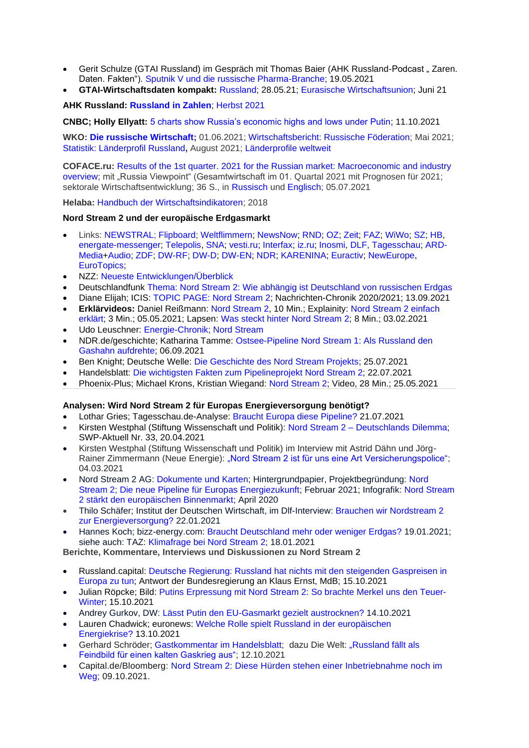- Gerit Schulze (GTAI Russland) im Gespräch mit Thomas Baier (AHK Russland-Podcast "Zaren. [Daten. Fakten"\).](https://podcasts.google.com/feed/aHR0cHM6Ly9mZWVkcy5yZWRjaXJjbGUuY29tL2U5NmY1OTU3LTY2NzAtNDBkYS1hZTBkLWI4ODkyYTA1YmZkZQ?sa=X&ved=0CAMQ4aUDahcKEwi4zqm44uzwAhUAAAAAHQAAAAAQAg) [Sputnik V und die russische Pharma-Branche;](https://podcasts.google.com/feed/aHR0cHM6Ly9mZWVkcy5yZWRjaXJjbGUuY29tL2U5NmY1OTU3LTY2NzAtNDBkYS1hZTBkLWI4ODkyYTA1YmZkZQ/episode/YmU4MTBjYWEtMjQ2Yi00Y2RhLTg2MzgtMmMyZjI3ZTBlYjFm?sa=X&ved=0CAUQkfYCahcKEwiY0cGy1dfwAhUAAAAAHQAAAAAQAg) 19.05.2021
- **GTAI-Wirtschaftsdaten kompakt:** [Russland;](https://www.gtai.de/resource/blob/18370/5eaafbd2aef7513a1820a917fc316bb1/GTAI-Wirtschaftsdaten_Mai_2021_Russland.pdf) 28.05.21; [Eurasische Wirtschaftsunion;](https://www.gtai.de/resource/blob/20768/ec48f8c8b21566492f6f8da0877605b3/GTAI-Wirtschaftsdaten_Juni_2021_EAWU.pdf) Juni 21

## **AHK Russland: [Russland in Zahlen](https://russland.ahk.de/infothek/publikationen)**; [Herbst 2021](https://russland.ahk.de/infothek/publikationen)

**CNBC; Holly Ellyatt:** [5 charts show Russia's economic highs and lows under Putin;](https://www.cnbc.com/2021/10/11/russias-economy-under-president-putin-in-charts.html) 11.10.2021

**WKO: [Die russische Wirtschaft;](https://www.wko.at/service/aussenwirtschaft/die-russische-wirtschaft.html)** 01.06.2021; [Wirtschaftsbericht: Russische Föderation;](https://www.wko.at/service/aussenwirtschaft/russische-foederation-wirtschaftsbericht.pdf) Mai 2021; [Statistik: Länderprofil Russland](https://www.wko.at/service/aussenwirtschaft/die-russische-wirtschaft.html#heading_statistik_laenderprofil)**,** August 2021; [Länderprofile weltweit](https://www.wko.at/service/zahlen-daten-fakten/laenderprofile-weltweit.html)

**COFACE.ru:** Results of the 1st quarter. [2021 for the Russian market: Macroeconomic and industry](https://www.coface.ru/Novosti-i-Publikacii/Novosti/Itogi-1-kv.-2021-g.-dlya-rossijskogo-rynka-makroekonomicheskij-i-otraslevoj-obzor)  [overview;](https://www.coface.ru/Novosti-i-Publikacii/Novosti/Itogi-1-kv.-2021-g.-dlya-rossijskogo-rynka-makroekonomicheskij-i-otraslevoj-obzor) mit "Russia Viewpoint" (Gesamtwirtschaft im 01. Quartal 2021 mit Prognosen für 2021; sektorale Wirtschaftsentwicklung; 36 S., in [Russisch](https://www.coface.ru/content/download/195003/3242318/version/1/file/Russia_ViewPoint_v04_RU_21_0701c.pdf) und [Englisch;](https://www.coface.ru/content/download/195130/3244557/version/1/file/Russia_ViewPoint_v04_ENG_21_0707a.pdf) 05.07.2021

**Helaba:** [Handbuch der Wirtschaftsindikatoren;](https://www.helaba.de/blueprint/servlet/resource/blob/docs/478732/2ea66c6cc795fac1c80a15e480ab9c24/report-20181023-handbuch-der-wirtschaftsindikatoren-data.pdf) 2018

## **Nord Stream 2 und der europäische Erdgasmarkt**

- Links: [NEWSTRAL;](https://newstral.com/de/search/articles?utf8=%E2%9C%93&q=Nord+Stream) [Flipboard;](https://flipboard.com/topic/de-nordstream2) [Weltflimmern;](https://www.weltflimmern.de/nord%20stream%202) [NewsNow;](https://www.newsnow.co.uk/h/Industry+Sectors/Energy~Utilities/Natural+Gas/Nord+Stream+2) [RND;](https://www.rnd.de/themen/nord-stream-2/) [OZ;](https://www.ostsee-zeitung.de/nordstream-2) [Zeit;](https://www.zeit.de/thema/nord-stream-2) [FAZ;](https://www.faz.net/aktuell/wirtschaft/thema/nord-stream-2) [WiWo;](https://www.wiwo.de/suche/?sw=Nord%20Stream) [SZ;](https://www.sueddeutsche.de/thema/Nord_Stream_2) [HB,](https://www.handelsblatt.com/themen/nord-stream-2) [energate-messenger;](https://www.energate-messenger.de/themen/Nord-Stream-2?) [Telepolis,](https://www.heise.de/tp/thema/Nord-Stream-2) [SNA;](https://snanews.de/product_nord-stream-2/) [vesti.ru;](https://www.vesti.ru/theme/2490) [Interfax;](https://www.interfax.ru/tags/%D1%E5%E2%E5%F0%ED%FB%E9+%EF%EE%F2%EE%EA+2) [iz.ru;](https://iz.ru/tag/severnyi-potok-2) [Inosmi,](https://inosmi.ru/tags/product_Severnyjj_potok_2/) [DLF,](https://www.deutschlandfunk.de/suchergebnisse.448.de.html?search:word=Nord+Stream&search:resultsPerPage=50&search:sort=date&search:withNews:0=WithNews&search:submit=1) [Tagesschau;](https://www.tagesschau.de/thema/nord_stream_2/) [ARD-](https://www.ardmediathek.de/suche/Nord%20Stream/)[Media+](https://www.ardmediathek.de/suche/Nord%20Stream/)[Audio;](https://www.ardaudiothek.de/suche?q=Nord%20%20Stream) [ZDF;](https://www.zdf.de/nachrichten/thema/nord-stream-2-142.html) [DW-RF;](https://www.dw.com/ru/nord-stream-kompanija/t-17949730) [DW-D;](https://www.dw.com/search/de?languageCode=de&origin=gN&item=Nord+Stream+2&searchNavigationId=9077) [DW-EN;](https://www.dw.com/search/?languageCode=en&item=Nord%20Stream%202&searchNavigationId=9097&sort=DATE&resultsCounter=30) [NDR;](https://www.ndr.de/nachrichten/info/Erdgas,erdgas213.html) [KARENINA;](https://www.karenina.de/category/news/wirtschaft/?seotag=Nord+Stream+2) [Euractiv;](https://www.euractiv.com/sections/pipeline-politics/) [NewEurope,](https://www.neweurope.eu/author/kostis-geropoulos/) [EuroTopics;](https://www.eurotopics.net/de/232139/nord-stream-2)
- NZZ: [Neueste Entwicklungen/Überblick](https://www.nzz.ch/wirtschaft/pipeline-projekt-nord-stream-2-die-neusten-entwicklungen-ld.1483495)
- Deutschlandfunk [Thema: Nord Stream 2: Wie abhängig ist Deutschland von russischen Erdgas](https://www.deutschlandfunk.de/nord-stream-2-wie-abhaengig-ist-deutschland-von-russischem.2897.de.html?dram:article_id=483727)
- Diane Elijah; ICIS: [TOPIC PAGE: Nord Stream 2;](https://www.icis.com/explore/resources/news/2021/07/12/10463483/topic-page-nord-stream-2) Nachrichten-Chronik 2020/2021; 13.09.2021
- **Erklärvideos:** Daniel Reißmann: [Nord Stream 2,](https://www.youtube.com/watch?v=L1ObWXBHnYE) 10 Min.; Explainity: [Nord Stream 2 einfach](https://www.youtube.com/watch?v=FAxs9HFIPTc)  [erklärt;](https://www.youtube.com/watch?v=FAxs9HFIPTc) 3 Min.; 05.05.2021; Lapsen: [Was steckt hinter Nord Stream 2;](https://www.youtube.com/watch?v=RP8PdTojPVw) 8 Min.; 03.02.2021
- Udo Leuschner: [Energie-Chronik; Nord Stream](https://www.udo-leuschner.de/energie-chronik/ypipelines.htm#nordstream)
- NDR.de/geschichte; Katharina Tamme: [Ostsee-Pipeline Nord Stream 1: Als Russland den](https://www.ndr.de/geschichte/schauplaetze/Nord-Stream-Vor-zehn-Jahren-stroemt-erstes-Gas-durch-Ostsee-Pipeline,nordstream622.html)  [Gashahn aufdrehte;](https://www.ndr.de/geschichte/schauplaetze/Nord-Stream-Vor-zehn-Jahren-stroemt-erstes-Gas-durch-Ostsee-Pipeline,nordstream622.html) 06.09.2021
- Ben Knight; Deutsche Welle: [Die Geschichte des Nord Stream Projekts;](https://www.dw.com/de/die-geschichte-des-nord-stream-projekts/a-58634008) 25.07.2021
- Handelsblatt: Die wichtigsten Fakten zum [Pipelineprojekt](https://www.handelsblatt.com/finanzen/nord-stream-2-die-wichtigsten-fakten-zum-pipelineprojekt-nord-stream-2/26154910.html?ticket=ST-33334-Zu2qsMraSBQiLvPqt2B3-ap3) Nord Stream 2; 22.07.2021
- Phoenix-Plus; Michael Krons, Kristian Wiegand: [Nord Stream 2;](https://www.ardmediathek.de/video/phoenix-vor-ort/phoenix-plus-nordstream-2/phoenix/Y3JpZDovL3dkci5kZS9CZWl0cmFnLTY0ZmIyNjFiLTdmMmMtNGZjYS1hNjY4LWZjZmQ0OTVhYTRhYg/) Video, 28 Min.; 25.05.2021

## **Analysen: Wird Nord Stream 2 für Europas Energieversorgung benötigt?**

- Lothar Gries; Tagesschau.de-Analyse: [Braucht Europa diese Pipeline?](https://www.tagesschau.de/wirtschaft/weltwirtschaft/nordstream-zwei-gasversorgung-pipeline-energie-russland-101.html) 21.07.2021
- Kirsten Westphal (Stiftung Wissenschaft und Politik): Nord Stream 2 [Deutschlands Dilemma;](https://www.swp-berlin.org/publikation/nord-stream-2-deutschlands-dilemma) SWP-Aktuell Nr. 33, 20.04.2021
- Kirsten Westphal (Stiftung Wissenschaft und Politik) im Interview mit Astrid Dähn und JörgRainer Zimmermann (Neue Energie): "Nord Stream 2 [ist für uns eine Art Versicherungspolice";](https://www.neueenergie.net/politik/weltweit/nord-stream-2-ist-fuer-uns-eine-art-versicherungspolice) 04.03.2021
- Nord Stream 2 AG: [Dokumente und Karten;](https://www.nord-stream2.com/de/media-info/dokumente/) Hintergrundpapier, Projektbegründung: [Nord](https://www.nord-stream2.com/de/pdf/document/4/)  [Stream 2; Die neue Pipeline für Europas Energiezukunft;](https://www.nord-stream2.com/de/pdf/document/4/) Februar 2021; Infografik: [Nord Stream](https://www.nord-stream2.com/de/pdf/document/119/)  [2 stärkt den europäischen Binnenmarkt;](https://www.nord-stream2.com/de/pdf/document/119/) April 2020
- Thilo Schäfer; Institut der Deutschen Wirtschaft, im Dlf-Interview: [Brauchen wir Nordstream 2](https://www.ardaudiothek.de/episode/umwelt-und-verbraucher/brauchen-wir-nordstream-2-zur-energieversorgung-interview-thilo-schaefer-iw/deutschlandfunk/85460744)  [zur Energieversorgung?](https://www.ardaudiothek.de/episode/umwelt-und-verbraucher/brauchen-wir-nordstream-2-zur-energieversorgung-interview-thilo-schaefer-iw/deutschlandfunk/85460744) 22.01.2021
- Hannes Koch; bizz-energy.com: [Braucht Deutschland mehr oder weniger Erdgas?](https://bizz-energy.com/braucht-deutschland-mehr-oder-weniger-erdgas) 19.01.2021; siehe auch: TAZ: [Klimafrage bei Nord Stream 2;](https://taz.de/Energiewende-und-Erdgas/!5741619/) 18.01.2021

**Berichte, Kommentare, Interviews und Diskussionen zu Nord Stream 2**

- Russland.capital: [Deutsche Regierung: Russland hat nichts mit den steigenden Gaspreisen in](https://www.russland.capital/deutsche-regierung-russland-hat-nichts-mit-den-steigenden-gaspreisen-in-europa-zu-tun)  [Europa zu tun;](https://www.russland.capital/deutsche-regierung-russland-hat-nichts-mit-den-steigenden-gaspreisen-in-europa-zu-tun) Antwort der Bundesregierung an Klaus Ernst, MdB; 15.10.2021
- Julian Röpcke; Bild: [Putins Erpressung mit Nord Stream 2: So brachte Merkel](https://www.bild.de/politik/inland/politik-inland/putins-erpressung-mit-nord-stream-2-so-brachte-uns-merkel-den-teuer-winter-77961338.bild.html) uns den Teuer-[Winter;](https://www.bild.de/politik/inland/politik-inland/putins-erpressung-mit-nord-stream-2-so-brachte-uns-merkel-den-teuer-winter-77961338.bild.html) 15.10.2021
- Andrey Gurkov, DW: [Lässt Putin den EU-Gasmarkt gezielt austrocknen?](https://www.dw.com/de/l%C3%A4sst-putin-den-eu-gasmarkt-gezielt-austrocknen/a-59505598) 14.10.2021
- Lauren Chadwick; euronews: [Welche Rolle spielt Russland in der europäischen](https://de.euronews.com/2021/10/13/welche-rolle-spielt-russland-in-der-europaischen-energiekrise)  [Energiekrise?](https://de.euronews.com/2021/10/13/welche-rolle-spielt-russland-in-der-europaischen-energiekrise) 13.10.2021
- Gerhard Schröder; [Gastkommentar im Handelsblatt;](https://www.handelsblatt.com/meinung/gastbeitraege/gastkommentar-russland-kein-feindbild-fuer-einen-kalten-gaskrieg/27684130.html) dazu Die Welt: "Russland fällt als [Feindbild für einen kalten Gaskrieg aus";](https://www.welt.de/wirtschaft/article234359252/Gerhard-Schroeder-Russland-faellt-als-Feindbild-fuer-einen-Gaskrieg-aus.html) 12.10.2021
- Capital.de/Bloomberg: [Nord Stream 2: Diese Hürden stehen einer Inbetriebnahme noch im](https://www.capital.de/wirtschaft-politik/nord-stream-2-diese-huerden-stehen-einer-inbetriebnahme-noch-im-weg)  [Weg;](https://www.capital.de/wirtschaft-politik/nord-stream-2-diese-huerden-stehen-einer-inbetriebnahme-noch-im-weg) 09.10.2021.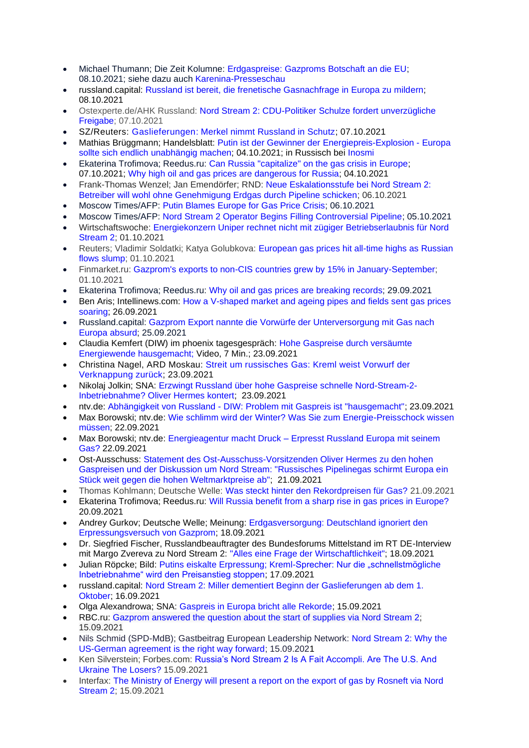- Michael Thumann; Die Zeit Kolumne: [Erdgaspreise: Gazproms Botschaft an die EU;](https://www.zeit.de/politik/ausland/2021-10/erdgaspreise-anstieg-russland-einfluss-gazprom-nordstream-2) 08.10.2021; siehe dazu auch [Karenina-Presseschau](https://www.karenina.de/service/presseschau/nord-stream-2-erpresst-gazprom-die-eu/)
- russland.capital: [Russland ist bereit, die frenetische Gasnachfrage in Europa zu mildern;](https://www.russland.capital/russland-ist-bereit-die-frenetische-gasnachfrage-in-europa-zu-mildern) 08.10.2021
- Ostexperte.de/AHK Russland: [Nord Stream 2: CDU-Politiker Schulze fordert unverzügliche](https://ostexperte.de/nord-stream-2-freigabe-forderung-aus-deutschland/)  [Freigabe;](https://ostexperte.de/nord-stream-2-freigabe-forderung-aus-deutschland/) 07.10.2021
- SZ/Reuters: Gaslieferungen: [Merkel nimmt Russland in Schutz;](https://www.sueddeutsche.de/wirtschaft/gaslieferungen-merkel-nimmt-russland-in-schutz-1.5432716) 07.10.2021
- Mathias Brüggmann; Handelsblatt: Putin ist der Gewinner der [Energiepreis-Explosion](https://www.handelsblatt.com/meinung/kommentare/kommentar-putin-ist-der-gewinner-der-energiepreis-explosion-europa-sollte-sich-endlich-unabhaengig-machen-/27675122.html?ticket=ST-8875969-i2vlbpnh0F4775fxJhyl-ap2) Europa sollte sich endlich [unabhängig](https://www.handelsblatt.com/meinung/kommentare/kommentar-putin-ist-der-gewinner-der-energiepreis-explosion-europa-sollte-sich-endlich-unabhaengig-machen-/27675122.html?ticket=ST-8875969-i2vlbpnh0F4775fxJhyl-ap2) machen; 04.10.2021; in Russisch bei [Inosmi](https://inosmi.ru/politic/20211006/250647656.html)
- Ekaterina Trofimova; Reedus.ru: [Can Russia "capitalize" on the gas crisis in Europe;](https://www.ridus.ru/news/363792) 07.10.2021; [Why high oil and gas prices are dangerous for Russia;](https://www.ridus.ru/news/363500) 04.10.2021
- Frank-Thomas Wenzel; Jan Emendörfer; RND: [Neue Eskalationsstufe bei Nord Stream 2:](https://www.rnd.de/wirtschaft/nord-stream-2-neue-eskalationsstufe-betreiber-will-wohl-ohne-genehmigung-erdgas-durch-pipeline-ITC4B7JBBJDUDCKFDZDH45OLVQ.html)  [Betreiber will wohl ohne Genehmigung Erdgas durch Pipeline schicken;](https://www.rnd.de/wirtschaft/nord-stream-2-neue-eskalationsstufe-betreiber-will-wohl-ohne-genehmigung-erdgas-durch-pipeline-ITC4B7JBBJDUDCKFDZDH45OLVQ.html) 06.10.2021
- Moscow Times/AFP: [Putin Blames Europe for Gas Price Crisis;](https://www.themoscowtimes.com/2021/10/06/putin-blames-europe-for-gas-price-crisis-a75232) 06.10.2021
- Moscow Times/AFP: [Nord Stream 2 Operator Begins Filling Controversial Pipeline;](https://www.themoscowtimes.com/2021/10/04/nord-stream-2-operator-begins-filling-controversial-pipeline-a75209) 05.10.2021
- Wirtschaftswoche: [Energiekonzern Uniper rechnet nicht mit zügiger Betriebserlaubnis für Nord](https://www.wiwo.de/energiekonzern-uniper-rechnet-nicht-mit-zuegiger-betriebserlaubnis-fuer-nord-stream-2/27667748.html)  [Stream 2;](https://www.wiwo.de/energiekonzern-uniper-rechnet-nicht-mit-zuegiger-betriebserlaubnis-fuer-nord-stream-2/27667748.html) 01.10.2021
- Reuters; Vladimir Soldatki; Katya Golubkova: European gas prices hit all-time highs as Russian [flows slump;](https://www.reuters.com/business/energy/european-gas-prices-hit-all-time-highs-russian-flows-slump-2021-10-01/) 01.10.2021
- Finmarket.ru: Gazprom's exports to non-CIS countries grew by 15% in January-September: 01.10.2021
- Ekaterina Trofimova; Reedus.ru: [Why oil and gas prices are breaking records;](https://www.ridus.ru/news/363212) 29.09.2021
- Ben Aris; Intellinews.com: [How a V-shaped market and ageing pipes and fields sent gas prices](https://www.intellinews.com/long-read-how-a-v-shaped-market-and-ageing-pipes-and-fields-sent-gas-prices-soaring-221422/?source=russia)  [soaring;](https://www.intellinews.com/long-read-how-a-v-shaped-market-and-ageing-pipes-and-fields-sent-gas-prices-soaring-221422/?source=russia) 26.09.2021
- Russland.capital: [Gazprom Export nannte die Vorwürfe der Unterversorgung mit Gas nach](https://www.russland.capital/gazprom-export-nannte-die-vorwuerfe-der-unterversorgung-mit-gas-nach-europa-absurd)  [Europa absurd;](https://www.russland.capital/gazprom-export-nannte-die-vorwuerfe-der-unterversorgung-mit-gas-nach-europa-absurd) 25.09.2021
- Claudia Kemfert (DIW) im phoenix tagesgespräch: [Hohe Gaspreise durch versäumte](https://www.phoenix.de/sendungen/gespraeche/phoenix-tagesgespraech/mit-claudia-kemfert-am-230921-a-2302274.html?ref=aktuelles)  [Energiewende hausgemacht;](https://www.phoenix.de/sendungen/gespraeche/phoenix-tagesgespraech/mit-claudia-kemfert-am-230921-a-2302274.html?ref=aktuelles) Video, 7 Min.; 23.09.2021
- Christina Nagel, ARD Moskau: Streit um [russisches](https://www.tagesschau.de/ausland/asien/russland-gas-103.html) Gas: Kreml weist Vorwurf der [Verknappung](https://www.tagesschau.de/ausland/asien/russland-gas-103.html) zurück; 23.09.2021
- Nikolaj Jolkin; SNA: [Erzwingt Russland über hohe Gaspreise schnelle Nord-Stream-2-](https://snanews.de/20210923/russland-hohe-gaspreise-nord-stream-2-3689027.html) [Inbetriebnahme? Oliver Hermes kontert;](https://snanews.de/20210923/russland-hohe-gaspreise-nord-stream-2-3689027.html) 23.09.2021
- ntv.de: Abhängigkeit von Russland [DIW: Problem mit Gaspreis ist "hausgemacht";](https://www.n-tv.de/wirtschaft/DIW-Problem-mit-Gaspreis-ist-hausgemacht-article22823780.html) 23.09.2021
- Max Borowski; ntv.de: [Wie schlimm wird der Winter? Was Sie zum Energie-Preisschock wissen](https://www.n-tv.de/wirtschaft/Was-Sie-zum-Energie-Preisschock-wissen-muessen-article22819898.html)  [müssen;](https://www.n-tv.de/wirtschaft/Was-Sie-zum-Energie-Preisschock-wissen-muessen-article22819898.html) 22.09.2021
- Max Borowski; ntv.de: Energieagentur macht Druck [Erpresst Russland Europa mit seinem](https://www.n-tv.de/wirtschaft/Erpresst-Russland-Europa-mit-seinem-Gas-article22819548.html)  [Gas?](https://www.n-tv.de/wirtschaft/Erpresst-Russland-Europa-mit-seinem-Gas-article22819548.html) 22.09.2021
- Ost-Ausschuss: [Statement des Ost-Ausschuss-Vorsitzenden Oliver Hermes zu den hohen](https://www.ost-ausschuss.de/de/russisches-pipelinegas-schirmt-europa-ein-stueck-weit-gegen-die-hohen-weltmarktpreise-ab)  [Gaspreisen und der Diskussion um Nord Stream: "Russisches Pipelinegas schirmt Europa ein](https://www.ost-ausschuss.de/de/russisches-pipelinegas-schirmt-europa-ein-stueck-weit-gegen-die-hohen-weltmarktpreise-ab)  [Stück weit gegen die hohen Weltmarktpreise ab";](https://www.ost-ausschuss.de/de/russisches-pipelinegas-schirmt-europa-ein-stueck-weit-gegen-die-hohen-weltmarktpreise-ab) 21.09.2021
- Thomas Kohlmann; Deutsche Welle: [Was steckt hinter den Rekordpreisen für Gas?](https://p.dw.com/p/40cBR) 21.09.2021
- Ekaterina Trofimova; Reedus.ru: [Will Russia benefit from a sharp rise in gas prices in Europe?](https://www.ridus.ru/news/362512) 20.09.2021
- Andrey Gurkov; Deutsche Welle; Meinung: [Erdgasversorgung: Deutschland ignoriert den](https://www.dw.com/de/meinung-deutschland-ignoriert-den-erpressungsversuch-von-gazprom/a-59216301)  [Erpressungsversuch von Gazprom;](https://www.dw.com/de/meinung-deutschland-ignoriert-den-erpressungsversuch-von-gazprom/a-59216301) 18.09.2021
- Dr. Siegfried Fischer, Russlandbeauftragter des Bundesforums Mittelstand im RT DE-Interview mit Margo Zvereva zu Nord Stream 2: ["Alles eine Frage der Wirtschaftlichkeit";](https://de.rt.com/inland/124321-alles-frage-wirtschaftlichkeit-dr-siegfried/) 18.09.2021
- Julian Röpcke; Bild: [Putins eiskalte Erpressung; Kreml-Sprecher: Nur die "schnellstmögliche](https://www.bild.de/politik/ausland/politik-ausland/nord-stream-2-oder-hohe-gaspreise-putins-eiskalte-erpressung-77701922.bild.html)  [Inbetriebnahme" wird den Preisanstieg stoppen;](https://www.bild.de/politik/ausland/politik-ausland/nord-stream-2-oder-hohe-gaspreise-putins-eiskalte-erpressung-77701922.bild.html) 17.09.2021
- russland.capital: [Nord Stream 2: Miller dementiert Beginn der Gaslieferungen ab dem 1.](https://www.russland.capital/nord-stream-2-miller-dementiert-beginn-der-gaslieferungen-ab-dem-1-oktober)  [Oktober;](https://www.russland.capital/nord-stream-2-miller-dementiert-beginn-der-gaslieferungen-ab-dem-1-oktober) 16.09.2021
- Olga Alexandrowa; SNA: [Gaspreis in Europa bricht alle Rekorde;](https://snanews.de/20210915/gaspreis-in-europa-bricht-alle-rekorde-3584741.html) 15.09.2021
- RBC.ru: [Gazprom answered the question about the start of supplies via Nord Stream 2;](https://www.rbc.ru/rbcfreenews/61420ae99a79473ea4254e8a) 15.09.2021
- Nils Schmid (SPD-MdB): Gastbeitrag European Leadership Network: [Nord Stream 2: Why the](https://www.europeanleadershipnetwork.org/commentary/nord-stream-2-why-the-us-german-agreement-is-the-right-way-forward/) [US-German agreement is the right way forward;](https://www.europeanleadershipnetwork.org/commentary/nord-stream-2-why-the-us-german-agreement-is-the-right-way-forward/) 15.09.2021
- Ken Silverstein; Forbes.com: [Russia's Nord Stream 2 Is A Fait Accompli. Are The U.S. And](https://www.forbes.com/sites/kensilverstein/2021/09/15/russias-nord-stream-2-is-a-fait-accompli-are-the-us-and-ukraine-the-losers/?sh=1c61d924684f)  [Ukraine The Losers?](https://www.forbes.com/sites/kensilverstein/2021/09/15/russias-nord-stream-2-is-a-fait-accompli-are-the-us-and-ukraine-the-losers/?sh=1c61d924684f) 15.09.2021
- Interfax: [The Ministry of Energy will present a report on the export of gas by Rosneft via Nord](https://www.interfax.ru/business/790481)  [Stream 2;](https://www.interfax.ru/business/790481) 15.09.2021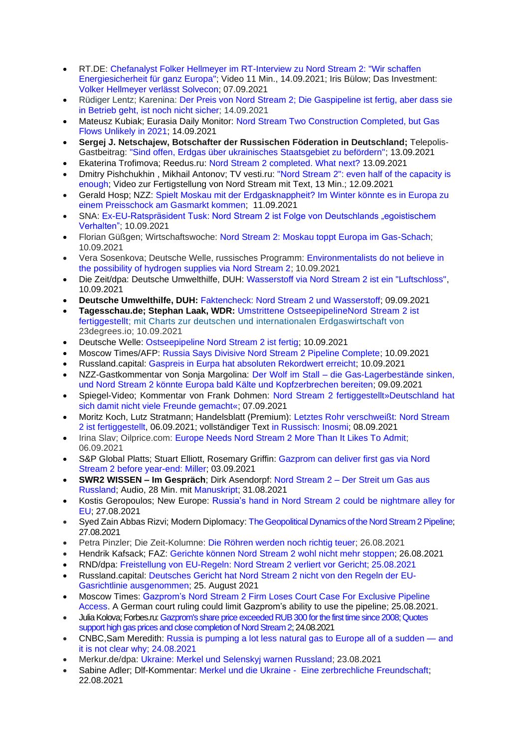- RT.DE: [Chefanalyst Folker Hellmeyer im RT-Interview zu Nord Stream 2: "Wir schaffen](https://de.rt.com/europa/124081-wir-schaffen-energiesicherheit-fur-ganz/)  [Energiesicherheit für ganz Europa";](https://de.rt.com/europa/124081-wir-schaffen-energiesicherheit-fur-ganz/) Video 11 Min., 14.09.2021; Iris Bülow; Das Investment: [Volker Hellmeyer verlässt Solvecon;](https://www.dasinvestment.com/folker-hellmeyer-verlaesst-solvecon/) 07.09.2021
- Rüdiger Lentz; Karenina: [Der Preis von Nord Stream 2; Die Gaspipeline ist fertig, aber dass sie](https://www.karenina.de/news/der-preis-von-nord-stream-2/)  [in Betrieb geht, ist noch nicht sicher;](https://www.karenina.de/news/der-preis-von-nord-stream-2/) 14.09.2021
- Mateusz Kubiak; Eurasia Daily Monitor: Nord Stream Two Construction Completed, but Gas [Flows Unlikely in 2021;](https://jamestown.org/program/nord-stream-two-construction-completed-but-gas-flows-unlikely-in-2021/) 14.09.2021
- **Sergej J. Netschajew, Botschafter der Russischen Föderation in Deutschland;** Telepolis-Gastbeitrag: ["Sind offen, Erdgas über ukrainisches Staatsgebiet zu befördern";](https://www.heise.de/tp/features/Sind-offen-Erdgas-ueber-ukrainisches-Staatsgebiet-zu-befoerdern-6189986.html) 13.09.2021
- Ekaterina Trofimova; Reedus.ru: [Nord Stream 2 completed. What next?](https://www.ridus.ru/news/362059) 13.09.2021
- Dmitry Pishchukhin , Mikhail Antonov; TV vesti.ru: ["Nord Stream 2": even half of the capacity is](https://www.vesti.ru/article/2612527)  [enough;](https://www.vesti.ru/article/2612527) Video zur Fertigstellung von Nord Stream mit Text, 13 Min.; 12.09.2021
- Gerald Hosp: NZZ: Spielt Moskau mit der Erdgasknappheit? Im Winter könnte es in Europa zu [einem Preisschock am Gasmarkt kommen;](https://www.nzz.ch/wirtschaft/hohe-erdgaspreise-in-europa-uebt-moskau-am-gashahn-druck-aus-ld.1643706) 11.09.2021
- SNA: [Ex-EU-Ratspräsident Tusk: Nord Stream 2 ist Folge von Deutschlands "egoistischem](https://snanews.de/20210910/ex-eu-ratspraesident-tusk-nord-stream-2-folge-deutschland-verhalten-3533501.html)  [Verhalten";](https://snanews.de/20210910/ex-eu-ratspraesident-tusk-nord-stream-2-folge-deutschland-verhalten-3533501.html) 10.09.2021
- Florian Güßgen; Wirtschaftswoche: [Nord Stream 2: Moskau toppt Europa im Gas-Schach;](https://www.wiwo.de/unternehmen/energie/nord-stream-2-moskau-toppt-europa-im-gas-schach/27602354.html) 10.09.2021
- Vera Sosenkova; Deutsche Welle, russisches Programm: [Environmentalists do not believe in](https://www.dw.com/ru/nemeckie-jekologi-somnevajutsja-v-vozmozhnosti-postavok-vodoroda-cherez-severnyj-potok-2/a-59147891)  [the possibility of hydrogen supplies via Nord Stream 2;](https://www.dw.com/ru/nemeckie-jekologi-somnevajutsja-v-vozmozhnosti-postavok-vodoroda-cherez-severnyj-potok-2/a-59147891) 10.09.2021
- Die Zeit/dpa: Deutsche Umwelthilfe, DUH: [Wasserstoff via Nord Stream 2 ist ein "Luftschloss",](https://www.zeit.de/news/2021-09/10/duh-wasserstoff-via-nord-stream-2-ist-ein-luftschloss) 10.09.2021
- **Deutsche Umwelthilfe, DUH:** [Faktencheck: Nord Stream 2 und Wasserstoff;](https://www.duh.de/fileadmin/user_upload/download/Pressemitteilungen/Energie/Nord_Stream_2/210909_DUH_Faktencheck_H2_und_NS2.pdf) 09.09.2021
- **Tagesschau.de; Stephan Laak, WDR:** Umstrittene [OstseepipelineNord](https://www.tagesschau.de/wirtschaft/unternehmen/nord-stream2-bau-abgeschlossen-101.html) Stream 2 ist [fertiggestellt;](https://www.tagesschau.de/wirtschaft/unternehmen/nord-stream2-bau-abgeschlossen-101.html) mit Charts zur deutschen und internationalen Erdgaswirtschaft von 23degrees.io; 10.09.2021
- Deutsche Welle: [Ostseepipeline Nord Stream 2 ist fertig;](https://www.dw.com/de/ostseepipeline-nord-stream-2-ist-fertig/a-59140514) 10.09.2021
- Moscow Times/AFP: [Russia Says Divisive Nord Stream 2 Pipeline Complete;](https://www.themoscowtimes.com/2021/09/10/russia-says-divisive-nord-stream-2-pipeline-complete-a75015) 10.09.2021
- Russland.capital: [Gaspreis in Eurpa hat absoluten Rekordwert erreicht;](https://www.russland.capital/gaspreis-in-europa-hat-absoluten-rekordwert-erreicht) 10.09.2021
- NZZ-Gastkommentar von Sonja Margolina: Der Wolf im Stall [die Gas-Lagerbestände sinken,](https://www.nzz.ch/meinung/der-wolf-im-stall-countdown-zu-nord-stream-2-ld.1643953)  [und Nord Stream 2 könnte Europa bald Kälte und Kopfzerbrechen bereiten;](https://www.nzz.ch/meinung/der-wolf-im-stall-countdown-zu-nord-stream-2-ld.1643953) 09.09.2021
- Spiegel-Video; Kommentar von Frank Dohmen: [Nord Stream 2 fertiggestellt»Deutschland hat](https://www.spiegel.de/wirtschaft/nord-stream-2-fertiggestellt-deutschland-hat-sich-damit-nicht-viele-freunde-gemacht-a-e89a198c-2a4d-4671-9fab-8fd3c1070a73)  [sich damit nicht viele Freunde gemacht«;](https://www.spiegel.de/wirtschaft/nord-stream-2-fertiggestellt-deutschland-hat-sich-damit-nicht-viele-freunde-gemacht-a-e89a198c-2a4d-4671-9fab-8fd3c1070a73) 07.09.2021
- Moritz Koch, Lutz Stratmann; Handelsblatt (Premium): Letztes Rohr [verschweißt:](https://www.handelsblatt.com/politik/international/ostseepipeline-letztes-rohr-verschweisst-nord-stream-2-ist-fertiggestellt/27582016.html) Nord Stream 2 ist [fertiggestellt,](https://www.handelsblatt.com/politik/international/ostseepipeline-letztes-rohr-verschweisst-nord-stream-2-ist-fertiggestellt/27582016.html) 06.09.2021; vollständiger Text [in Russisch: Inosmi;](https://inosmi.ru/politic/20210908/250458934.html) 08.09.2021
- Irina Slav; Oilprice.com: [Europe Needs Nord Stream 2 More Than It Likes To Admit;](https://oilprice.com/Geopolitics/International/Europe-Needs-Nord-Stream-2-More-Than-It-Likes-To-Admit.html?utm_source=feedburner&utm_medium=feed&utm_campaign=Feed%3A+oilpricecom+%28Oil+Price.com+Daily+News+Update%29) 06.09.2021
- S&P Global Platts; Stuart Elliott, Rosemary Griffin: [Gazprom](https://www.spglobal.com/platts/en/market-insights/latest-news/natural-gas/090321-gazprom-can-deliver-first-gas-via-nord-stream-2-before-year-end-miller) can deliver first gas via Nord Stream 2 before [year-end:](https://www.spglobal.com/platts/en/market-insights/latest-news/natural-gas/090321-gazprom-can-deliver-first-gas-via-nord-stream-2-before-year-end-miller) Miller; 03.09.2021
- **SWR2 WISSEN – Im Gespräch**; Dirk Asendorpf: Nord [Stream](https://www.swr.de/swr2/wissen/nord-stream-2-der-streit-um-gas-aus-russland-swr2-wissen-2021-08-31-100.html) 2 Der Streit um Gas aus [Russland;](https://www.swr.de/swr2/wissen/nord-stream-2-der-streit-um-gas-aus-russland-swr2-wissen-2021-08-31-100.html) Audio, 28 Min. mit [Manuskript;](https://www.swr.de/swr2/wissen/210831-nord-stream-2-100.pdf) 31.08.2021
- Kostis Geropoulos; New Europe: Russia's hand in Nord Stream 2 could be [nightmare](https://www.neweurope.eu/article/russias-hand-in-nord-stream-2-could-be-nightmare-alley-for-eu/) alley for [EU;](https://www.neweurope.eu/article/russias-hand-in-nord-stream-2-could-be-nightmare-alley-for-eu/) 27.08.2021
- Syed Zain Abbas Rizvi; Modern Diplomacy: [The Geopolitical Dynamics of the Nord Stream 2 Pipeline;](https://moderndiplomacy.eu/2021/08/27/the-geopolitical-dynamics-of-the-nord-stream-2-pipeline/) 27.08.2021
- Petra Pinzler; Die Zeit-Kolumne: [Die Röhren werden noch richtig teuer;](https://www.zeit.de/wirtschaft/2021-08/nord-stream-2-pipeline-russland-gerichte-europaeische-energiecharta) 26.08.2021
- Hendrik Kafsack; FAZ: [Gerichte](https://www.faz.net/aktuell/wirtschaft/gerichte-koennen-nord-stream-2-wohl-nicht-mehr-stoppen-17503128.html) können Nord Stream 2 wohl nicht mehr stoppen; 26.08.2021
- RND/dpa: [Freistellung](https://www.rnd.de/wirtschaft/freistellung-von-eu-regeln-nord-stream-2-verliert-vor-gericht-3MFLMQJBGKQPDHLWK72SFBQSZQ.html) von EU-Regeln: Nord Stream 2 verliert vor Gericht; 25.08.2021
- Russland.capital: [Deutsches](https://www.russland.capital/deutsches-gericht-hat-nord-stream-2-nicht-von-den-regeln-der-eu-gasrichtlinie-ausgenommen) Gericht hat Nord Stream 2 nicht von den Regeln der EU-Gasrichtlinie [ausgenommen;](https://www.russland.capital/deutsches-gericht-hat-nord-stream-2-nicht-von-den-regeln-der-eu-gasrichtlinie-ausgenommen) 25. [August](https://www.russland.capital/deutsches-gericht-hat-nord-stream-2-nicht-von-den-regeln-der-eu-gasrichtlinie-ausgenommen) 2021
- Moscow Times: [Gazprom's](https://www.themoscowtimes.com/2021/08/25/gazproms-nord-stream-2-firm-loses-court-case-for-exclusive-pipeline-access-a74892) Nord Stream 2 Firm Loses Court Case For Exclusive Pipeline [Access.](https://www.themoscowtimes.com/2021/08/25/gazproms-nord-stream-2-firm-loses-court-case-for-exclusive-pipeline-access-a74892) A German court ruling could limit Gazprom's ability to use the pipeline; 25.08.2021.
- Julia Kolova; Forbes.ru[: Gazprom's share price exceeded RUB 300 for the first time since 2008; Quotes](https://www.forbes.ru/newsroom/biznes/438047-cena-akciy-gazproma-prevysila-300-rubley-vpervye-s-2008-goda)  [support high gas prices and close completion of Nord Stream 2;](https://www.forbes.ru/newsroom/biznes/438047-cena-akciy-gazproma-prevysila-300-rubley-vpervye-s-2008-goda) 24.08.2021
- CNBC, Sam Meredith: Russia is [pumping](https://www.cnbc.com/2021/08/24/russia-is-pumping-less-natural-gas-to-europe-as-nord-stream-2-nears-completion.html) a lot less natural gas to Europe all of a sudden and it is not [clear](https://www.cnbc.com/2021/08/24/russia-is-pumping-less-natural-gas-to-europe-as-nord-stream-2-nears-completion.html) why; 24.08.2021
- Merkur.de/dpa: [Ukraine: Merkel und Selenskyj warnen Russland;](https://www.merkur.de/politik/ukraine-merkel-und-selenskyj-warnen-russland-zr-90934947.html) 23.08.2021
- Sabine Adler; Dlf-Kommentar: Merkel und die Ukraine  [Eine zerbrechliche Freundschaft;](https://www.deutschlandfunk.de/merkel-und-die-ukraine-eine-zerbrechliche-freundschaft.720.de.html?dram:article_id=502050) 22.08.2021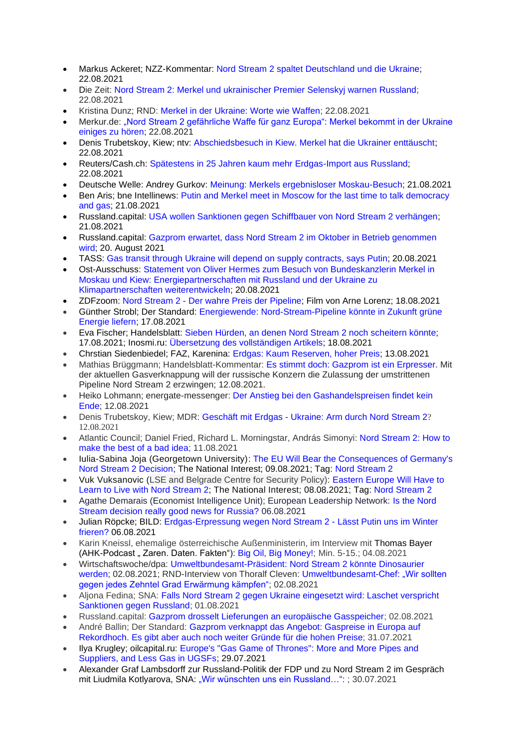- Markus Ackeret; NZZ-Kommentar: Nord Stream 2 spaltet [Deutschland](https://www.nzz.ch/international/nord-stream-2-deutschland-und-die-ukraine-uneins-ld.1641618) und die Ukraine; 22.08.2021
- Die Zeit: [Nord Stream 2: Merkel und ukrainischer Premier Selenskyj warnen Russland;](https://www.zeit.de/politik/ausland/2021-08/nord-stream-2-angela-merkel-ukraine-wolodymyr-selenskyj-russland) 22.08.2021
- Kristina Dunz; RND: [Merkel in der Ukraine: Worte wie Waffen;](https://www.rnd.de/politik/merkel-in-kiew-frieden-in-der-ost-ukraine-selenskyj-kritisiert-nordstream-2-EQVGLSGWVBAAXGTKRHHILUF3TA.html) 22.08.2021
- Merkur.de: "Nord Stream 2 gefährliche Waffe für ganz Europa": Merkel bekommt in der Ukraine [einiges zu hören;](https://www.merkur.de/politik/merkel-ukraine-selenskyj-nord-stream2-russland-sanktionen-waffe-gipfel-zr-90935210.html) 22.08.2021
- Denis Trubetskoy, Kiew; ntv: [Abschiedsbesuch in Kiew. Merkel hat die Ukrainer enttäuscht;](https://www.n-tv.de/politik/Merkel-hat-die-Ukrainer-enttaeuscht-article22756614.html) 22.08.2021
- Reuters/Cash.ch: [Spätestens in 25 Jahren kaum mehr Erdgas-Import aus Russland;](https://www.cash.ch/news/politik/energiemarkt-spaetestens-25-jahren-kaum-mehr-erdgas-import-aus-russland-1813428) 22.08.2021
- Deutsche Welle: Andrey Gurkov: [Meinung: Merkels ergebnisloser Moskau-Besuch;](https://www.dw.com/de/meinung-merkels-ergebnisloser-moskau-besuch/a-58940194?maca=de-rss-de-all-1119-xml-mrss) 21.08.2021
- Ben Aris; bne Intellinews: [Putin and Merkel meet in Moscow for the last time to talk democracy](https://www.intellinews.com/putin-and-merkel-meet-in-moscow-for-the-last-time-to-talk-democracy-and-gas-218679/?source=russia)  [and gas;](https://www.intellinews.com/putin-and-merkel-meet-in-moscow-for-the-last-time-to-talk-democracy-and-gas-218679/?source=russia) 21.08.2021
- Russland.capital: [USA wollen Sanktionen gegen Schiffbauer von Nord Stream 2 verhängen;](https://www.russland.capital/usa-wollen-sanktionen-gegen-schiffbauer-von-nord-stream-2-verhaengen) [21.08.2021](https://www.russland.capital/usa-wollen-sanktionen-gegen-schiffbauer-von-nord-stream-2-verhaengen)
- Russland.capital: [Gazprom erwartet, dass Nord Stream 2 im Oktober in Betrieb genommen](https://www.russland.capital/gazprom-erwartet-dass-nord-stream-2-im-oktober-in-betrieb-genommen-wird)  [wird; 20. August 2021](https://www.russland.capital/gazprom-erwartet-dass-nord-stream-2-im-oktober-in-betrieb-genommen-wird)
- TASS: [Gas transit through Ukraine will depend on supply contracts, says Putin;](https://tass.com/economy/1328501) 20.08.2021
- Ost-Ausschuss: [Statement von Oliver Hermes zum Besuch von Bundeskanzlerin Merkel in](https://www.ost-ausschuss.de/de/energiepartnerschaften-mit-russland-und-der-ukraine-zu-klimapartnerschaften-weiterentwickeln)  [Moskau und Kiew: Energiepartnerschaften mit Russland und der Ukraine zu](https://www.ost-ausschuss.de/de/energiepartnerschaften-mit-russland-und-der-ukraine-zu-klimapartnerschaften-weiterentwickeln)  [Klimapartnerschaften weiterentwickeln;](https://www.ost-ausschuss.de/de/energiepartnerschaften-mit-russland-und-der-ukraine-zu-klimapartnerschaften-weiterentwickeln) 20.08.2021
- ZDFzoom: Nord Stream 2 [Der wahre Preis der Pipeline;](https://www.zdf.de/dokumentation/zdfzoom/zdfzoom-nord-stream-2-100.html) Film von Arne Lorenz; 18.08.2021
- Günther Strobl; Der Standard: [Energiewende: Nord-Stream-Pipeline könnte in Zukunft grüne](https://www.derstandard.de/story/2000128960117/nord-stream-pipeline-koennte-in-zukunft-gruene-energie-liefern)  [Energie liefern;](https://www.derstandard.de/story/2000128960117/nord-stream-pipeline-koennte-in-zukunft-gruene-energie-liefern) 17.08.2021
- Eva Fischer; Handelsblatt: Sieben Hürden, an denen Nord Stream 2 noch [scheitern](https://www.handelsblatt.com/politik/deutschland/deutsch-russische-gaspipeline-sieben-huerden-an-denen-nord-stream-2-noch-scheitern-koennte/27515250.html?ticket=ST-7648908-mhmHd6eZGL5Z0DTMviyy-ap1) könnte; 17.08.2021; Inosmi.ru: Übersetzung des [vollständigen](https://inosmi.ru/politic/20210818/250330307.html) Artikels; 18.08.2021
- Chrstian Siedenbiedel; FAZ, Karenina: [Erdgas: Kaum Reserven, hoher Preis;](https://www.karenina.de/news/wirtschaft/erdgas-kaum-reserven-hoher-preis/) 13.08.2021
- Mathias Brüggmann; Handelsblatt-Kommentar: Es stimmt doch: Gazprom ist ein [Erpresser.](https://www.handelsblatt.com/meinung/kommentare/kommentar-es-stimmt-doch-gazprom-ist-ein-erpresser/27512366.html) Mit der aktuellen Gasverknappung will der russische Konzern die Zulassung der umstrittenen Pipeline Nord Stream 2 erzwingen; 12.08.2021.
- Heiko Lohmann; energate-messenger: [Der Anstieg bei den Gashandelspreisen findet kein](https://www.energate-messenger.de/news/214452/der-anstieg-bei-den-gashandelspreisen-findet-kein-ende)  [Ende;](https://www.energate-messenger.de/news/214452/der-anstieg-bei-den-gashandelspreisen-findet-kein-ende) 12.08.2021
- Denis Trubetskoy, Kiew; MDR: [Geschäft](https://www.mdr.de/nachrichten/welt/osteuropa/politik/nord-stream-zwei-ukraine-wirtschaft-100.html) mit Erdgas Ukraine: Arm durch Nord Stream 2? 12.08.2021
- Atlantic Council; [Daniel Fried,](https://www.atlanticcouncil.org/expert/daniel-fried/) [Richard L. Morningstar,](https://www.atlanticcouncil.org/expert/richard-l-morningstar/) [András Simonyi:](https://www.atlanticcouncil.org/expert/andras-simonyi/) [Nord Stream 2: How to](https://www.atlanticcouncil.org/blogs/new-atlanticist/nord-stream-2-how-to-make-the-best-of-a-bad-idea/)  [make the best of a bad idea;](https://www.atlanticcouncil.org/blogs/new-atlanticist/nord-stream-2-how-to-make-the-best-of-a-bad-idea/) 11.08.2021
- Iulia-Sabina Joja (Georgetown University): [The EU Will Bear the Consequences of Germany's](https://nationalinterest.org/blog/buzz/eu-will-bear-consequences-germanys-nord-stream-2-decision-191498)  [Nord Stream 2 Decision;](https://nationalinterest.org/blog/buzz/eu-will-bear-consequences-germanys-nord-stream-2-decision-191498) The National Interest; 09.08.2021; Tag: [Nord Stream 2](https://nationalinterest.org/topic/nord-stream-2)
- Vuk Vuksanovic (LSE and Belgrade Centre for Security Policy): [Eastern Europe Will Have to](https://nationalinterest.org/blog/buzz/eastern-europe-will-have-learn-live-nord-stream-2-191341)  [Learn to Live with Nord Stream 2;](https://nationalinterest.org/blog/buzz/eastern-europe-will-have-learn-live-nord-stream-2-191341) The National Interest; 08.08.2021; Tag: [Nord Stream 2](https://nationalinterest.org/topic/nord-stream-2)
- Agathe Demarais (Economist Intelligence Unit); European Leadership Network: [Is the Nord](https://www.europeanleadershipnetwork.org/commentary/is-the-nord-stream-decision-really-good-news-for-russia/)  [Stream decision really good news for Russia?](https://www.europeanleadershipnetwork.org/commentary/is-the-nord-stream-decision-really-good-news-for-russia/) 06.08.2021
- Julian Röpcke; BILD: [Erdgas-Erpressung wegen Nord Stream 2 -](https://www.bild.de/politik/ausland/politik-ausland/nord-stream-2-erpressung-laesst-putin-uns-im-winter-frieren-77294942.bild.html) Lässt Putin uns im Winter [frieren?](https://www.bild.de/politik/ausland/politik-ausland/nord-stream-2-erpressung-laesst-putin-uns-im-winter-frieren-77294942.bild.html) 06.08.2021
- Karin Kneissl, ehemalige österreichische Außenministerin, im Interview mit Thomas Bayer (AHK-Podcast "Zaren. Daten. Fakten"): [Big Oil, Big Money!;](https://podcasts.google.com/feed/aHR0cHM6Ly9mZWVkcy5yZWRjaXJjbGUuY29tL2U5NmY1OTU3LTY2NzAtNDBkYS1hZTBkLWI4ODkyYTA1YmZkZQ/episode/YWVlMDI1MjEtYjkzMS00YzkzLTg3ZjEtNWU3NTJhNTVjNmM2?hl=de-RU&ved=2ahUKEwjRqM_jwJfyAhWPvYsKHbogDCwQieUEegQIHhAF&ep=6) Min. 5-15.; 04.08.2021
- Wirtschaftswoche/dpa: [Umweltbundesamt-Präsident: Nord Stream 2 könnte Dinosaurier](https://www.wiwo.de/politik/ausland/medien-info-umweltbundesamt-praesident-nord-stream-2-koennte-dinosaurier-werden/27474604.html)  [werden;](https://www.wiwo.de/politik/ausland/medien-info-umweltbundesamt-praesident-nord-stream-2-koennte-dinosaurier-werden/27474604.html) 02.08.2021; RND-Interview von Thoralf Cleven: Umweltbundesamt-Chef: "Wir sollten [gegen jedes Zehntel Grad Erwärmung kämpfen";](https://www.rnd.de/politik/klimawandel-folgen-umweltbundesamt-chef-ruft-deutsche-auf-konstruktiv-mit-der-krise-umzugehen-7QXOHB33GJBA5CJXCEW44SB6JE.html) 02.08.2021
- Aljona Fedina; SNA: [Falls Nord Stream 2 gegen Ukraine eingesetzt wird: Laschet verspricht](https://snanews.de/20210801/nord-stream-laschet-3041412.html)  [Sanktionen gegen Russland;](https://snanews.de/20210801/nord-stream-laschet-3041412.html) 01.08.2021
- Russland.capital: [Gazprom drosselt Lieferungen an europäische Gasspeicher;](https://www.russland.capital/gazprom-drosselt-lieferungen-an-europaeische-gasspeicher) 02.08.2021
- André Ballin; Der Standard: [Gazprom verknappt das Angebot: Gaspreise in Europa auf](https://www.derstandard.de/story/2000128589141/gazprom-verknappt-das-angebot-gaspreise-in-europa-auf-rekordhoch?ref=rss)  [Rekordhoch. Es gibt aber auch noch weiter Gründe für die hohen Preise;](https://www.derstandard.de/story/2000128589141/gazprom-verknappt-das-angebot-gaspreise-in-europa-auf-rekordhoch?ref=rss) 31.07.2021
- Ilya Krugley: oilcapital.ru: Europe's "Gas Game of Thrones": More and More Pipes and [Suppliers, and Less Gas in UGSFs;](https://oilcapital.ru/article/general/29-07-2021/gazovaya-igra-prestolov-evropy-trub-i-postavschikov-vse-bolshe-a-gaza-v-phg-menshe) 29.07.2021
- Alexander Graf Lambsdorff zur Russland-Politik der FDP und zu Nord Stream 2 im Gespräch mit Liudmila Kotlyarova, SNA: "Wir wünschten uns ein Russland...": ; 30.07.2021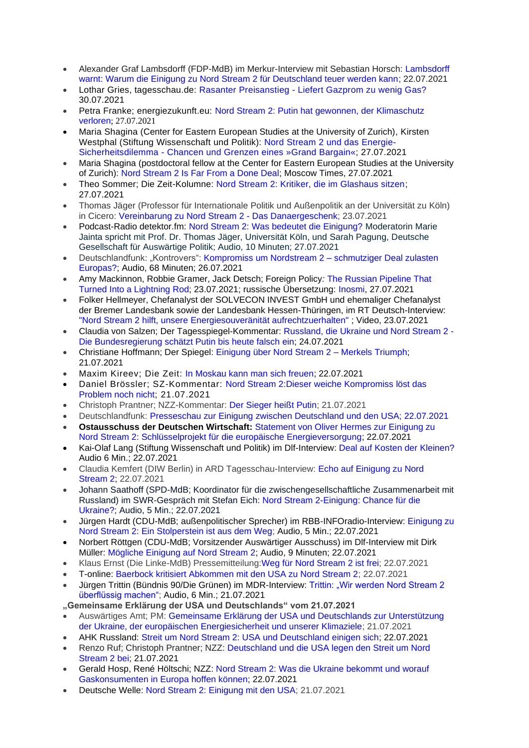- Alexander Graf [Lambsdorff](https://www.merkur.de/politik/deutschland-usa-nordstream-pipeline-russland-fdp-politiker-lambsdorff-einigung-kritik-zr-90875674.html?cmp=defrss) (FDP-MdB) im Merkur-Interview mit Sebastian Horsch: Lambsdorff [warnt: Warum die Einigung zu Nord Stream 2 für Deutschland teuer werden kann;](https://www.merkur.de/politik/deutschland-usa-nordstream-pipeline-russland-fdp-politiker-lambsdorff-einigung-kritik-zr-90875674.html?cmp=defrss) 22.07.2021
- Lothar Gries, tagesschau.de: Rasanter [Preisanstieg](https://www.tagesschau.de/wirtschaft/weltwirtschaft/gazprom-gaspreise-nord-stream-101.html) Liefert Gazprom zu wenig Gas? 30.07.2021
- Petra Franke; energiezukunft.eu: [Nord Stream 2: Putin hat gewonnen, der Klimaschutz](https://www.energiezukunft.eu/politik/putin-hat-gewonnen-der-klimaschutz-verloren/)  [verloren](https://www.energiezukunft.eu/politik/putin-hat-gewonnen-der-klimaschutz-verloren/); 27.07.2021
- Maria Shagina (Center for Eastern European Studies at the University of Zurich), [Kirsten](https://www.swp-berlin.org/wissenschaftler-in/kirsten-westphal) [Westphal](https://www.swp-berlin.org/wissenschaftler-in/kirsten-westphal) (Stiftung Wissenschaft und Politik): Nord Stream 2 und das [Energie-](https://www.swp-berlin.org/publikation/nord-stream-2-und-das-energie-sicherheitsdilemma)[Sicherheitsdilemma](https://www.swp-berlin.org/publikation/nord-stream-2-und-das-energie-sicherheitsdilemma) - Chancen und Grenzen eines »Grand Bargain«; 27.07.2021
- Maria Shagina (postdoctoral fellow at the Center for Eastern European Studies at the University of Zurich): [Nord Stream 2 Is Far From a Done Deal;](https://www.themoscowtimes.com/2021/07/27/nord-stream-2-is-far-from-a-done-deal-a74624) Moscow Times, 27.07.2021
- Theo Sommer; Die Zeit-Kolumne: [Nord Stream 2: Kritiker, die im Glashaus sitzen;](https://www.zeit.de/politik/ausland/2021-07/nord-stream-2-faz-grossbritannien-usa-frankreich-oelgeschaefte-russland) 27.07.2021
- Thomas Jäger (Professor für Internationale Politik und Außenpolitik an der Universität zu Köln) in Cicero: [Vereinbarung zu Nord Stream 2 -](https://www.cicero.de/aussenpolitik/nord-stream-2-danaergeschenk-merkel-biden-usa-deutschland) Das Danaergeschenk; 23.07.2021
- Podcast-Radio detektor.fm: [Nord Stream 2: Was bedeutet die Einigung?](https://detektor.fm/politik/zurueck-zum-thema-nord-stream-2) Moderatorin Marie Jainta spricht mit Prof. Dr. Thomas Jäger, Universität Köln, und Sarah Pagung, Deutsche Gesellschaft für Auswärtige Politik; Audio, 10 Minuten; 27.07.2021
- Deutschlandfunk: "Kontrovers": [Kompromiss](https://www.ardaudiothek.de/episode/kontrovers/kompromiss-um-nordstream-2-schmutziger-deal-zulasten-europas/deutschlandfunk/91538944) um Nordstream 2 schmutziger Deal zulasten [Europas?;](https://www.ardaudiothek.de/episode/kontrovers/kompromiss-um-nordstream-2-schmutziger-deal-zulasten-europas/deutschlandfunk/91538944) Audio, 68 Minuten; 26.07.2021
- Amy Mackinnon, Robbie Gramer, Jack Detsch; Foreign Policy*:* The [Russian](https://foreignpolicy.com/2021/07/23/nord-stream-2-pipeline-russia-us-ted-cruz/) Pipeline That Turned Into a [Lightning](https://foreignpolicy.com/2021/07/23/nord-stream-2-pipeline-russia-us-ted-cruz/) Rod; 23.07.2021; russische Übersetzung: [Inosmi,](https://inosmi.ru/politic/20210727/250197902.html) 27.07.2021
- Folker Hellmeyer, Chefanalyst der SOLVECON INVEST GmbH und ehemaliger Chefanalyst der Bremer Landesbank sowie der Landesbank Hessen-Thüringen, im RT Deutsch-Interview: "Nord Stream 2 hilft, unsere [Energiesouveränität aufrechtzuerhalten"](https://www.youtube.com/watch?v=VVIeSBUC-sI) ; Video, 23.07.2021
- Claudia von Salzen; Der Tagesspiegel-Kommentar: [Russland,](https://www.tagesspiegel.de/politik/russland-die-ukraine-und-nord-stream-2-die-bundesregierung-schaetzt-putin-bis-heute-falsch-ein/27449040.html) die Ukraine und Nord Stream 2 Die [Bundesregierung](https://www.tagesspiegel.de/politik/russland-die-ukraine-und-nord-stream-2-die-bundesregierung-schaetzt-putin-bis-heute-falsch-ein/27449040.html) schätzt Putin bis heute falsch ein; 24.07.2021
- Christiane Hoffmann; Der Spiegel: [Einigung über Nord Stream 2 –](https://www.spiegel.de/politik/deutschland/nord-stream-2-angela-merkels-triumph-a-0673c15a-e066-48e2-b7e0-dc2de4592954) Merkels Triumph; 21.07.2021
- Maxim Kireev; Die Zeit: [In Moskau kann man sich freuen;](https://www.zeit.de/politik/ausland/2021-07/nord-stream-2-kompromiss-usa-russland-einschraenkungen) 22.07.2021
- Daniel Brössler; SZ-Kommentar: [Nord Stream 2:Dieser weiche Kompromiss löst das](https://www.sueddeutsche.de/meinung/nord-stream-2-merkel-biden-1.5358717)  [Problem noch nicht;](https://www.sueddeutsche.de/meinung/nord-stream-2-merkel-biden-1.5358717) 21.07.2021
- Christoph Prantner; NZZ-Kommentar: [Der Sieger heißt Putin;](https://www.nzz.ch/meinung/nord-stream-2-kompromiss-um-gaspipeline-in-ostsee-nimmt-form-an-ld.1636808) 21.07.2021
- Deutschlandfunk: [Presseschau zur Einigung zwischen Deutschland und den USA; 22.07.2021](https://www.deutschlandfunk.de/presseschau-aus-deutschen-zeitungen.2287.de.html?drn:date=2021-07-22)
- **Ostausschuss der Deutschen Wirtschaft:** [Statement von Oliver Hermes zur Einigung zu](https://www.ost-ausschuss.de/de/schluesselprojekt-fuer-die-europaeische-energieversorgung)  [Nord Stream 2: Schlüsselprojekt für die europäische Energieversorgung;](https://www.ost-ausschuss.de/de/schluesselprojekt-fuer-die-europaeische-energieversorgung) 22.07.2021
- Kai-Olaf Lang (Stiftung Wissenschaft und Politik) im Dlf-Interview: [Deal auf Kosten der Kleinen?](https://ondemand-mp3.dradio.de/file/dradio/2021/07/22/deal_auf_kosten_der_kleinen_baltikum_experte_kai_olaf_lang_dlf_20210722_0912_9a317fd8.mp3) Audio 6 Min.; 22.07.2021
- Claudia Kemfert (DIW Berlin) in ARD Tagesschau-Interview: [Echo auf Einigung zu Nord](https://youtu.be/fHlpPQ1OaV0?t=107)  [Stream 2;](https://youtu.be/fHlpPQ1OaV0?t=107) 22.07.2021
- Johann Saathoff (SPD-MdB; Koordinator für die zwischengesellschaftliche Zusammenarbeit mit Russland) im SWR-Gespräch mit Stefan Eich: [Nord Stream 2-Einigung: Chance für die](https://www.ardaudiothek.de/episode/im-gespraech/nord-stream-2-einigung-chancen-fuer-die-ukraine/swr-aktuell/91421736)  [Ukraine?;](https://www.ardaudiothek.de/episode/im-gespraech/nord-stream-2-einigung-chancen-fuer-die-ukraine/swr-aktuell/91421736) Audio, 5 Min.; 22.07.2021
- Jürgen Hardt (CDU-MdB; außenpolitischer Sprecher) im RBB-INFOradio-Interview: [Einigung zu](https://www.ardaudiothek.de/episode/interviews/einigung-zu-nord-stream-2-ein-stolperstein-ist-aus-dem-weg/inforadio/91426424)  [Nord Stream 2: Ein Stolperstein ist aus dem Weg;](https://www.ardaudiothek.de/episode/interviews/einigung-zu-nord-stream-2-ein-stolperstein-ist-aus-dem-weg/inforadio/91426424) Audio, 5 Min.; 22.07.2021
- Norbert Röttgen (CDU-MdB; Vorsitzender Auswärtiger Ausschuss) im Dlf-Interview mit Dirk Müller: [Mögliche Einigung auf Nord Stream 2;](https://srv.deutschlandradio.de/dlf-audiothek-audio-teilen.3265.de.html?mdm:audio_id=943525) Audio, 9 Minuten; 22.07.2021
- Klaus Ernst (Die Linke-MdB) Pressemitteilung[:Weg für Nord Stream 2 ist frei;](https://www.linksfraktion.de/presse/pressemitteilungen/detail/weg-fuer-nord-stream-2-ist-frei/) 22.07.2021
- T-online: [Baerbock kritisiert Abkommen mit den USA zu Nord Stream 2;](https://www.t-online.de/nachrichten/ausland/internationale-politik/id_90495370/baerbock-kritisiert-abkommen-mit-usa-zu-nord-stream-2.html) 22.07.2021
- Jürgen Trittin (Bündnis 90/Die Grünen) im MDR-Interview: Trittin: "Wir werden Nord Stream 2 [überflüssig machen";](https://www.ardaudiothek.de/episode/das-interview/trittin-wir-werden-nord-stream-ueberfluessig-machen/mdr-aktuell/91403702) Audio, 6 Min.; 21.07.2021

**"Gemeinsame Erklärung der USA und Deutschlands" vom 21.07.2021**

- Auswärtiges Amt; PM: Gemeinsame Erklärung der USA [und Deutschlands zur Unterstützung](https://www.auswaertiges-amt.de/de/newsroom/gemeinsame-erklaerung-usa-und-deutschland/2472074)  [der Ukraine, der europäischen Energiesicherheit und unserer Klimaziele;](https://www.auswaertiges-amt.de/de/newsroom/gemeinsame-erklaerung-usa-und-deutschland/2472074) 21.07.2021
- AHK Russland: Streit um Nord Stream 2: USA und Deutschland einigen sich: 22.07.2021
- Renzo Ruf; Christoph Prantner; NZZ: [Deutschland und die USA legen den Streit um Nord](https://www.nzz.ch/international/einigung-im-streit-um-die-gaspipeline-nord-stream-2-nzz-ld.1636670)  [Stream 2 bei;](https://www.nzz.ch/international/einigung-im-streit-um-die-gaspipeline-nord-stream-2-nzz-ld.1636670) 21.07.2021
- Gerald Hosp, René Höltschi; NZZ: [Nord Stream 2: Was die Ukraine bekommt und worauf](https://www.nzz.ch/wirtschaft/nord-stream-2-ld.1636899)  [Gaskonsumenten in Europa hoffen können;](https://www.nzz.ch/wirtschaft/nord-stream-2-ld.1636899) 22.07.2021
- Deutsche Welle: [Nord Stream 2: Einigung mit den USA;](https://www.dw.com/de/nord-stream-2-einigung-mit-den-usa/a-58575668) 21.07.2021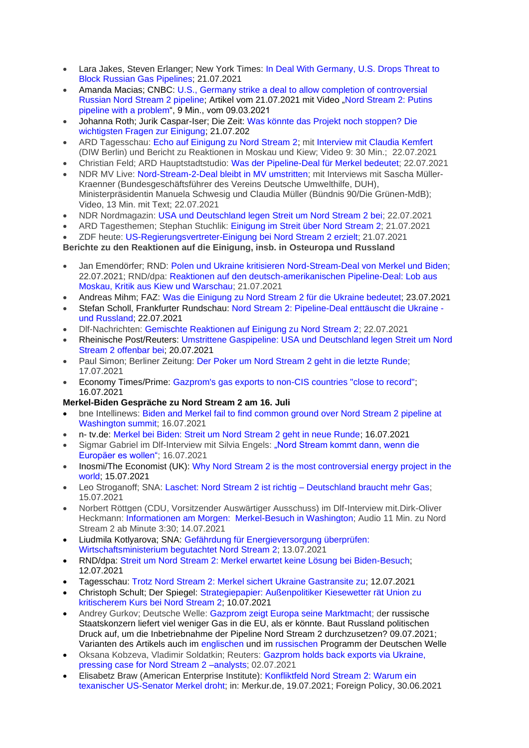- Lara Jakes, Steven Erlanger; New York Times: [In Deal With Germany, U.S. Drops Threat to](https://www.nytimes.com/2021/07/21/us/politics/nord-stream-2.html)  [Block Russian Gas Pipelines;](https://www.nytimes.com/2021/07/21/us/politics/nord-stream-2.html) 21.07.2021
- Amanda Macias; CNBC: [U.S., Germany strike a deal to allow completion of controversial](https://www.cnbc.com/2021/07/21/us-germany-strike-deal-to-allow-completion-of-russian-nord-stream-2-pipeline.html)  [Russian Nord Stream 2 pipeline;](https://www.cnbc.com/2021/07/21/us-germany-strike-deal-to-allow-completion-of-russian-nord-stream-2-pipeline.html) Artikel vom 21.07.2021 mit Video "Nord Stream 2: Putins [pipeline with a problem"](https://www.cnbc.com/video/2021/03/09/nord-stream-2-putins-pipeline-with-a-problem.html), 9 Min., vom 09.03.2021
- Johanna Roth; Jurik Caspar-Iser; Die Zeit: [Was könnte das Projekt noch stoppen? Die](https://www.zeit.de/politik/ausland/2021-07/nord-stream-2-gaspipeline-usa-deutschland-einigung-russland-faq)  [wichtigsten Fragen zur Einigung;](https://www.zeit.de/politik/ausland/2021-07/nord-stream-2-gaspipeline-usa-deutschland-einigung-russland-faq) 21.07.202
- ARD Tagesschau: [Echo auf Einigung zu Nord Stream 2;](https://www.youtube.com/watch?v=fHlpPQ1OaV0) mit [Interview mit Claudia Kemfert](https://youtu.be/fHlpPQ1OaV0?t=107) (DIW Berlin) und Bericht zu Reaktionen in Moskau und Kiew; Video 9: 30 Min.; 22.07.2021
- Christian Feld; ARD Hauptstadtstudio: [Was der Pipeline-Deal für Merkel bedeutet;](https://www.tagesschau.de/inland/gesellschaft/nord-stream-2-analyse-101.html) 22.07.2021
- NDR MV Live: [Nord-Stream-2-Deal bleibt in MV umstritten;](https://www.ndr.de/nachrichten/mecklenburg-vorpommern/Nord-Stream-2-Deal-bleibt-in-MV-umstritten,nordstream618.html) mit Interviews mit Sascha Müller-Kraenner (Bundesgeschäftsführer des Vereins Deutsche Umwelthilfe, DUH), Ministerpräsidentin Manuela Schwesig und Claudia Müller (Bündnis 90/Die Grünen-MdB); Video, 13 Min. mit Text; 22.07.2021
- NDR Nordmagazin: [USA und Deutschland legen Streit um Nord Stream 2 bei;](https://www.ardmediathek.de/video/nordmagazin/usa-und-deutschland-legen-streit-um-nord-stream-2-bei/ndr-mecklenburg-vorpommern/Y3JpZDovL25kci5kZS9jNWM2M2QzMC01YWRlLTQ3M2UtOTE2NC1mYTdjYzRlYmRkYjM/) 22.07.2021
- ARD Tagesthemen; Stephan Stuchlik: [Einigung im Streit über Nord Stream 2;](https://youtu.be/w0NxEuq8f4c?t=40) 21.07.2021
- ZDF heute: [US-Regierungsvertreter-Einigung bei Nord Stream 2 erzielt;](https://www.zdf.de/nachrichten/politik/nord-stream-2-einigung-100.html) 21.07.2021

## **Berichte zu den Reaktionen auf die Einigung, insb. in Osteuropa und Russland**

- Jan Emendörfer; RND: [Polen und Ukraine kritisieren Nord-Stream-Deal von Merkel und Biden;](https://www.rnd.de/politik/polen-und-ukraine-kritisieren-nord-stream-2-deal-von-merkel-und-biden-KL4UJUYWVZAKDISLRCNHLSH3VI.html) 22.07.2021; RND/dpa: [Reaktionen auf den deutsch-amerikanischen Pipeline-Deal: Lob aus](https://www.rnd.de/politik/nord-stream-2-reaktionen-auf-den-pipeline-deal-aus-russland-polen-und-ukraine-OYVSVZOPODQGTLDJGSGQWI3Q34.html)  [Moskau, Kritik aus Kiew und Warschau;](https://www.rnd.de/politik/nord-stream-2-reaktionen-auf-den-pipeline-deal-aus-russland-polen-und-ukraine-OYVSVZOPODQGTLDJGSGQWI3Q34.html) 21.07.2021
- Andreas Mihm; FAZ: Was die Einigung zu Nord Stream 2 für die Ukraine [bedeutet;](https://www.faz.net/aktuell/wirtschaft/nord-stream-2-was-die-einigung-fuer-die-ukraine-bedeutet-17451670.html) 23.07.2021
- Stefan Scholl, Frankfurter Rundschau: [Nord Stream 2: Pipeline-Deal enttäuscht die Ukraine](https://www.fr.de/politik/nord-stream-pipeline-deal-enttaeuscht-die-ukraine-und-russland-90877626.html)  [und Russland;](https://www.fr.de/politik/nord-stream-pipeline-deal-enttaeuscht-die-ukraine-und-russland-90877626.html) 22.07.2021
- Dlf-Nachrichten: [Gemischte Reaktionen auf Einigung zu Nord Stream 2;](https://www.deutschlandfunk.de/gaspipeline-gemischte-reaktionen-auf-einigung-zu-nord.1939.de.html?drn:news_id=1283145) 22.07.2021
- Rheinische Post/Reuters: Umstrittene Gaspipeline: USA und Deutschland legen Streit um Nord [Stream 2 offenbar bei;](https://rp-online.de/politik/ausland/nord-stream-2-usa-und-deutschland-legen-streit-offenbar-bei_aid-61663259) 20.07.2021
- Paul Simon; Berliner Zeitung: [Der Poker um Nord Stream 2 geht in die letzte Runde;](https://www.berliner-zeitung.de/wochenende/angela-merkel-wolodymyr-selenskyj-joe-biden-erdgas-pipeline-gaspipeline-der-poker-um-nordstream-2-geht-in-die-letzte-runde-li.171405) 17.07.2021
- Economy Times/Prime: [Gazprom's gas exports to non-CIS countries "close to record";](https://economytimes.ru/novosti/eksport-gaza-gazproma-v-dalnee-zarubezhe-blizok-k-rekordnomu) 16.07.2021

## **Merkel-Biden Gespräche zu Nord Stream 2 am 16. Juli**

- bne Intellinews: [Biden and Merkel fail to find common ground over Nord Stream 2 pipeline at](https://www.intellinews.com/biden-and-merkel-fail-to-find-common-ground-over-nord-stream-2-pipeline-at-washington-summit-215851/?source=russia)  [Washington summit;](https://www.intellinews.com/biden-and-merkel-fail-to-find-common-ground-over-nord-stream-2-pipeline-at-washington-summit-215851/?source=russia) 16.07.2021
- n- tv.de: [Merkel bei Biden: Streit um Nord Stream 2 geht in neue Runde;](https://www.n-tv.de/politik/Streit-um-Nord-Stream-2-geht-in-neue-Runde-article22685582.html) 16.07.2021
- Sigmar Gabriel im Dlf-Interview mit Silvia Engels: "Nord Stream kommt dann, wenn die [Europäer es wollen";](https://www.deutschlandfunk.de/gabriel-spd-zu-ostsee-pipeline-nord-stream-kommt-dann-wenn.694.de.html?dram:article_id=500369) 16.07.2021
- Inosmi/The Economist (UK): [Why Nord Stream 2 is the most controversial energy project in the](https://inosmi.ru/economic/20210715/250124103.html)  [world;](https://inosmi.ru/economic/20210715/250124103.html) 15.07.2021
- Leo Stroganoff; SNA: [Laschet: Nord Stream 2 ist richtig –](https://snanews.de/20210715/laschet-nord-stream-2-ist-richtig-2841455.html) Deutschland braucht mehr Gas; 15.07.2021
- Norbert Röttgen (CDU, Vorsitzender Auswärtiger Ausschuss) im Dlf-Interview mit.Dirk-Oliver Heckmann: [Informationen am Morgen: Merkel-Besuch in Washington;](https://srv.deutschlandradio.de/dlf-audiothek-audio-teilen.3265.de.html?mdm:audio_id=941225) Audio 11 Min. zu Nord Stream 2 ab Minute 3:30; 14.07.2021
- Liudmila Kotlyarova; SNA: [Gefährdung für Energieversorgung überprüfen:](https://snanews.de/20210713/bmwi-begutachtet-nord-stream-2-2816624.html)  [Wirtschaftsministerium begutachtet Nord Stream 2;](https://snanews.de/20210713/bmwi-begutachtet-nord-stream-2-2816624.html) 13.07.2021
- RND/dpa: [Streit um Nord Stream 2: Merkel erwartet keine Lösung bei Biden-Besuch;](https://www.rnd.de/politik/streit-um-nord-stream-2-merkel-erwartet-keine-loesung-bei-biden-besuch-XZ76F4CBCCHBVQPRYM224RGG5Q.html) 12.07.2021
- Tagesschau: [Trotz Nord Stream 2: Merkel sichert Ukraine Gastransite zu;](https://www.tagesschau.de/ausland/europa/merkel-nord-stream-2-101.html) 12.07.2021
- Christoph Schult; Der Spiegel: [Strategiepapier: Außenpolitiker Kiesewetter rät Union zu](https://www.spiegel.de/politik/deutschland/nord-stream-2-roderich-kiesewetter-raet-cdu-zu-kritischer-haltung-gegenueber-russland-a-aedf188d-c09c-48a1-b840-1c70799997ad)  [kritischerem Kurs bei Nord Stream 2;](https://www.spiegel.de/politik/deutschland/nord-stream-2-roderich-kiesewetter-raet-cdu-zu-kritischer-haltung-gegenueber-russland-a-aedf188d-c09c-48a1-b840-1c70799997ad) 10.07.2021
- Andrey Gurkov; Deutsche Welle: [Gazprom zeigt Europa seine Marktmacht;](https://www.dw.com/de/gazprom-zeigt-europa-seine-marktmacht/a-58216903) der russische Staatskonzern liefert viel weniger Gas in die EU, als er könnte. Baut Russland politischen Druck auf, um die Inbetriebnahme der Pipeline Nord Stream 2 durchzusetzen? 09.07.2021; Varianten des Artikels auch im [englischen](https://p.dw.com/p/3wISE) und im [russischen](https://www.dw.com/ru/gazprom-radi-severnogo-potoka-2-pokazal-es-svoju-vlast/a-58189550) Programm der Deutschen Welle
- Oksana Kobzeva, Vladimir Soldatkin; Reuters: [Gazprom holds back exports via Ukraine,](https://www.reuters.com/business/energy/gazprom-holds-back-exports-via-ukraine-pressing-case-nord-stream-2-analysts-2021-07-02/)  [pressing case for Nord Stream 2 –analysts;](https://www.reuters.com/business/energy/gazprom-holds-back-exports-via-ukraine-pressing-case-nord-stream-2-analysts-2021-07-02/) 02.07.2021
- Elisabetz Braw (American Enterprise Institute): [Konfliktfeld Nord Stream 2: Warum ein](https://www.merkur.de/politik/nord-stream-2-merkel-russland-pipieline-ostsee-sassnitz-ted-cruz-texas-usa-biden-zr-90867656.html)  [texanischer US-Senator Merkel droht;](https://www.merkur.de/politik/nord-stream-2-merkel-russland-pipieline-ostsee-sassnitz-ted-cruz-texas-usa-biden-zr-90867656.html) in: Merkur.de, 19.07.2021; Foreign Policy, 30.06.2021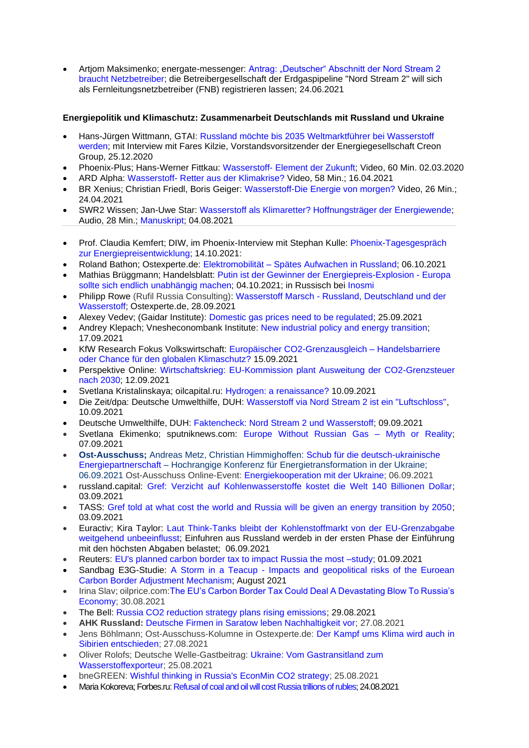• Artjom Maksimenko; energate-messenger: [Antrag: "Deutscher" Abschnitt der Nord Stream 2](https://www.energate-messenger.de/news/213252/-deutscher-abschnitt-der-nord-stream-2-braucht-netzbetreiber)  [braucht Netzbetreiber;](https://www.energate-messenger.de/news/213252/-deutscher-abschnitt-der-nord-stream-2-braucht-netzbetreiber) die Betreibergesellschaft der Erdgaspipeline "Nord Stream 2" will sich als Fernleitungsnetzbetreiber (FNB) registrieren lassen; 24.06.2021

## **Energiepolitik und Klimaschutz: Zusammenarbeit Deutschlands mit Russland und Ukraine**

- Hans-Jürgen Wittmann, GTAI: [Russland möchte bis 2035 Weltmarktführer bei Wasserstoff](https://www.gtai.de/gtai-de/trade/specials/special/russland/russland-moechte-bis-2035-weltmarktfuehrer-bei-wasserstoff-werden-253514)  [werden;](https://www.gtai.de/gtai-de/trade/specials/special/russland/russland-moechte-bis-2035-weltmarktfuehrer-bei-wasserstoff-werden-253514) mit Interview mit Fares Kilzie, Vorstandsvorsitzender der Energiegesellschaft Creon Group, 25.12.2020
- Phoenix-Plus; Hans-Werner Fittkau: Wasserstoff- [Element der Zukunft;](https://www.youtube.com/watch?v=ykVI3WHxAWI) Video, 60 Min. 02.03.2020
- ARD Alpha: Wasserstoff- [Retter aus der Klimakrise?](https://www.ardmediathek.de/video/planet-wissen/wasserstoff-retter-aus-der-klimakrise/ard-alpha/Y3JpZDovL3dkci5kZS9CZWl0cmFnLTk0Yzc5ZWE0LTBiZjQtNDI1OC04OWQ3LWQzNTMwY2Q0NDdjOA/) Video, 58 Min.; 16.04.2021
- BR Xenius; Christian Friedl, Boris Geiger: [Wasserstoff-Die Energie von morgen?](https://www.ardmediathek.de/video/xenius/wasserstoff-die-energie-von-morgen/br-fernsehen/Y3JpZDovL2JyLmRlL3ZpZGVvLzU2OGUwNTAzLTE3MGMtNDJlNC1iN2EyLWY1ZWJlNWE4YTkyNQ/) Video, 26 Min.; 24.04.2021
- SWR2 Wissen; Jan-Uwe Star: [Wasserstoff als Klimaretter? Hoffnungsträger der Energiewende;](https://www.swr.de/swr2/wissen/wasserstoff-als-klimaretter-hoffnungstraeger-der-energiewende-102.html)
- Audio, 28 Min.; [Manuskript;](https://www.swr.de/swr2/wissen/wasserstoff-als-klimaretter-hoffnungstraeger-der-energiewende-swr2-wissen-2021-07-30-102.pdf) 04.08.2021
- Prof. Claudia Kemfert; DIW, im Phoenix-Interview mit Stephan Kulle: [Phoenix-Tagesgespräch](https://www.phoenix.de/sendungen/ereignisse/phoenix-vor-ort/ua-live-phoenix-tagesgespraech-mit-energieexpertin-prof-claudia-kemfert-deutsches-institut-fuer-wirtschaftsforschung-a-2276145.html)  [zur Energiepreisentwicklung;](https://www.phoenix.de/sendungen/ereignisse/phoenix-vor-ort/ua-live-phoenix-tagesgespraech-mit-energieexpertin-prof-claudia-kemfert-deutsches-institut-fuer-wirtschaftsforschung-a-2276145.html) 14.10.2021:
- Roland Bathon; Ostexperte.de: Elektromobilität [Spätes Aufwachen in Russland;](https://ostexperte.de/elektromobilitat-spates-aufwachen-in-russland/) 06.10.2021
- Mathias Brüggmann; Handelsblatt: Putin ist der Gewinner der [Energiepreis-Explosion](https://www.handelsblatt.com/meinung/kommentare/kommentar-putin-ist-der-gewinner-der-energiepreis-explosion-europa-sollte-sich-endlich-unabhaengig-machen-/27675122.html?ticket=ST-8875969-i2vlbpnh0F4775fxJhyl-ap2) Europa sollte sich endlich [unabhängig](https://www.handelsblatt.com/meinung/kommentare/kommentar-putin-ist-der-gewinner-der-energiepreis-explosion-europa-sollte-sich-endlich-unabhaengig-machen-/27675122.html?ticket=ST-8875969-i2vlbpnh0F4775fxJhyl-ap2) machen; 04.10.2021; in Russisch bei [Inosmi](https://inosmi.ru/politic/20211006/250647656.html)
- Philipp Rowe (Rufil Russia Consulting): Wasserstoff Marsch [Russland, Deutschland und der](https://ostexperte.de/wasserstoff-marsch/)  [Wasserstoff;](https://ostexperte.de/wasserstoff-marsch/) Ostexperte.de, 28.09.2021
- Alexey Vedev; (Gaidar Institute): [Domestic gas prices need to be regulated;](https://www.iep.ru/ru/kommentarii/aleksey-vedev-vnutrennie-tseny-na-gaz-neobkhodimo-regulirovat.html) 25.09.2021
- Andrey Klepach; Vnesheconombank Institute: [New industrial policy and energy transition;](http://inveb.ru/ru/articles-menu/689-novaya-promyshlennaya-politika-i-energoperekhod-klepach-a-n)  17.09.2021
- KfW Research Fokus Volkswirtschaft: [Europäischer CO2-Grenzausgleich –](https://www.kfw.de/PDF/Download-Center/Konzernthemen/Research/PDF-Dokumente-Fokus-Volkswirtschaft/Fokus-2021/Fokus-Nr.-345-September-2021-Europaeischer-CO2-Grenzausgleich.pdf) Handelsbarriere [oder Chance für den globalen Klimaschutz?](https://www.kfw.de/PDF/Download-Center/Konzernthemen/Research/PDF-Dokumente-Fokus-Volkswirtschaft/Fokus-2021/Fokus-Nr.-345-September-2021-Europaeischer-CO2-Grenzausgleich.pdf) 15.09.2021
- Perspektive Online: [Wirtschaftskrieg: EU-Kommission plant Ausweitung der CO2-Grenzsteuer](https://perspektive-online.net/2021/09/wirtschaftskrieg-eu-kommission-plant-ausweitung-der-co2-grenzsteuer-nach-2030/)  [nach 2030;](https://perspektive-online.net/2021/09/wirtschaftskrieg-eu-kommission-plant-ausweitung-der-co2-grenzsteuer-nach-2030/) 12.09.2021
- Svetlana Kristalinskaya; oilcapital.ru: [Hydrogen: a renaissance?](https://oilcapital.ru/article/general/10-09-2020/vodorod-epoha-vozrozhdeniya) 10.09.2021
- Die Zeit/dpa: Deutsche Umwelthilfe, DUH: [Wasserstoff via Nord Stream 2 ist ein "Luftschloss",](https://www.zeit.de/news/2021-09/10/duh-wasserstoff-via-nord-stream-2-ist-ein-luftschloss) 10.09.2021
- Deutsche Umwelthilfe, DUH: [Faktencheck: Nord Stream 2 und Wasserstoff;](https://www.duh.de/fileadmin/user_upload/download/Pressemitteilungen/Energie/Nord_Stream_2/210909_DUH_Faktencheck_H2_und_NS2.pdf) 09.09.2021
- Svetlana Ekimenko; sputniknews.com: [Europe Without Russian Gas –](https://sputniknews.com/20210906/europe-without-russian-gas--myth-or-reality-1083807148.html) Myth or Reality; 07.09.2021
- **Ost-Ausschuss;** Andreas Metz, Christian Himmighoffen: [Schub für die deutsch-ukrainische](https://www.ost-ausschuss.de/de/schub-fuer-die-deutsch-ukrainische-energiepartnerschaft)  [Energiepartnerschaft](https://www.ost-ausschuss.de/de/schub-fuer-die-deutsch-ukrainische-energiepartnerschaft) – Hochrangige Konferenz für Energietransformation in der Ukraine; 06.09.2021 Ost-Ausschuss Online-Event: [Energiekooperation mit der Ukraine;](https://www.ost-ausschuss.de/de/online-energiekooperation-mit-der-ukraine) 06.09.2021
- russland.capital: [Gref: Verzicht auf Kohlenwasserstoffe kostet die Welt 140 Billionen Dollar;](https://www.russland.capital/gref-verzicht-auf-kohlenwasserstoffe-kostet-die-welt-140-billionen-dollar) 03.09.2021
- TASS: [Gref told at what cost the world and Russia will be given an energy transition by 2050;](https://tass.ru/ekonomika/12290455) 03.09.2021
- Euractiv; Kira Taylor: [Laut Think-Tanks bleibt der Kohlenstoffmarkt von der EU-Grenzabgabe](https://www.euractiv.de/section/energie-und-umwelt/news/laut-think-tanks-bleibt-der-kohlenstoffmarkt-von-der-eu-grenzabgabe-weitgehend-unbeeinflusst/)  [weitgehend unbeeinflusst;](https://www.euractiv.de/section/energie-und-umwelt/news/laut-think-tanks-bleibt-der-kohlenstoffmarkt-von-der-eu-grenzabgabe-weitgehend-unbeeinflusst/) Einfuhren aus Russland werdeb in der ersten Phase der Einführung mit den höchsten Abgaben belastet; 06.09.2021
- Reuters: EU's planned carbon border tax to impact Russia the most –study: 01.09.2021
- Sandbag E3G-Studie: A Storm in a Teacup [Impacts and geopolitical risks of the Euroean](https://9tj4025ol53byww26jdkao0x-wpengine.netdna-ssl.com/wp-content/uploads/E3G-Sandbag-CBAM-Paper-Eng.pdf)  [Carbon Border Adjustment Mechanism;](https://9tj4025ol53byww26jdkao0x-wpengine.netdna-ssl.com/wp-content/uploads/E3G-Sandbag-CBAM-Paper-Eng.pdf) August 2021
- Irina Slav; oilprice.com[:The EU's Carbon Border Tax Could Deal A Devastating Blow To Russia's](https://oilprice.com/Energy/Energy-General/The-EUs-Carbon-Border-Tax-Could-Deal-A-Devastating-Blow-To-Russias-Economy.html?utm_source=feedburner&utm_medium=feed&utm_campaign=Feed%3A+oilpricecom+%28Oil+Price.com+Daily+News+Update%29)  [Economy;](https://oilprice.com/Energy/Energy-General/The-EUs-Carbon-Border-Tax-Could-Deal-A-Devastating-Blow-To-Russias-Economy.html?utm_source=feedburner&utm_medium=feed&utm_campaign=Feed%3A+oilpricecom+%28Oil+Price.com+Daily+News+Update%29) 30.08.2021
- The Bell: [Russia CO2 reduction strategy plans rising emissions;](https://thebell.io/en/russia-co2-reduction-strategy-plans-rising-emissions-through-2050/) 29.08.2021
- **AHK Russland:** [Deutsche Firmen in Saratow leben Nachhaltigkeit vor;](https://russland.ahk.de/infothek/news/detail/deutsche-firmen-in-saratow-leben-nachhaltigkeit-vor) 27.08.2021
- Jens Böhlmann; Ost-Ausschuss-Kolumne in Ostexperte.de: Der Kampf ums Klima wird auch in [Sibirien entschieden;](https://ostexperte.de/der-kampf-ums-klima-wird-auch-in-sibirien-entschieden/) 27.08.2021
- Oliver Rolofs; Deutsche Welle-Gastbeitrag: [Ukraine: Vom Gastransitland zum](https://www.dw.com/de/ukraine-vom-gastransitland-zum-wasserstoffexporteur/a-58981258)  [Wasserstoffexporteur;](https://www.dw.com/de/ukraine-vom-gastransitland-zum-wasserstoffexporteur/a-58981258) 25.08.2021
- bneGREEN: [Wishful thinking in Russia's EconMin CO2 strategy;](https://bne.eu/bnegreen-wishful-thinking-in-russia-s-econmin-co2-strategy-219020/) 25.08.2021
- Maria Kokoreva; Forbes.ru[: Refusal of coal and oil will cost Russia trillions of rubles;](https://www.forbes.ru/finansy-i-investicii/438061-otkaz-ot-uglya-i-nefti-oboydetsya-rossii-v-trilliony-rubley) 24.08.2021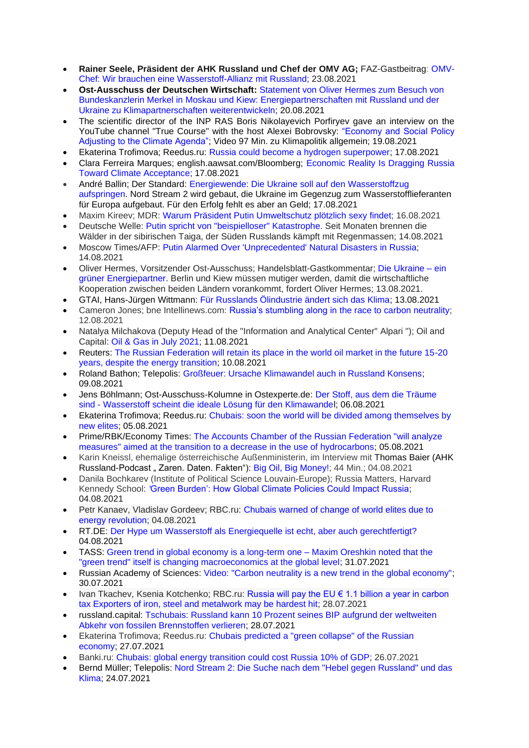- **Rainer Seele, Präsident der AHK Russland und Chef der OMV AG;** FAZ-Gastbeitrag: [OMV-](https://www.faz.net/aktuell/wirtschaft/omv-chef-brauchen-wasserstoff-allianz-mit-russland-17497731.html?printPagedArticle=true#pageIndex_2)Chef: Wir brauchen eine [Wasserstoff-Allianz](https://www.faz.net/aktuell/wirtschaft/omv-chef-brauchen-wasserstoff-allianz-mit-russland-17497731.html?printPagedArticle=true#pageIndex_2) mit Russland; 23.08.2021
- **Ost-Ausschuss der Deutschen Wirtschaft:** [Statement von Oliver Hermes zum Besuch von](https://www.ost-ausschuss.de/de/energiepartnerschaften-mit-russland-und-der-ukraine-zu-klimapartnerschaften-weiterentwickeln)  Bundeskanzlerin Merkel in Moskau [und Kiew: Energiepartnerschaften mit Russland und der](https://www.ost-ausschuss.de/de/energiepartnerschaften-mit-russland-und-der-ukraine-zu-klimapartnerschaften-weiterentwickeln)  [Ukraine zu Klimapartnerschaften weiterentwickeln;](https://www.ost-ausschuss.de/de/energiepartnerschaften-mit-russland-und-der-ukraine-zu-klimapartnerschaften-weiterentwickeln) 20.08.2021
- The scientific director of the INP RAS Boris Nikolayevich Porfiryev gave an interview on the YouTube channel "True Course" with the host Alexei Bobrovsky: ["Economy and Social Policy](https://ecfor.ru/publication/ekonomika-i-klimaticheskieizmeneniya-porfrev-b-n/)  [Adjusting to the Climate Agenda";](https://ecfor.ru/publication/ekonomika-i-klimaticheskieizmeneniya-porfrev-b-n/) Video 97 Min. zu Klimapolitik allgemein; 19.08.2021
- Ekaterina Trofimova; Reedus.ru: [Russia could become a hydrogen superpower;](https://www.ridus.ru/news/360434) 17.08.2021
- Clara Ferreira Marques; english.aawsat.com/Bloomberg; [Economic Reality Is Dragging Russia](https://english.aawsat.com/home/article/3136301/clara-ferreira-marques/economic-reality-dragging-russia-toward-climate)  [Toward Climate Acceptance;](https://english.aawsat.com/home/article/3136301/clara-ferreira-marques/economic-reality-dragging-russia-toward-climate) 17.08.2021
- André Ballin; Der Standard: [Energiewende: Die Ukraine soll auf den Wasserstoffzug](https://www.derstandard.de/story/2000128958118/die-ukraine-soll-auf-den-wasserstoffzug-aufspringen)  [aufspringen.](https://www.derstandard.de/story/2000128958118/die-ukraine-soll-auf-den-wasserstoffzug-aufspringen) Nord Stream 2 wird gebaut, die Ukraine im Gegenzug zum Wasserstofflieferanten für Europa aufgebaut. Für den Erfolg fehlt es aber an Geld; 17.08.2021
- Maxim Kireev; MDR: Warum Präsident Putin [Umweltschutz](https://www.mdr.de/nachrichten/welt/osteuropa/politik/russland-putin-umwelt-klimaschutz-100.html) plötzlich sexy findet; 16.08.2021
- Deutsche Welle: Putin spricht von ["beispielloser"](https://www.dw.com/de/putin-spricht-von-beispielloser-katastrophe/a-58866354?maca=de-rss-de-all-1119-xml-mrss) Katastrophe. Seit Monaten brennen die Wälder in der sibirischen Taiga, der Süden Russlands kämpft mit Regenmassen; 14.08.2021
- Moscow Times/AFP: Putin Alarmed Over ['Unprecedented'](https://www.themoscowtimes.com/2021/08/14/putin-alarmed-over-unprecedented-natural-disasters-in-russia-a74788) Natural Disasters in Russia; 14.08.2021
- Oliver Hermes, Vorsitzender Ost-Ausschuss; Handelsblatt-Gastkommentar; Die [Ukraine](https://www.handelsblatt.com/meinung/gastbeitraege/gastkommentar-die-ukraine-ein-gruener-energiepartner/27503594.html) ein grüner [Energiepartner.](https://www.handelsblatt.com/meinung/gastbeitraege/gastkommentar-die-ukraine-ein-gruener-energiepartner/27503594.html) Berlin und Kiew müssen mutiger werden, damit die wirtschaftliche Kooperation zwischen beiden Ländern vorankommt, fordert Oliver Hermes; 13.08.2021.
- GTAI, Hans-Jürgen Wittmann: [Für Russlands Ölindustrie ändert sich das Klima;](https://www.gtai.de/gtai-de/trade/branchen/branchenbericht/russland/fuer-russlands-oelindustrie-aendert-sich-das-klima-685510) 13.08.2021
- Cameron Jones; bne Intellinews.com: Russia's stumbling along in [the race to carbon neutrality;](https://intellinews.com/russia-s-stumbling-along-in-the-race-to-carbon-neutrality-218007/?source=russia) 12.08.2021
- Natalya Milchakova (Deputy Head of the "Information and Analytical Center" Alpari "); Oil and Capital: [Oil & Gas in July 2021;](https://oilcapital.ru/article/general/11-08-2021/neft-i-gaz-v-iyule-2021) 11.08.2021
- Reuters: [The Russian Federation will retain its place in the world oil market in the future 15-20](https://www.finam.ru/analysis/forecasts/rf-soxranit-mesto-na-mirovom-rynke-nefti-v-perspektive-15-20-let-nesmotrya-na-energoperexod-20210810-153621/)  [years, despite the energy transition;](https://www.finam.ru/analysis/forecasts/rf-soxranit-mesto-na-mirovom-rynke-nefti-v-perspektive-15-20-let-nesmotrya-na-energoperexod-20210810-153621/) 10.08.2021
- Roland Bathon; Telepolis: [Großfeuer: Ursache Klimawandel auch in Russland Konsens;](https://www.heise.de/tp/features/Grossfeuer-Ursache-Klimawandel-auch-in-Russland-Konsens-6158260.html) 09.08.2021
- Jens Böhlmann; Ost-Ausschuss-Kolumne in Ostexperte.de: [Der Stoff, aus dem die Träume](https://ostexperte.de/der-stoff-aus-dem-die-traume-sind/)  sind - [Wasserstoff scheint die ideale Lösung für den Klimawandel;](https://ostexperte.de/der-stoff-aus-dem-die-traume-sind/) 06.08.2021
- Ekaterina Trofimova; Reedus.ru: [Chubais: soon the world will be divided among themselves by](https://www.ridus.ru/news/359583)  [new elites;](https://www.ridus.ru/news/359583) 05.08.2021
- Prime/RBK/Economy Times: [The Accounts Chamber of the Russian Federation "will analyze](https://economytimes.ru/novosti/schetnaya-palata-rf-proanaliziruet-mery-napravlennye-na-perehod-k-snizheniyu-ispolzovaniya)  [measures" aimed at the transition to a decrease in the use of hydrocarbons;](https://economytimes.ru/novosti/schetnaya-palata-rf-proanaliziruet-mery-napravlennye-na-perehod-k-snizheniyu-ispolzovaniya) 05.08.2021
- Karin Kneissl, ehemalige österreichische Außenministerin, im Interview mit Thomas Baier (AHK Russland-Podcast "Zaren. Daten. Fakten"): [Big Oil, Big Money!;](https://podcasts.google.com/feed/aHR0cHM6Ly9mZWVkcy5yZWRjaXJjbGUuY29tL2U5NmY1OTU3LTY2NzAtNDBkYS1hZTBkLWI4ODkyYTA1YmZkZQ/episode/YWVlMDI1MjEtYjkzMS00YzkzLTg3ZjEtNWU3NTJhNTVjNmM2?hl=de-RU&ved=2ahUKEwjRqM_jwJfyAhWPvYsKHbogDCwQieUEegQIHhAF&ep=6) 44 Min.; 04.08.2021
- Danila Bochkarev (Institute of Political Science Louvain-Europe); Russia Matters, Harvard Kennedy School: *'*[Green Burden': How Global Climate Policies Could Impact Russia;](https://russiamatters.org/analysis/green-burden-how-global-climate-policies-could-impact-russia) 04.08.2021
- Petr Kanaev, Vladislav Gordeev; RBC.ru: [Chubais warned of change of world elites due to](https://www.rbc.ru/politics/04/08/2021/610a4e3f9a7947bb76849ce4?from=from_main_5)  [energy revolution;](https://www.rbc.ru/politics/04/08/2021/610a4e3f9a7947bb76849ce4?from=from_main_5) 04.08.2021
- RT.DE: [Der Hype um Wasserstoff als Energiequelle ist echt, aber auch gerechtfertigt?](https://de.rt.com/international/121754-hype-um-wasserstoff-als-energiequelle/) 04.08.2021
- TASS: [Green trend in global economy is a long-term one –](https://tass.com/economy/1321331) Maxim Oreshkin noted that the ["green trend" itself is changing macroeconomics at the global level;](https://tass.com/economy/1321331) 31.07.2021
- Russian Academy of Sciences: [Video: "Carbon neutrality is a new trend in the global economy";](https://ecfor.ru/publication/uglerodnaya-nejtralnost-porfirev-b-n/) 30.07.2021
- Ivan Tkachev, Ksenia Kotchenko; RBC.ru: Russia will pay the EU  $\epsilon$  1.1 billion a year in carbon [tax Exporters of iron, steel and metalwork may be hardest hit;](https://www.rbc.ru/economics/26/07/2021/60fac8469a7947d1f4871b47) 28.07.2021
- russland.capital: [Tschubais: Russland kann 10 Prozent seines BIP aufgrund der weltweiten](https://www.russland.capital/tschubais-russland-kann-10-prozent-seines-bip-aufgrund-der-weltweiten-abkehr-von-fossilen-brennstoffen-verlieren)  [Abkehr von fossilen Brennstoffen verlieren;](https://www.russland.capital/tschubais-russland-kann-10-prozent-seines-bip-aufgrund-der-weltweiten-abkehr-von-fossilen-brennstoffen-verlieren) 28.07.2021
- Ekaterina Trofimova; Reedus.ru: [Chubais predicted a "green collapse" of the Russian](https://www.ridus.ru/news/358954)  [economy;](https://www.ridus.ru/news/358954) 27.07.2021
- Banki.ru: [Chubais: global energy transition could cost Russia 10% of GDP;](https://www.banki.ru/news/lenta/?id=10950402) 26.07.2021
- Bernd Müller; Telepolis: [Nord Stream 2: Die Suche nach dem "Hebel gegen Russland" und das](https://www.heise.de/tp/features/Nord-Stream-2-Die-Suche-nach-dem-Hebel-gegen-Russland-und-das-Klima-6146878.html)  [Klima;](https://www.heise.de/tp/features/Nord-Stream-2-Die-Suche-nach-dem-Hebel-gegen-Russland-und-das-Klima-6146878.html) 24.07.2021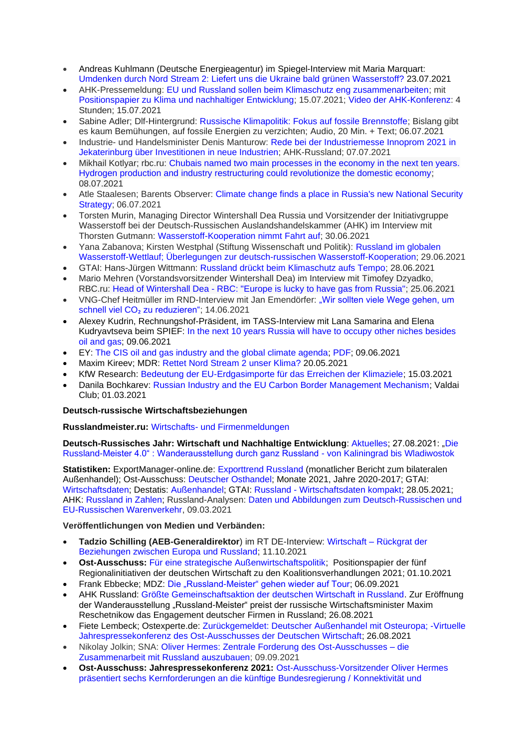- Andreas Kuhlmann (Deutsche Energieagentur) im Spiegel-Interview mit Maria Marquart: [Umdenken durch Nord Stream 2: Liefert uns die Ukraine bald grünen Wasserstoff?](https://www.spiegel.de/wirtschaft/soziales/umdenken-durch-nord-stream-2-oekostrom-boom-in-der-ukraine-a-561a0d5b-4909-415c-8593-9dcfed0d0a3b#ref=rss) 23.07.2021
- AHK-Pressemeldung: [EU und Russland sollen beim Klimaschutz eng zusammenarbeiten;](https://russland.ahk.de/infothek/news/detail/eu-und-russland-sollen-beim-klimaschutz-eng-zusammenarbeiten) mit [Positionspapier zu Klima und nachhaltiger Entwicklung;](https://russland.ahk.de/infothek/news/detail/positionspapier-der-deutsch-russischen-auslandshandelskammer-zu-klima-und-nachhaltiger-entwicklung) 15.07.2021; [Video der AHK-Konferenz:](https://zukunftsklima.ru/de/) 4 Stunden; 15.07.2021
- Sabine Adler; Dlf-Hintergrund: [Russische Klimapolitik: Fokus auf fossile Brennstoffe;](https://www.deutschlandfunk.de/russische-klimapolitik-fokus-auf-fossile-brennstoffe.724.de.html?dram:article_id=499868) Bislang gibt es kaum Bemühungen, auf fossile Energien zu verzichten; Audio, 20 Min. + Text; 06.07.2021
- Industrie- und Handelsminister Denis Manturow: [Rede bei der Industriemesse Innoprom 2021 in](https://russland.ahk.de/infothek/news/detail/rede-von-manturow-auf-innoprom-2021)  [Jekaterinburg über Investitionen](https://russland.ahk.de/infothek/news/detail/rede-von-manturow-auf-innoprom-2021) in neue Industrien; AHK-Russland; 07.07.2021
- Mikhail Kotlyar; rbc.ru: [Chubais named two main processes in the economy in the next ten years.](https://www.rbc.ru/economics/08/07/2021/60e62d829a7947bb0ca623da)  [Hydrogen production and industry restructuring could revolutionize the domestic economy;](https://www.rbc.ru/economics/08/07/2021/60e62d829a7947bb0ca623da) 08.07.2021
- Atle Staalesen; Barents Observer: [Climate change finds a place in Russia's new National Security](https://thebarentsobserver.com/en/security/2021/07/climate-change-finds-place-russias-new-national-security-strategy)  [Strategy;](https://thebarentsobserver.com/en/security/2021/07/climate-change-finds-place-russias-new-national-security-strategy) 06.07.2021
- Torsten Murin, Managing Director Wintershall Dea Russia und Vorsitzender der Initiativgruppe Wasserstoff bei der Deutsch-Russischen Auslandshandelskammer (AHK) im Interview mit Thorsten Gutmann: [Wasserstoff-Kooperation nimmt Fahrt auf;](https://russland.ahk.de/infothek/news/detail/wasserstoff-kooperation-nimmt-fahrt-auf) 30.06.2021
- Yana Zabanova; Kirsten Westphal (Stiftung Wissenschaft und Politik): [Russland im globalen](https://www.swp-berlin.org/publikation/russland-im-globalen-wasserstoff-wettlauf)  [Wasserstoff-Wettlauf; Überlegungen zur deutsch-russischen Wasserstoff-Kooperation;](https://www.swp-berlin.org/publikation/russland-im-globalen-wasserstoff-wettlauf) 29.06.2021
- GTAI: Hans-Jürgen Wittmann: [Russland drückt beim Klimaschutz aufs Tempo;](https://www.gtai.de/gtai-de/trade/specials/special/russland-drueckt-beim-klimaschutz-aufs-tempo-655258) 28.06.2021
- Mario Mehren (Vorstandsvorsitzender Wintershall Dea) im Interview mit Timofey Dzyadko, RBC.ru: Head of Wintershall Dea - [RBC: "Europe is lucky to have gas from Russia";](https://www.rbc.ru/business/25/06/2021/60d49b149a79473916ffd323) 25.06.2021
- VNG-Chef Heitmüller im RND-Interview mit Jan Emendörfer: "Wir sollten viele Wege gehen, um schnell viel CO<sub>2</sub> [zu reduzieren";](https://www.rnd.de/wirtschaft/vng-chef-heitmueller-wir-sollten-viele-wege-gehen-um-schnell-viel-co2-zu-reduzieren-WLNWLBSC3BEUXM2PWYFGGDM6TA.html) 14.06.2021
- Alexey Kudrin, Rechnungshof-Präsident, im TASS-Interview mit Lana Samarina and Elena Kudryavtseva beim SPIEF: [In the next 10 years Russia will have to occupy other niches besides](https://tass.ru/interviews/11605981)  [oil and gas;](https://tass.ru/interviews/11605981) 09.06.2021
- EY: [The CIS oil and gas industry and the global climate agenda;](https://www.ey.com/ru_ru/oil-gas/cis-oil-gas-industry-and-global-climate-agenda) [PDF;](https://assets.ey.com/content/dam/ey-sites/ey-com/ru_ru/topics/oil-and-gas/cis-oil-gas-industry-and-global-climate-agenda/ey-cis-oil-gas-industry-and-global-climate-agenda.pdf?download) 09.06.2021
- Maxim Kireev; MDR: [Rettet Nord Stream 2 unser Klima?](https://www.mdr.de/nachrichten/welt/osteuropa/politik/russland-wasserstoff-nordstream-100.html) 20.05.2021
- KfW Research: [Bedeutung der EU-Erdgasimporte für das Erreichen der Klimaziele;](https://www.kfw.de/PDF/Download-Center/Konzernthemen/Research/PDF-Dokumente-Fokus-Volkswirtschaft/Fokus-2021/Fokus-Nr.-325-Maerz-2021-Bedeutung-der-EU-Erdgasexporte-fuer-das-Erreichen-der-Klimaziele.pdf) 15.03.2021
- Danila Bochkarev: [Russian Industry and the EU Carbon Border Management Mechanism;](https://valdaiclub.com/a/highlights/russian-industry-and-the-eu-carbon-border/) Valdai Club; 01.03.2021

## **Deutsch-russische Wirtschaftsbeziehungen**

### **Russlandmeister.ru:** [Wirtschafts-](https://russlandmeister.ru/de#business-news) und [Firmenmeldungen](https://russlandmeister.ru/de#aktuelles)

**Deutsch-Russisches Jahr: Wirtschaft und Nachhaltige Entwicklung**: [Aktuelles;](https://www.deutsch-russisches-themenjahr.de/de/drj2020/drj2020-aktuelle-meldungen) 27.08.2021: ["Die](https://www.deutsch-russisches-themenjahr.de/de/drj2020/drj2020-aktuelle-meldungen/die-russland-meister-40-wanderausstellung-durch-ganz-russland)  [Russland-Meister 4.0" : Wanderausstellung durch ganz Russland -](https://www.deutsch-russisches-themenjahr.de/de/drj2020/drj2020-aktuelle-meldungen/die-russland-meister-40-wanderausstellung-durch-ganz-russland) von Kaliningrad bis Wladiwostok

**Statistiken:** ExportManager-online.de: [Exporttrend Russland](https://exportmanager-online.de/themen/exporttrends/) (monatlicher Bericht zum bilateralen Außenhandel); Ost-Ausschuss: [Deutscher Osthandel;](https://www.ost-ausschuss.de/de/statistik) Monate 2021, Jahre 2020-2017; GTAI: [Wirtschaftsdaten;](https://www.gtai.de/resource/blob/18370/5eaafbd2aef7513a1820a917fc316bb1/GTAI-Wirtschaftsdaten_Mai_2021_Russland.pdf) Destatis: [Außenhandel;](https://www.destatis.de/DE/Themen/Wirtschaft/Aussenhandel/_inhalt.html;jsessionid=981FCD80EFF5D8656DD5D757E4DCD80D.live732) GTAI: Russland - [Wirtschaftsdaten kompakt;](https://www.gtai.de/resource/blob/18370/5eaafbd2aef7513a1820a917fc316bb1/GTAI-Wirtschaftsdaten_Mai_2021_Russland.pdf) 28.05.2021; AHK: [Russland in Zahlen;](https://russland.ahk.de/infothek/wirtschaftsdaten) Russland-Analysen: [Daten und Abbildungen zum Deutsch-Russischen und](https://www.laender-analysen.de/russland-analysen/399/daten-warenverkehr-russland-deutschland-eu/)  [EU-Russischen Warenverkehr,](https://www.laender-analysen.de/russland-analysen/399/daten-warenverkehr-russland-deutschland-eu/) 09.03.2021

### **Veröffentlichungen von Medien und Verbänden:**

- **Tadzio Schilling (AEB-Generaldirektor**) im RT DE-Interview: Wirtschaft [Rückgrat der](https://de.rt.com/wirtschaft/125390-tadzio-schilling-wirtschaft-ruckgrat-beziehungen-beziehungen-zwischen-europa-russland/)  [Beziehungen zwischen Europa und Russland;](https://de.rt.com/wirtschaft/125390-tadzio-schilling-wirtschaft-ruckgrat-beziehungen-beziehungen-zwischen-europa-russland/) 11.10.2021
- **Ost-Ausschuss:** [Für eine strategische Außenwirtschaftspolitik;](https://www.ost-ausschuss.de/de/fuer-eine-strategische-aussenwirtschaftspolitik) Positionspapier der fünf Regionalinitiativen der deutschen Wirtschaft zu den Koalitionsverhandlungen 2021; 01.10.2021
- Frank Ebbecke; MDZ: [Die "Russland-Meister" gehen wieder auf Tour;](https://mdz-moskau.eu/die-russland-meister-gehen-wieder-auf-tour/) 06.09.2021
- AHK Russland: [Größte Gemeinschaftsaktion der deutschen Wirtschaft in Russland.](https://russland.ahk.de/infothek/news/detail/groesste-gemeinschaftsaktion-der-deutschen-wirtschaft-in-russland) Zur Eröffnung der Wanderausstellung "Russland-Meister" preist der russische Wirtschaftsminister Maxim Reschetnikow das Engagement deutscher Firmen in Russland; 26.08.2021
- Fiete Lembeck; Ostexperte.de: [Zurückgemeldet: Deutscher Außenhandel mit Osteuropa; -Virtuelle](https://ostexperte.de/zuruckgemeldet-deutscher-ausenhandel-mit-osteuropa/)  [Jahrespressekonferenz des Ost-Ausschusses der Deutschen Wirtschaft;](https://ostexperte.de/zuruckgemeldet-deutscher-ausenhandel-mit-osteuropa/) 26.08.2021
- Nikolay Jolkin; SNA: [Oliver Hermes: Zentrale Forderung des Ost-Ausschusses –](https://snanews.de/20210909/oliver-hermes-zentrale-forderung-ost-ausschuss-3513659.html) die [Zusammenarbeit mit Russland auszubauen;](https://snanews.de/20210909/oliver-hermes-zentrale-forderung-ost-ausschuss-3513659.html) 09.09.2021
- **Ost-Ausschuss: Jahrespressekonferenz 2021:** [Ost-Ausschuss-Vorsitzender Oliver Hermes](https://www.ost-ausschuss.de/de/ost-ausschuss-fordert-ausbau-der-partnerschaft-mit-dem-oestlichen-europa-und-zentralasien)  [präsentiert sechs Kernforderungen an die künftige Bundesregierung /](https://www.ost-ausschuss.de/de/ost-ausschuss-fordert-ausbau-der-partnerschaft-mit-dem-oestlichen-europa-und-zentralasien) Konnektivität und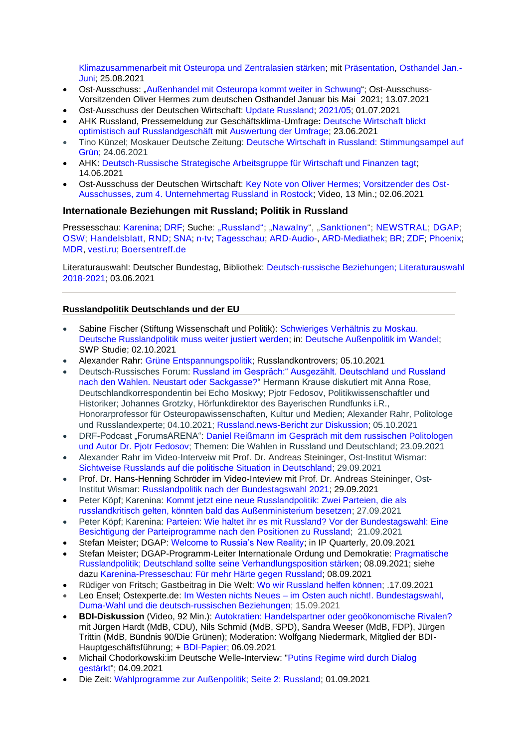[Klimazusammenarbeit mit Osteuropa und Zentralasien stärken;](https://www.ost-ausschuss.de/de/ost-ausschuss-fordert-ausbau-der-partnerschaft-mit-dem-oestlichen-europa-und-zentralasien) mit [Präsentation,](https://www.ost-ausschuss.de/sites/default/files/pm_pdf/2021-08-25_ost_ausschuss_PK2021.pdf) [Osthandel Jan.-](https://www.ost-ausschuss.de/sites/default/files/pm_pdf/Deutscher%20Osthandel%20Jan-Jun%202021.pdf) [Juni;](https://www.ost-ausschuss.de/sites/default/files/pm_pdf/Deutscher%20Osthandel%20Jan-Jun%202021.pdf) 25.08.2021

- Ost-Ausschuss: ["Außenhandel mit Osteuropa kommt weiter in Schwung"](https://www.ost-ausschuss.de/de/aussenhandel-mit-osteuropa-kommt-weiter-schwung); Ost-Ausschuss-Vorsitzenden Oliver Hermes zum deutschen Osthandel Januar bis Mai 2021; 13.07.2021
- Ost-Ausschuss der Deutschen Wirtschaft: Update [Russland;](https://www.ost-ausschuss.de/de/oa-updates-zu-regionen) [2021/05;](https://www.ost-ausschuss.de/sites/default/files/paragraphs/pdf/2021-07/05-2021_OA_Update_Russland.pdf) 01.07.2021
- AHK Russland, Pressemeldung zur Geschäftsklima-Umfrage**:** [Deutsche Wirtschaft blickt](https://russland.ahk.de/infothek/news/detail/deutsche-wirtschaft-blickt-optimistisch-auf-russlandgeschaeft)  [optimistisch auf Russlandgeschäft](https://russland.ahk.de/infothek/news/detail/deutsche-wirtschaft-blickt-optimistisch-auf-russlandgeschaeft) mit [Auswertung der Umfrage;](https://russlandahk.sharepoint.com/:b:/s/web/EZNIyuS0X8VFlo3Qaf_e7XoBoZ63vLrKBoB-yknNbduZUw?e=OOJF5H) 23.06.2021
- Tino Künzel; Moskauer Deutsche Zeitung: [Deutsche Wirtschaft in Russland: Stimmungsampel auf](https://mdz-moskau.eu/deutsche-wirtschaft-in-russland-stimmungsampel-auf-gruen/)  [Grün;](https://mdz-moskau.eu/deutsche-wirtschaft-in-russland-stimmungsampel-auf-gruen/) 24.06.2021
- AHK: [Deutsch-Russische Strategische Arbeitsgruppe für Wirtschaft und Finanzen tagt;](https://russland.ahk.de/infothek/news/detail/deutsch-russische-strategische-arbeitsgruppe-fuer-wirtschaft-und-finanzen-tagt) 14.06.2021
- Ost-Ausschuss der Deutschen Wirtschaft: [Key Note von Oliver Hermes; Vorsitzender des Ost-](https://www.youtube.com/watch?v=kc5mY2Lnhu8)[Ausschusses, zum 4. Unternehmertag Russland in Rostock;](https://www.youtube.com/watch?v=kc5mY2Lnhu8) Video, 13 Min.; 02.06.2021

## **Internationale Beziehungen mit Russland; Politik in Russland**

Pressesschau: [Karenina;](https://www.karenina.de/category/news/presseschau/) [DRF;](https://www.deutsch-russisches-forum.de/category/pressespiegel) Suche: ["Russland";](https://www.weltflimmern.de/russland) ["Nawalny"](https://www.weltflimmern.de/nawalny), ["Sanktionen"](https://www.weltflimmern.de/sanktionen); [NEWSTRAL;](https://newstral.com/de/search/articles?utf8=%E2%9C%93&q=Russland) [DGAP;](https://dgap.org/de/forschung/expertise/russland-zentralasien) [OSW;](https://www.osw.waw.pl/en/publikacje?f%5B0%5D=obszary%3A20) [Handelsblatt,](https://www.handelsblatt.com/themen/russland) [RND;](https://www.rnd.de/themen/russland/) [SNA;](https://snanews.de/common_deutsch-russische-beziehungen+location_russland/) [n-tv;](https://www.n-tv.de/thema/russland) [Tagesschau;](https://www.tagesschau.de/thema/russland/) [ARD-Audio-](https://www.ardaudiothek.de/suche?q=Russland%202021), [ARD-Mediathek;](https://www.ardmediathek.de/suche/Putin/) [BR;](https://www.br.de/nachrichten/suche/?param=Russland) [ZDF;](https://www.zdf.de/suche?q=Russland&synth=true&sender=Gesamtes+Angebot&from=&to=&attrs=&abName=ab-2021-05-31&abGroup=gruppe-c) [Phoenix;](https://www.phoenix.de/russland-r-252413.html) [MDR,](https://www.mdr.de/nachrichten/welt/osteuropa/land-leute/russland-osteuropa-102.html) [vesti.ru;](https://www.vesti.ru/tag/%D0%93%D0%B5%D1%80%D0%BC%D0%B0%D0%BD%D0%B8%D1%8F) [Boersentreff.de](https://www.boersentreff.de/top_news-russland.htm)

Literaturauswahl: Deutscher Bundestag, Bibliothek: [Deutsch-russische Beziehungen; Literaturauswahl](https://www.bundestag.de/resource/blob/845440/37f1fb0e99ee28da2202bed2fc496d1c/littipp_Deutsch-russische-Beziehungen-data.pdf)  [2018-2021;](https://www.bundestag.de/resource/blob/845440/37f1fb0e99ee28da2202bed2fc496d1c/littipp_Deutsch-russische-Beziehungen-data.pdf) 03.06.2021

### **Russlandpolitik Deutschlands und der EU**

- Sabine Fischer (Stiftung Wissenschaft und Politik): [Schwieriges Verhältnis zu Moskau.](https://www.swp-berlin.org/publikation/deutsche-aussenpolitik-im-wandel#hd-d58493e1784)  [Deutsche Russlandpolitik muss weiter justiert werden;](https://www.swp-berlin.org/publikation/deutsche-aussenpolitik-im-wandel#hd-d58493e1784) in: [Deutsche Außenpolitik im](https://www.swp-berlin.org/publikation/deutsche-aussenpolitik-im-wandel#hd-d58493e1784) Wandel; SWP Studie; 02.10.2021
- Alexander Rahr: [Grüne Entspannungspolitik;](http://www.russlandkontrovers.com/gruene-entspannungspolitik-2) Russlandkontrovers; 05.10.2021
- Deutsch-Russisches Forum: [Russland im Gespräch:" Ausgezählt. Deutschland und Russland](https://www.deutsch-russisches-forum.de/russland-im-gespraech-mit-moderator-hermann-krause/5380755)  [nach den Wahlen. Neustart oder Sackgasse?"](https://www.deutsch-russisches-forum.de/russland-im-gespraech-mit-moderator-hermann-krause/5380755) Hermann Krause diskutiert mit Anna Rose, Deutschlandkorrespondentin bei Echo Moskwy; Pjotr Fedosov, Politikwissenschaftler und Historiker; Johannes Grotzky, Hörfunkdirektor des Bayerischen Rundfunks i.R., Honorarprofessor für Osteuropawissenschaften, Kultur und Medien; Alexander Rahr, Politologe und Russlandexperte; 04.10.2021; [Russland.news-Bericht zur Diskussion;](http://www.russland.news/russland-im-gespraech-ausgezaehlt-deutschland-und-russland-nach-den-wahlen-neustart-oder-sackgasse/) 05.10.2021
- DRF-Podcast "ForumsARENA": [Daniel Reißmann im Gespräch mit dem russischen Politologen](https://open.spotify.com/episode/0I7L4Tt7tHVX6lle1u3eYe)  [und Autor Dr. Pjotr Fedosov;](https://open.spotify.com/episode/0I7L4Tt7tHVX6lle1u3eYe) Themen: Die Wahlen in Russland und Deutschland; 23.09.2021
- Alexander Rahr im Video-Interveiw mit Prof. Dr. Andreas Steininger, Ost-Institut Wismar: [Sichtweise Russlands auf die politische Situation in Deutschland;](https://www.ostinstitut.de/detail/sichtweise-russlands-auf-die-politische-situation-in-deutschland) 29.09.2021
- Prof. Dr. Hans-Henning Schröder im Video-Inteview mit Prof. Dr. Andreas Steininger, Ost-Institut Wismar: [Russlandpolitik nach der Bundestagswahl 2021;](https://www.ostinstitut.de/detail/russlandpolitik-nach-der-bundestagswahl-2021) 29.09.2021
- Peter Köpf; Karenina: [Kommt jetzt eine neue Russlandpolitik: Zwei Parteien, die als](https://www.karenina.de/news/kolumne/kommt-jetzt-eine-neue-russlandpolitik/)  [russlandkritisch gelten, könnten bald das Außenministerium besetzen;](https://www.karenina.de/news/kolumne/kommt-jetzt-eine-neue-russlandpolitik/) 27.09.2021
- Peter Köpf: Karenina: Parteien: Wie haltet ihr es mit Russland? Vor der Bundestagswahl: Eine [Besichtigung der Parteiprogramme nach den Positionen zu Russland;](https://www.karenina.de/news/politik/parteien-wie-haltet-ihr-es-mit-russland/) 21.09.2021
- Stefan Meister; DGAP: [Welcome to Russia's New Reality;](https://ip-quarterly.com/en/welcome-russias-new-reality) in IP Quarterly, 20.09.2021
- Stefan Meister: DGAP-Programm-Leiter Internationale Ordung und Demokratie: Pragmatische [Russlandpolitik; Deutschland sollte seine Verhandlungsposition stärken;](https://dgap.org/de/forschung/publikationen/pragmatische-russlandpolitik) 08.09.2021; siehe dazu [Karenina-Presseschau: Für mehr Härte gegen Russland;](https://www.karenina.de/service/presseschau/fuer-mehr-haerte-gegen-putins-russland/) 08.09.2021
- Rüdiger von Fritsch; Gastbeitrag in Die Welt: [Wo wir Russland helfen können;](https://www.welt.de/politik/ausland/article233799008/Duma-Wahl-Wo-wir-Russland-helfen-koennen.html) .17.09.2021
- Leo Ensel; Ostexperte.de: Im Westen nichts Neues [im Osten auch nicht!. Bundestagswahl,](https://ostexperte.de/im-westen-nichts-neues-im-osten-auch-nicht/)  [Duma-Wahl und die deutsch-russischen Beziehungen;](https://ostexperte.de/im-westen-nichts-neues-im-osten-auch-nicht/) 15.09.2021
- **BDI-Diskussion** (Video, 92 Min.): [Autokratien: Handelspartner oder geoökonomische Rivalen?](https://www.youtube.com/watch?v=oHDlasO4zPg) mit Jürgen Hardt (MdB, CDU), Nils Schmid (MdB, SPD), Sandra Weeser (MdB, FDP), Jürgen Trittin (MdB, Bündnis 90/Die Grünen); Moderation: Wolfgang Niedermark, Mitglied der BDI-Hauptgeschäftsführung; + [BDI-Papier;](https://bdi.eu/media/publikationen/#/publikation/news/aussenwirtschaftspolitische-zusammenarbeit-mit-autokratien/) 06.09.2021
- Michail Chodorkowski:im Deutsche Welle-Interview: ["Putins Regime wird durch Dialog](https://www.dw.com/de/michail-chodorkowski-putins-regime-wird-durch-dialog-gest%C3%A4rkt/a-59080161?maca=de-rss-de-all-1119-xml-mrss)  [gestärkt"](https://www.dw.com/de/michail-chodorkowski-putins-regime-wird-durch-dialog-gest%C3%A4rkt/a-59080161?maca=de-rss-de-all-1119-xml-mrss); 04.09.2021
- Die Zeit: [Wahlprogramme zur Außenpolitik; Seite 2: Russland;](https://www.zeit.de/politik/deutschland/2021-08/wahlprogramme-aussenpolitik-europaeische-union-bundeswehr-russland-china-afghanistan/seite-2) 01.09.2021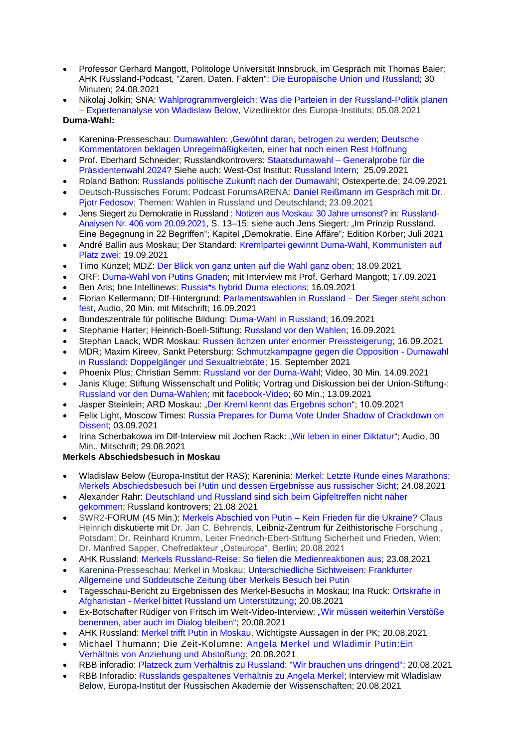- Professor Gerhard Mangott, Politologe Universität Innsbruck, im Gespräch mit Thomas Baier; AHK Russland-Podcast, "Zaren. Daten. Fakten": [Die Europäische Union und Russland;](https://podcasts.google.com/feed/aHR0cHM6Ly9mZWVkcy5yZWRjaXJjbGUuY29tL2U5NmY1OTU3LTY2NzAtNDBkYS1hZTBkLWI4ODkyYTA1YmZkZQ/episode/NzE2OTk0MWEtMDNjOS00Y2MxLWIwODQtN2UwMTVmNDQyMDM3?hl=de&ved=2ahUKEwjzgZz83snyAhWUNuwKHV69B_wQieUEegQIIBAF&ep=6) 30 Minuten; 24.08.2021
- Nikolaj Jolkin; SNA: [Wahlprogrammvergleich: Was die Parteien in der Russland-Politik planen](https://snanews.de/20210805/wahlprogrammvergleich-expertenanalyse-3105724.html)  – [Expertenanalyse von Wladislaw Below,](https://snanews.de/20210805/wahlprogrammvergleich-expertenanalyse-3105724.html) Vizedirektor des Europa-Instituts; 05.08.2021
- **Duma-Wahl:**
- Karenina-Presseschau: [Dumawahlen: 'Gewöhnt daran, betrogen zu werden; Deutsche](https://www.karenina.de/service/presseschau/dumawahlen-gewoehnt-daran-betrogen-zu-werden/)  [Kommentatoren beklagen Unregelmäßigkeiten, einer hat noch einen Rest Hoffnung](https://www.karenina.de/service/presseschau/dumawahlen-gewoehnt-daran-betrogen-zu-werden/)
- Prof. Eberhard Schneider; Russlandkontrovers: Staatsdumawahl [Generalprobe für die](http://www.russlandkontrovers.com/staatsdumawahl-generalprobe-fuer-die-praesidentenwahl-2024)  [Präsidentenwahl 2024?](http://www.russlandkontrovers.com/staatsdumawahl-generalprobe-fuer-die-praesidentenwahl-2024) Siehe auch: West-Ost Institut: [Russland Intern;](http://westost.eu/?page_id=332) 25.09.2021
- Roland Bathon: [Russlands politische Zukunft nach der Dumawahl;](https://ostexperte.de/russlands-politische-zukunft-nach-der-dumawahl/) Ostexperte.de; 24.09.2021
- Deutsch-Russisches Forum; Podcast ForumsARENA: [Daniel Reißmann im Gespräch mit Dr.](https://open.spotify.com/episode/0I7L4Tt7tHVX6lle1u3eYe)  [Pjotr Fedosov;](https://open.spotify.com/episode/0I7L4Tt7tHVX6lle1u3eYe) Themen: Wahlen in Russland und Deutschland; 23.09.2021
- Jens Siegert zu Demokratie in Russland : [Notizen aus Moskau: 30 Jahre umsonst?](https://www.laender-analysen.de/russland-analysen/406/30-jahre-umsonst/?utm_source=newsletter&utm_medium=email&utm_campaign=Russland-Analysen+406&newsletter=Russland-Analysen+406) in[: Russland-](https://www.laender-analysen.de/russland-analysen/406/)[Analysen Nr. 406 vom 20.09.2021,](https://www.laender-analysen.de/russland-analysen/406/) S. 13–15; siehe auch Jens Siegert*: "*Im Prinzip Russland. Eine Begegnung in 22 Begriffen"; Kapitel "Demokratie. Eine Affäre"*;* Edition Körber; Juli 2021
- André Ballin aus Moskau; Der Standard: [Kremlpartei gewinnt Duma-Wahl, Kommunisten auf](https://www.derstandard.at/story/2000129769711/kreml-gewinnt-duma-wahl-in-russland?ref=rss)  [Platz zwei;](https://www.derstandard.at/story/2000129769711/kreml-gewinnt-duma-wahl-in-russland?ref=rss) 19.09.2021
- Timo Künzel; MDZ: [Der Blick von ganz unten auf die Wahl ganz oben;](https://mdz-moskau.eu/der-blick-von-ganz-unten-auf-die-wahl-ganz-oben/) 18.09.2021
- ORF: [Duma-Wahl von Putins Gnaden;](https://orf.at/stories/3228775/) mit Interview mit Prof. Gerhard Mangott; 17.09.2021
- Ben Aris; bne Intellinews: [Russia\\*s hybrid Duma elections;](https://www.bne.eu/long-read-russia-s-hybrid-duma-elections-220922/) 16.09.2021
- Florian Kellermann; Dlf-Hintergrund: [Parlamentswahlen in Russland –](https://www.deutschlandfunk.de/parlamentswahlen-in-russland-der-sieger-steht-schon-fest.724.de.html?dram:article_id=503164) Der Sieger steht schon [fest,](https://www.deutschlandfunk.de/parlamentswahlen-in-russland-der-sieger-steht-schon-fest.724.de.html?dram:article_id=503164) Audio, 20 Min. mit Mitschrift; 16.09.2021
- Bundeszentrale für politische Bildung: [Duma-Wahl in Russland;](https://www.bpb.de/politik/hintergrund-aktuell/340337/duma-wahl-in-russland) 16.09.2021
- Stephanie Harter; Heinrich-Boell-Stiftung: [Russland vor den Wahlen;](https://www.boell.de/de/2021/09/16/russland-vor-den-wahlen) 16.09.2021
- Stephan Laack, WDR Moskau: [Russen ächzen unter enormer](https://www.tagesschau.de/ausland/asien/russland-duma-wahl-inflation-101.html) Preissteigerung; 16.09.2021
- MDR; Maxim Kireev, Sankt Petersburg: [Schmutzkampagne gegen die Opposition -](https://www.mdr.de/nachrichten/welt/osteuropa/politik/russland-wahl-opposition-putin-trick-100.html) Dumawahl [in Russland: Doppelgänger und Sexualtriebtäte;](https://www.mdr.de/nachrichten/welt/osteuropa/politik/russland-wahl-opposition-putin-trick-100.html) 15. September 2021
- Phoenix Plus; Christian Semm: [Russland vor der Duma-Wahl;](https://www.phoenix.de/sendungen/ereignisse/phoenix-plus/russland-vor-der-duma-wahl-a-2284659.html) Video, 30 Min. 14.09.2021
- Janis Kluge; Stiftung Wissenschaft und Politik; Vortrag und Diskussion bei der Union-Stiftung-: [Russland vor den Duma-Wahlen;](https://www.unionstiftung.de/veranstaltungen/russland-vor-den-duma-wahlen/) mit [facebook-Video;](https://www.facebook.com/UnionStiftung/videos/557186138815688/) 60 Min.; 13.09.2021
- Jasper Steinlein; ARD Moskau: ["Der Kreml kennt das Ergebnis schon"](https://www.tagesschau.de/ausland/asien/russland-wahl-opposition-101.html); 10.09.2021
- Felix Light, Moscow Times: [Russia Prepares for Duma Vote Under Shadow of Crackdown on](https://www.themoscowtimes.com/2021/09/03/russia-prepares-for-duma-vote-under-shadow-of-crackdown-on-dissent-a74964)  [Dissent;](https://www.themoscowtimes.com/2021/09/03/russia-prepares-for-duma-vote-under-shadow-of-crackdown-on-dissent-a74964) 03.09.2021
- Irina Scherbakowa im Dlf-Interview mit Jochen Rack: ["Wir leben in einer Diktatur"](https://www.deutschlandfunk.de/russische-menschenrechtlerin-scherbakowa-wir-leben-in-einer.1184.de.html?dram:article_id=502352); Audio, 30 Min., Mitschrift; 29.08.2021

## **Merkels Abschiedsbesuch in Moskau**

- Wladislaw Below (Europa-Institut der RAS); Kareninia: [Merkel: Letzte Runde eines Marathons;](https://www.karenina.de/news/politik/merkel-letzte-runde-eines-marathons/)  [Merkels Abschiedsbesuch bei Putin und dessen Ergebnisse aus russischer Sicht;](https://www.karenina.de/news/politik/merkel-letzte-runde-eines-marathons/) 24.08.2021
- Alexander Rahr: [Deutschland und Russland sind sich beim Gipfeltreffen nicht näher](http://www.russlandkontrovers.com/deutschland-und-russland-sind-sich-beim-gipfeltreffen-nicht-naehergekommen)  [gekommen;](http://www.russlandkontrovers.com/deutschland-und-russland-sind-sich-beim-gipfeltreffen-nicht-naehergekommen) Russland kontrovers; 21.08.2021
- SWR2-FORUM (45 Min.): [Merkels Abschied von Putin –](https://www.swr.de/swr2/leben-und-gesellschaft/merkels-abschied-von-putin-kein-frieden-fuer-die-ukraine-swr2-forum-2021-08-20-100.html) Kein Frieden für die Ukraine? Claus Heinrich diskutierte mit Dr. Jan C. Behrends, Leibniz-Zentrum für Zeithistorische Forschung , Potsdam; Dr. Reinhard Krumm, Leiter Friedrich-Ebert-Stiftung Sicherheit und Frieden, Wien; Dr. Manfred Sapper, Chefredakteur "Osteuropa", Berlin; 20.08.2021
- AHK Russland: [Merkels Russland-Reise: So fielen die Medienreaktionen aus;](https://russland.ahk.de/infothek/news/detail/merkels-russland-reise-so-fielen-die-medienreaktionen-aus) 23.08.2021
- Karenina-Presseschau: Merkel in Moskau: [Unterschiedliche Sichtweisen:](https://www.karenina.de/service/presseschau/merkel-in-moskau/) Frankfurter Allgemeine und Süddeutsche Zeitung [über Merkels Besuch bei Putin](https://www.karenina.de/service/presseschau/merkel-in-moskau/)
- Tagesschau-Bericht zu Ergebnissen des Merkel-Besuchs in Moskau; Ina Ruck: [Ortskräfte in](https://www.tagesschau.de/ausland/asien/merkel-putin-171.html)  Afghanistan - [Merkel bittet Russland um Unterstützung;](https://www.tagesschau.de/ausland/asien/merkel-putin-171.html) 20.08.2021
- Ex-Botschafter Rüdiger von Fritsch im Welt-Video-Interview: ["Wir müssen weiterhin Verstöße](https://www.welt.de/videos/video233274109/Merkel-fordert-von-Putin-erneut-Freilassung-von-Alexej-Nawalny.html)  [benennen, aber auch im Dialog bleiben";](https://www.welt.de/videos/video233274109/Merkel-fordert-von-Putin-erneut-Freilassung-von-Alexej-Nawalny.html) 20.08.2021
- AHK Russland: [Merkel trifft Putin in Moskau.](https://russland.ahk.de/infothek/news/detail/merkel-trifft-putin-in-moskau) Wichtigste Aussagen in der PK; 20.08.2021
- Michael Thumann; Die Zeit-Kolumne: [Angela Merkel und Wladimir Putin:Ein](https://www.zeit.de/politik/ausland/2021-08/angela-merkel-wladimir-putin-afghanistan-alexej-nawalny-nord-stream-2-5vor8)  [Verhältnis von Anziehung und Abstoßung;](https://www.zeit.de/politik/ausland/2021-08/angela-merkel-wladimir-putin-afghanistan-alexej-nawalny-nord-stream-2-5vor8) 20.08.2021
- RBB inforadio: [Platzeck zum Verhältnis zu Russland: "Wir brauchen uns dringend";](https://www.inforadio.de/programm/schema/sendungen/int/202108/20/600441.html) 20.08.2021
- RBB Inforadio: [Russlands gespaltenes Verhältnis zu Angela Merkel;](https://www.ardaudiothek.de/episode/interviews/russlands-gespaltenes-verhaeltnis-zu-angela-merkel/inforadio/92318274) Interview mit Wladislaw Below, Europa-Institut der Russischen Akademie der Wissenschaften; 20.08.2021